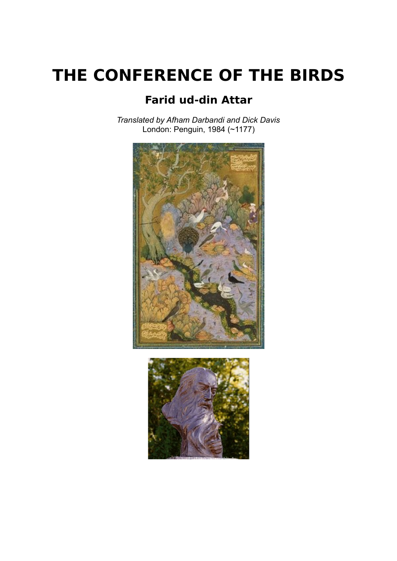# **THE CONFERENCE OF THE BIRDS**

# **Farid ud-din Attar**

*Translated by Afham Darbandi and Dick Davis* London: Penguin, 1984 (~1177)



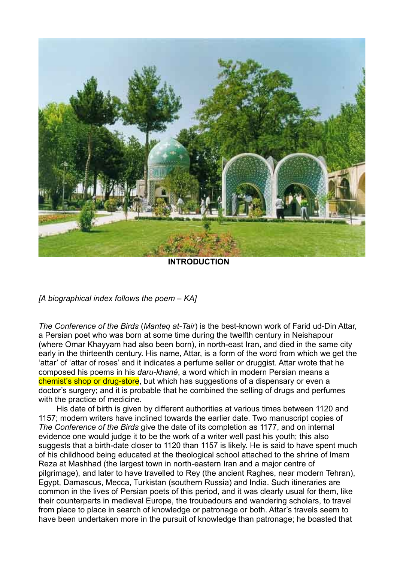

**INTRODUCTION**

*[A biographical index follows the poem – KA]*

*The Conference of the Birds* (*Manteq at-Tair*) is the best-known work of Farid ud-Din Attar, a Persian poet who was born at some time during the twelfth century in Neishapour (where Omar Khayyam had also been born), in north-east Iran, and died in the same city early in the thirteenth century. His name, Attar, is a form of the word from which we get the 'attar' of 'attar of roses' and it indicates a perfume seller or druggist. Attar wrote that he composed his poems in his *daru-khané*, a word which in modern Persian means a chemist's shop or drug-store, but which has suggestions of a dispensary or even a doctor's surgery; and it is probable that he combined the selling of drugs and perfumes with the practice of medicine.

 His date of birth is given by different authorities at various times between 1120 and 1157; modern writers have inclined towards the earlier date. Two manuscript copies of *The Conference of the Birds* give the date of its completion as 1177, and on internal evidence one would judge it to be the work of a writer well past his youth; this also suggests that a birth-date closer to 1120 than 1157 is likely. He is said to have spent much of his childhood being educated at the theological school attached to the shrine of Imam Reza at Mashhad (the largest town in north-eastern Iran and a major centre of pilgrimage), and later to have travelled to Rey (the ancient Raghes, near modern Tehran), Egypt, Damascus, Mecca, Turkistan (southern Russia) and India. Such itineraries are common in the lives of Persian poets of this period, and it was clearly usual for them, like their counterparts in medieval Europe, the troubadours and wandering scholars, to travel from place to place in search of knowledge or patronage or both. Attar's travels seem to have been undertaken more in the pursuit of knowledge than patronage; he boasted that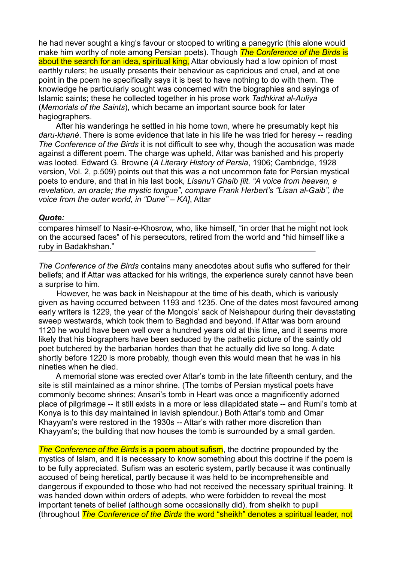he had never sought a king's favour or stooped to writing a panegyric (this alone would make him worthy of note among Persian poets). Though *The Conference of the Birds* is about the search for an idea, spiritual king, Attar obviously had a low opinion of most earthly rulers; he usually presents their behaviour as capricious and cruel, and at one point in the poem he specifically says it is best to have nothing to do with them. The knowledge he particularly sought was concerned with the biographies and sayings of Islamic saints; these he collected together in his prose work *Tadhkirat al-Auliya* (*Memorials of the Saints*), which became an important source book for later hagiographers.

After his wanderings he settled in his home town, where he presumably kept his *daru-khané*. There is some evidence that late in his life he was tried for heresy -- reading *The Conference of the Birds* it is not difficult to see why, though the accusation was made against a different poem. The charge was upheld, Attar was banished and his property was looted. Edward G. Browne (*A Literary History of Persia*, 1906; Cambridge, 1928 version, Vol. 2, p.509) points out that this was a not uncommon fate for Persian mystical poets to endure, and that in his last book, *Lisanu'l Ghaib [lit. "A voice from heaven, a revelation, an oracle; the mystic tongue", compare Frank Herbert's "Lisan al-Gaib", the voice from the outer world, in "Dune" – KA]*, Attar

#### *Quote:*

compares himself to Nasir-e-Khosrow, who, like himself, "in order that he might not look on the accursed faces" of his persecutors, retired from the world and "hid himself like a ruby in Badakhshan."

*The Conference of the Birds* contains many anecdotes about sufis who suffered for their beliefs; and if Attar was attacked for his writings, the experience surely cannot have been a surprise to him.

 However, he was back in Neishapour at the time of his death, which is variously given as having occurred between 1193 and 1235. One of the dates most favoured among early writers is 1229, the year of the Mongols' sack of Neishapour during their devastating sweep westwards, which took them to Baghdad and beyond. If Attar was born around 1120 he would have been well over a hundred years old at this time, and it seems more likely that his biographers have been seduced by the pathetic picture of the saintly old poet butchered by the barbarian hordes than that he actually did live so long. A date shortly before 1220 is more probably, though even this would mean that he was in his nineties when he died.

A memorial stone was erected over Attar's tomb in the late fifteenth century, and the site is still maintained as a minor shrine. (The tombs of Persian mystical poets have commonly become shrines; Ansari's tomb in Heart was once a magnificently adorned place of pilgrimage -- it still exists in a more or less dilapidated state -- and Rumi's tomb at Konya is to this day maintained in lavish splendour.) Both Attar's tomb and Omar Khayyam's were restored in the 1930s -- Attar's with rather more discretion than Khayyam's; the building that now houses the tomb is surrounded by a small garden.

*The Conference of the Birds* is a poem about sufism, the doctrine propounded by the mystics of Islam, and it is necessary to know something about this doctrine if the poem is to be fully appreciated. Sufism was an esoteric system, partly because it was continually accused of being heretical, partly because it was held to be incomprehensible and dangerous if expounded to those who had not received the necessary spiritual training. It was handed down within orders of adepts, who were forbidden to reveal the most important tenets of belief (although some occasionally did), from sheikh to pupil (throughout *The Conference of the Birds* the word "sheikh" denotes a spiritual leader, not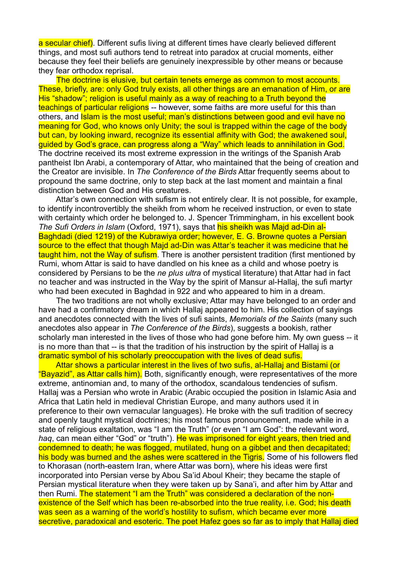a secular chief). Different sufis living at different times have clearly believed different things, and most sufi authors tend to retreat into paradox at crucial moments, either because they feel their beliefs are genuinely inexpressible by other means or because they fear orthodox reprisal.

The doctrine is elusive, but certain tenets emerge as common to most accounts. These, briefly, are: only God truly exists, all other things are an emanation of Him, or are His "shadow"; religion is useful mainly as a way of reaching to a Truth beyond the teachings of particular religions -- however, some faiths are more useful for this than others, and **Islam is the most useful; man's distinctions between good and evil have no** meaning for God, who knows only Unity; the soul is trapped within the cage of the body but can, by looking inward, recognize its essential affinity with God; the awakened soul, guided by God's grace, can progress along a "Way" which leads to annihilation in God. The doctrine received its most extreme expression in the writings of the Spanish Arab pantheist Ibn Arabi, a contemporary of Attar, who maintained that the being of creation and the Creator are invisible. In *The Conference of the Birds* Attar frequently seems about to propound the same doctrine, only to step back at the last moment and maintain a final distinction between God and His creatures.

Attar's own connection with sufism is not entirely clear. It is not possible, for example, to identify incontrovertibly the sheikh from whom he received instruction, or even to state with certainty which order he belonged to. J. Spencer Trimmingham, in his excellent book *The Sufi Orders in Islam* (Oxford, 1971), says that his sheikh was Majd ad-Din al-Baghdadi (died 1219) of the Kubrawiya order; however, E. G. Browne quotes a Persian source to the effect that though Majd ad-Din was Attar's teacher it was medicine that he taught him, not the Way of sufism. There is another persistent tradition (first mentioned by Rumi, whom Attar is said to have dandled on his knee as a child and whose poetry is considered by Persians to be the *ne plus ultra* of mystical literature) that Attar had in fact no teacher and was instructed in the Way by the spirit of Mansur al-Hallaj, the sufi martyr who had been executed in Baghdad in 922 and who appeared to him in a dream.

The two traditions are not wholly exclusive; Attar may have belonged to an order and have had a confirmatory dream in which Hallaj appeared to him. His collection of sayings and anecdotes connected with the lives of sufi saints, *Memorials of the Saints* (many such anecdotes also appear in *The Conference of the Birds*), suggests a bookish, rather scholarly man interested in the lives of those who had gone before him. My own guess -- it is no more than that -- is that the tradition of his instruction by the spirit of Hallaj is a dramatic symbol of his scholarly preoccupation with the lives of dead sufis.

Attar shows a particular interest in the lives of two sufis, al-Hallaj and Bistami (or "Bayazid", as Attar calls him). Both, significantly enough, were representatives of the more extreme, antinomian and, to many of the orthodox, scandalous tendencies of sufism. Hallaj was a Persian who wrote in Arabic (Arabic occupied the position in Islamic Asia and Africa that Latin held in medieval Christian Europe, and many authors used it in preference to their own vernacular languages). He broke with the sufi tradition of secrecy and openly taught mystical doctrines; his most famous pronouncement, made while in a state of religious exaltation, was "I am the Truth" (or even "I am God": the relevant word, *haq*, can mean either "God" or "truth"). He was imprisoned for eight years, then tried and condemned to death; he was flogged, mutilated, hung on a gibbet and then decapitated; his body was burned and the ashes were scattered in the Tigris. Some of his followers fled to Khorasan (north-eastern Iran, where Attar was born), where his ideas were first incorporated into Persian verse by Abou Sa'id Aboul Kheir; they became the staple of Persian mystical literature when they were taken up by Sana'i, and after him by Attar and then Rumi. The statement "I am the Truth" was considered a declaration of the nonexistence of the Self which has been re-absorbed into the true reality, i.e. God; his death was seen as a warning of the world's hostility to sufism, which became ever more secretive, paradoxical and esoteric. The poet Hafez goes so far as to imply that Hallaj died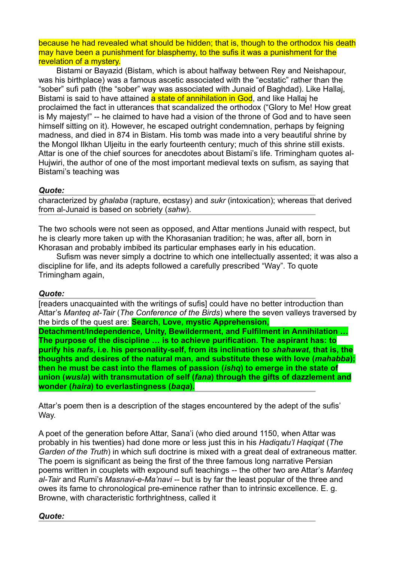because he had revealed what should be hidden; that is, though to the orthodox his death may have been a punishment for blasphemy, to the sufis it was a punishment for the revelation of a mystery.

 Bistami or Bayazid (Bistam, which is about halfway between Rey and Neishapour, was his birthplace) was a famous ascetic associated with the "ecstatic" rather than the "sober" sufi path (the "sober" way was associated with Junaid of Baghdad). Like Hallaj, Bistami is said to have attained a state of annihilation in God, and like Hallaj he proclaimed the fact in utterances that scandalized the orthodox ("Glory to Me! How great is My majesty!" -- he claimed to have had a vision of the throne of God and to have seen himself sitting on it). However, he escaped outright condemnation, perhaps by feigning madness, and died in 874 in Bistam. His tomb was made into a very beautiful shrine by the Mongol Ilkhan Uljeitu in the early fourteenth century; much of this shrine still exists. Attar is one of the chief sources for anecdotes about Bistami's life. Trimingham quotes al-Hujwiri, the author of one of the most important medieval texts on sufism, as saying that Bistami's teaching was

# *Quote:*

characterized by *ghalaba* (rapture, ecstasy) and *sukr* (intoxication); whereas that derived from al-Junaid is based on sobriety (*sahw*).

The two schools were not seen as opposed, and Attar mentions Junaid with respect, but he is clearly more taken up with the Khorasanian tradition; he was, after all, born in Khorasan and probably imbibed its particular emphases early in his education.

 Sufism was never simply a doctrine to which one intellectually assented; it was also a discipline for life, and its adepts followed a carefully prescribed "Way". To quote Trimingham again,

#### *Quote:*

[readers unacquainted with the writings of sufis] could have no better introduction than Attar's *Manteq at-Tair* (*The Conference of the Birds*) where the seven valleys traversed by the birds of the quest are: **Search, Love, mystic Apprehension, Detachment/Independence, Unity, Bewilderment, and Fulfilment in Annihilation … The purpose of the discipline … is to achieve purification. The aspirant has: to purify his** *nafs***, i.e. his personality-self, from its inclination to** *shahawat***, that is, the thoughts and desires of the natural man, and substitute these with love (***mahabba***); then he must be cast into the flames of passion (***ishq***) to emerge in the state of union (***wusla***) with transmutation of self (***fana***) through the gifts of dazzlement and wonder (***haira***) to everlastingness (***baqa***).**

Attar's poem then is a description of the stages encountered by the adept of the sufis' Way.

A poet of the generation before Attar, Sana'i (who died around 1150, when Attar was probably in his twenties) had done more or less just this in his *Hadiqatu'l Haqiqat* (*The Garden of the Truth*) in which sufi doctrine is mixed with a great deal of extraneous matter. The poem is significant as being the first of the three famous long narrative Persian poems written in couplets with expound sufi teachings -- the other two are Attar's *Manteq al-Tair* and Rumi's *Masnavi-e-Ma'navi* -- but is by far the least popular of the three and owes its fame to chronological pre-eminence rather than to intrinsic excellence. E. g. Browne, with characteristic forthrightness, called it

#### *Quote:*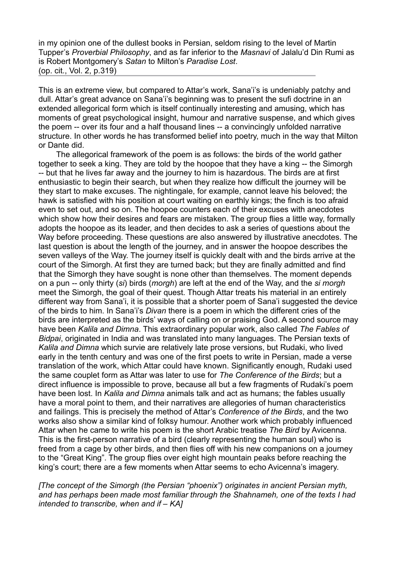in my opinion one of the dullest books in Persian, seldom rising to the level of Martin Tupper's *Proverbial Philosophy*, and as far inferior to the *Masnavi* of Jalalu'd Din Rumi as is Robert Montgomery's *Satan* to Milton's *Paradise Lost*. (op. cit., Vol. 2, p.319)

This is an extreme view, but compared to Attar's work, Sana'i's is undeniably patchy and dull. Attar's great advance on Sana'i's beginning was to present the sufi doctrine in an extended allegorical form which is itself continually interesting and amusing, which has moments of great psychological insight, humour and narrative suspense, and which gives the poem -- over its four and a half thousand lines -- a convincingly unfolded narrative structure. In other words he has transformed belief into poetry, much in the way that Milton or Dante did.

The allegorical framework of the poem is as follows: the birds of the world gather together to seek a king. They are told by the hoopoe that they have a king -- the Simorgh -- but that he lives far away and the journey to him is hazardous. The birds are at first enthusiastic to begin their search, but when they realize how difficult the journey will be they start to make excuses. The nightingale, for example, cannot leave his beloved; the hawk is satisfied with his position at court waiting on earthly kings; the finch is too afraid even to set out, and so on. The hoopoe counters each of their excuses with anecdotes which show how their desires and fears are mistaken. The group flies a little way, formally adopts the hoopoe as its leader, and then decides to ask a series of questions about the Way before proceeding. These questions are also answered by illustrative anecdotes. The last question is about the length of the journey, and in answer the hoopoe describes the seven valleys of the Way. The journey itself is quickly dealt with and the birds arrive at the court of the Simorgh. At first they are turned back; but they are finally admitted and find that the Simorgh they have sought is none other than themselves. The moment depends on a pun -- only thirty (*si*) birds (*morgh*) are left at the end of the Way, and the *si morgh* meet the Simorgh, the goal of their quest. Though Attar treats his material in an entirely different way from Sana'i, it is possible that a shorter poem of Sana'i suggested the device of the birds to him. In Sana'i's *Divan* there is a poem in which the different cries of the birds are interpreted as the birds' ways of calling on or praising God. A second source may have been *Kalila and Dimna*. This extraordinary popular work, also called *The Fables of Bidpai*, originated in India and was translated into many languages. The Persian texts of *Kalila and Dimna* which survie are relatively late prose versions, but Rudaki, who lived early in the tenth century and was one of the first poets to write in Persian, made a verse translation of the work, which Attar could have known. Significantly enough, Rudaki used the same couplet form as Attar was later to use for *The Conference of the Birds*; but a direct influence is impossible to prove, because all but a few fragments of Rudaki's poem have been lost. In *Kalila and Dimna* animals talk and act as humans; the fables usually have a moral point to them, and their narratives are allegories of human characteristics and failings. This is precisely the method of Attar's *Conference of the Birds*, and the two works also show a similar kind of folksy humour. Another work which probably influenced Attar when he came to write his poem is the short Arabic treatise *The Bird* by Avicenna. This is the first-person narrative of a bird (clearly representing the human soul) who is freed from a cage by other birds, and then flies off with his new companions on a journey to the "Great King". The group flies over eight high mountain peaks before reaching the king's court; there are a few moments when Attar seems to echo Avicenna's imagery.

*[The concept of the Simorgh (the Persian "phoenix") originates in ancient Persian myth, and has perhaps been made most familiar through the Shahnameh, one of the texts I had intended to transcribe, when and if – KA]*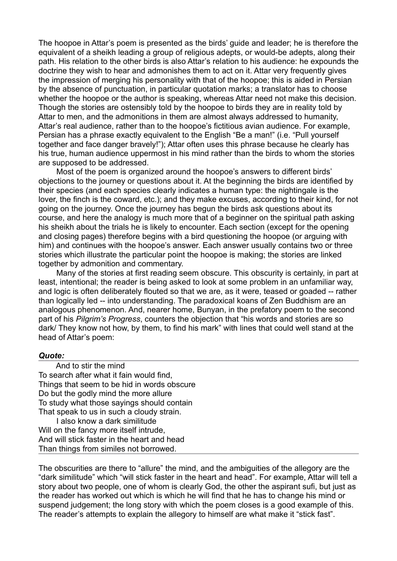The hoopoe in Attar's poem is presented as the birds' guide and leader; he is therefore the equivalent of a sheikh leading a group of religious adepts, or would-be adepts, along their path. His relation to the other birds is also Attar's relation to his audience: he expounds the doctrine they wish to hear and admonishes them to act on it. Attar very frequently gives the impression of merging his personality with that of the hoopoe; this is aided in Persian by the absence of punctuation, in particular quotation marks; a translator has to choose whether the hoopoe or the author is speaking, whereas Attar need not make this decision. Though the stories are ostensibly told by the hoopoe to birds they are in reality told by Attar to men, and the admonitions in them are almost always addressed to humanity, Attar's real audience, rather than to the hoopoe's fictitious avian audience. For example, Persian has a phrase exactly equivalent to the English "Be a man!" (i.e. "Pull yourself together and face danger bravely!"); Attar often uses this phrase because he clearly has his true, human audience uppermost in his mind rather than the birds to whom the stories are supposed to be addressed.

 Most of the poem is organized around the hoopoe's answers to different birds' objections to the journey or questions about it. At the beginning the birds are identified by their species (and each species clearly indicates a human type: the nightingale is the lover, the finch is the coward, etc.); and they make excuses, according to their kind, for not going on the journey. Once the journey has begun the birds ask questions about its course, and here the analogy is much more that of a beginner on the spiritual path asking his sheikh about the trials he is likely to encounter. Each section (except for the opening and closing pages) therefore begins with a bird questioning the hoopoe (or arguing with him) and continues with the hoopoe's answer. Each answer usually contains two or three stories which illustrate the particular point the hoopoe is making; the stories are linked together by admonition and commentary.

 Many of the stories at first reading seem obscure. This obscurity is certainly, in part at least, intentional; the reader is being asked to look at some problem in an unfamiliar way, and logic is often deliberately flouted so that we are, as it were, teased or goaded -- rather than logically led -- into understanding. The paradoxical koans of Zen Buddhism are an analogous phenomenon. And, nearer home, Bunyan, in the prefatory poem to the second part of his *Pilgrim's Progress*, counters the objection that "his words and stories are so dark/ They know not how, by them, to find his mark" with lines that could well stand at the head of Attar's poem:

#### *Quote:*

And to stir the mind To search after what it fain would find, Things that seem to be hid in words obscure Do but the godly mind the more allure To study what those sayings should contain That speak to us in such a cloudy strain. I also know a dark similitude Will on the fancy more itself intrude,

And will stick faster in the heart and head

Than things from similes not borrowed.

The obscurities are there to "allure" the mind, and the ambiguities of the allegory are the "dark similitude" which "will stick faster in the heart and head". For example, Attar will tell a story about two people, one of whom is clearly God, the other the aspirant sufi, but just as the reader has worked out which is which he will find that he has to change his mind or suspend judgement; the long story with which the poem closes is a good example of this. The reader's attempts to explain the allegory to himself are what make it "stick fast".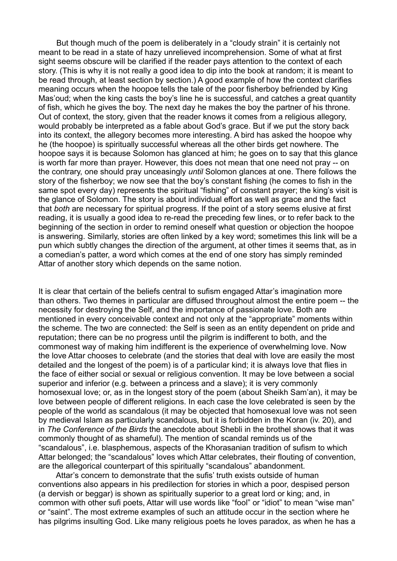But though much of the poem is deliberately in a "cloudy strain" it is certainly not meant to be read in a state of hazy unrelieved incomprehension. Some of what at first sight seems obscure will be clarified if the reader pays attention to the context of each story. (This is why it is not really a good idea to dip into the book at random; it is meant to be read through, at least section by section.) A good example of how the context clarifies meaning occurs when the hoopoe tells the tale of the poor fisherboy befriended by King Mas'oud; when the king casts the boy's line he is successful, and catches a great quantity of fish, which he gives the boy. The next day he makes the boy the partner of his throne. Out of context, the story, given that the reader knows it comes from a religious allegory, would probably be interpreted as a fable about God's grace. But if we put the story back into its context, the allegory becomes more interesting. A bird has asked the hoopoe why he (the hoopoe) is spiritually successful whereas all the other birds get nowhere. The hoopoe says it is because Solomon has glanced at him; he goes on to say that this glance is worth far more than prayer. However, this does not mean that one need not pray -- on the contrary, one should pray unceasingly *until* Solomon glances at one. There follows the story of the fisherboy; we now see that the boy's constant fishing (he comes to fish in the same spot every day) represents the spiritual "fishing" of constant prayer; the king's visit is the glance of Solomon. The story is about individual effort as well as grace and the fact that *both* are necessary for spiritual progress. If the point of a story seems elusive at first reading, it is usually a good idea to re-read the preceding few lines, or to refer back to the beginning of the section in order to remind oneself what question or objection the hoopoe is answering. Similarly, stories are often linked by a key word; sometimes this link will be a pun which subtly changes the direction of the argument, at other times it seems that, as in a comedian's patter, a word which comes at the end of one story has simply reminded Attar of another story which depends on the same notion.

It is clear that certain of the beliefs central to sufism engaged Attar's imagination more than others. Two themes in particular are diffused throughout almost the entire poem -- the necessity for destroying the Self, and the importance of passionate love. Both are mentioned in every conceivable context and not only at the "appropriate" moments within the scheme. The two are connected: the Self is seen as an entity dependent on pride and reputation; there can be no progress until the pilgrim is indifferent to both, and the commonest way of making him indifferent is the experience of overwhelming love. Now the love Attar chooses to celebrate (and the stories that deal with love are easily the most detailed and the longest of the poem) is of a particular kind; it is always love that flies in the face of either social or sexual or religious convention. It may be love between a social superior and inferior (e.g. between a princess and a slave); it is very commonly homosexual love; or, as in the longest story of the poem (about Sheikh Sam'an), it may be love between people of different religions. In each case the love celebrated is seen by the people of the world as scandalous (it may be objected that homosexual love was not seen by medieval Islam as particularly scandalous, but it is forbidden in the Koran (iv. 20), and in *The Conference of the Birds* the anecdote about Shebli in the brothel shows that it was commonly thought of as shameful). The mention of scandal reminds us of the "scandalous", i.e. blasphemous, aspects of the Khorasanian tradition of sufism to which Attar belonged; the "scandalous" loves which Attar celebrates, their flouting of convention, are the allegorical counterpart of this spiritually "scandalous" abandonment.

Attar's concern to demonstrate that the sufis' truth exists outside of human conventions also appears in his predilection for stories in which a poor, despised person (a dervish or beggar) is shown as spiritually superior to a great lord or king; and, in common with other sufi poets, Attar will use words like "fool" or "idiot" to mean "wise man" or "saint". The most extreme examples of such an attitude occur in the section where he has pilgrims insulting God. Like many religious poets he loves paradox, as when he has a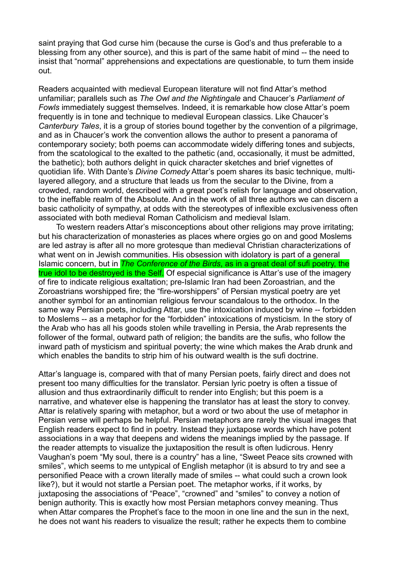saint praying that God curse him (because the curse is God's and thus preferable to a blessing from any other source), and this is part of the same habit of mind -- the need to insist that "normal" apprehensions and expectations are questionable, to turn them inside out.

Readers acquainted with medieval European literature will not find Attar's method unfamiliar; parallels such as *The Owl and the Nightingale* and Chaucer's *Parliament of Fowls* immediately suggest themselves. Indeed, it is remarkable how close Attar's poem frequently is in tone and technique to medieval European classics. Like Chaucer's *Canterbury Tales*, it is a group of stories bound together by the convention of a pilgrimage, and as in Chaucer's work the convention allows the author to present a panorama of contemporary society; both poems can accommodate widely differing tones and subjects, from the scatological to the exalted to the pathetic (and, occasionally, it must be admitted, the bathetic); both authors delight in quick character sketches and brief vignettes of quotidian life. With Dante's *Divine Comedy* Attar's poem shares its basic technique, multilayered allegory, and a structure that leads us from the secular to the Divine, from a crowded, random world, described with a great poet's relish for language and observation, to the ineffable realm of the Absolute. And in the work of all three authors we can discern a basic catholicity of sympathy, at odds with the stereotypes of inflexible exclusiveness often associated with both medieval Roman Catholicism and medieval Islam.

To western readers Attar's misconceptions about other religions may prove irritating; but his characterization of monasteries as places where orgies go on and good Moslems are led astray is after all no more grotesque than medieval Christian characterizations of what went on in Jewish communities. His obsession with idolatory is part of a general Islamic concern, but in *The Conference of the Birds*, as in a great deal of sufi poetry, the true idol to be destroyed is the Self. Of especial significance is Attar's use of the imagery of fire to indicate religious exaltation; pre-Islamic Iran had been Zoroastrian, and the Zoroastrians worshipped fire; the "fire-worshippers" of Persian mystical poetry are yet another symbol for an antinomian religious fervour scandalous to the orthodox. In the same way Persian poets, including Attar, use the intoxication induced by wine -- forbidden to Moslems -- as a metaphor for the "forbidden" intoxications of mysticism. In the story of the Arab who has all his goods stolen while travelling in Persia, the Arab represents the follower of the formal, outward path of religion; the bandits are the sufis, who follow the inward path of mysticism and spiritual poverty; the wine which makes the Arab drunk and which enables the bandits to strip him of his outward wealth is the sufi doctrine.

Attar's language is, compared with that of many Persian poets, fairly direct and does not present too many difficulties for the translator. Persian lyric poetry is often a tissue of allusion and thus extraordinarily difficult to render into English; but this poem is a narrative, and whatever else is happening the translator has at least the story to convey. Attar is relatively sparing with metaphor, but a word or two about the use of metaphor in Persian verse will perhaps be helpful. Persian metaphors are rarely the visual images that English readers expect to find in poetry. Instead they juxtapose words which have potent associations in a way that deepens and widens the meanings implied by the passage. If the reader attempts to visualize the juxtaposition the result is often ludicrous. Henry Vaughan's poem "My soul, there is a country" has a line, "Sweet Peace sits crowned with smiles", which seems to me untypical of English metaphor (it is absurd to try and see a personified Peace with a crown literally made of smiles -- what could such a crown look like?), but it would not startle a Persian poet. The metaphor works, if it works, by juxtaposing the associations of "Peace", "crowned" and "smiles" to convey a notion of benign authority. This is exactly how most Persian metaphors convey meaning. Thus when Attar compares the Prophet's face to the moon in one line and the sun in the next, he does not want his readers to visualize the result; rather he expects them to combine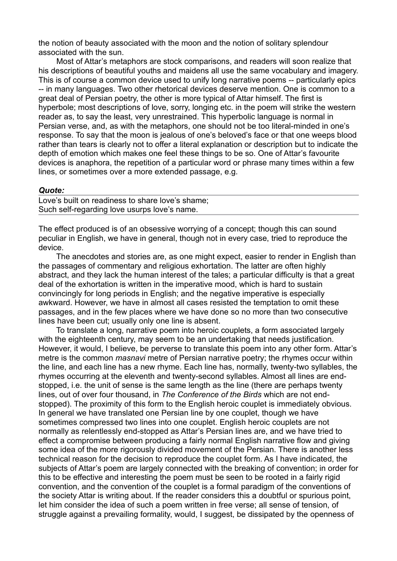the notion of beauty associated with the moon and the notion of solitary splendour associated with the sun.

 Most of Attar's metaphors are stock comparisons, and readers will soon realize that his descriptions of beautiful youths and maidens all use the same vocabulary and imagery. This is of course a common device used to unify long narrative poems -- particularly epics -- in many languages. Two other rhetorical devices deserve mention. One is common to a great deal of Persian poetry, the other is more typical of Attar himself. The first is hyperbole; most descriptions of love, sorry, longing etc. in the poem will strike the western reader as, to say the least, very unrestrained. This hyperbolic language is normal in Persian verse, and, as with the metaphors, one should not be too literal-minded in one's response. To say that the moon is jealous of one's beloved's face or that one weeps blood rather than tears is clearly not to offer a literal explanation or description but to indicate the depth of emotion which makes one feel these things to be so. One of Attar's favourite devices is anaphora, the repetition of a particular word or phrase many times within a few lines, or sometimes over a more extended passage, e.g.

#### *Quote:*

Love's built on readiness to share love's shame; Such self-regarding love usurps love's name.

The effect produced is of an obsessive worrying of a concept; though this can sound peculiar in English, we have in general, though not in every case, tried to reproduce the device.

The anecdotes and stories are, as one might expect, easier to render in English than the passages of commentary and religious exhortation. The latter are often highly abstract, and they lack the human interest of the tales; a particular difficulty is that a great deal of the exhortation is written in the imperative mood, which is hard to sustain convincingly for long periods in English; and the negative imperative is especially awkward. However, we have in almost all cases resisted the temptation to omit these passages, and in the few places where we have done so no more than two consecutive lines have been cut; usually only one line is absent.

To translate a long, narrative poem into heroic couplets, a form associated largely with the eighteenth century, may seem to be an undertaking that needs justification. However, it would, I believe, be perverse to translate this poem into any other form. Attar's metre is the common *masnavi* metre of Persian narrative poetry; the rhymes occur within the line, and each line has a new rhyme. Each line has, normally, twenty-two syllables, the rhymes occurring at the eleventh and twenty-second syllables. Almost all lines are endstopped, i.e. the unit of sense is the same length as the line (there are perhaps twenty lines, out of over four thousand, in *The Conference of the Birds* which are not endstopped). The proximity of this form to the English heroic couplet is immediately obvious. In general we have translated one Persian line by one couplet, though we have sometimes compressed two lines into one couplet. English heroic couplets are not normally as relentlessly end-stopped as Attar's Persian lines are, and we have tried to effect a compromise between producing a fairly normal English narrative flow and giving some idea of the more rigorously divided movement of the Persian. There is another less technical reason for the decision to reproduce the couplet form. As I have indicated, the subjects of Attar's poem are largely connected with the breaking of convention; in order for this to be effective and interesting the poem must be seen to be rooted in a fairly rigid convention, and the convention of the couplet is a formal paradigm of the conventions of the society Attar is writing about. If the reader considers this a doubtful or spurious point, let him consider the idea of such a poem written in free verse; all sense of tension, of struggle against a prevailing formality, would, I suggest, be dissipated by the openness of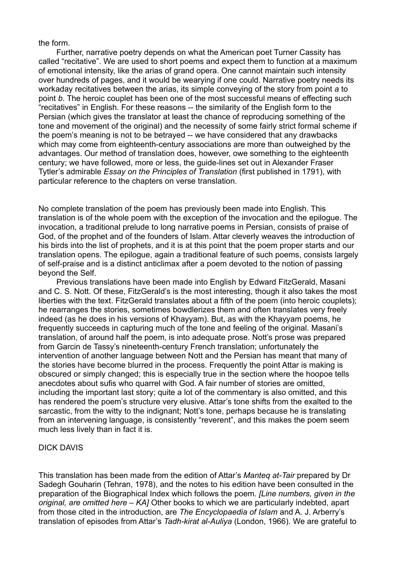the form.

 Further, narrative poetry depends on what the American poet Turner Cassity has called "recitative". We are used to short poems and expect them to function at a maximum of emotional intensity, like the arias of grand opera. One cannot maintain such intensity over hundreds of pages, and it would be wearying if one could. Narrative poetry needs its workaday recitatives between the arias, its simple conveying of the story from point *a* to point *b*. The heroic couplet has been one of the most successful means of effecting such "recitatives" in English. For these reasons -- the similarity of the English form to the Persian (which gives the translator at least the chance of reproducing something of the tone and movement of the original) and the necessity of some fairly strict formal scheme if the poem's meaning is not to be betrayed -- we have considered that any drawbacks which may come from eighteenth-century associations are more than outweighed by the advantages. Our method of translation does, however, owe something to the eighteenth century; we have followed, more or less, the guide-lines set out in Alexander Fraser Tytler's admirable *Essay on the Principles of Translation* (first published in 1791), with particular reference to the chapters on verse translation.

No complete translation of the poem has previously been made into English. This translation is of the whole poem with the exception of the invocation and the epilogue. The invocation, a traditional prelude to long narrative poems in Persian, consists of praise of God, of the prophet and of the founders of Islam. Attar cleverly weaves the introduction of his birds into the list of prophets, and it is at this point that the poem proper starts and our translation opens. The epilogue, again a traditional feature of such poems, consists largely of self-praise and is a distinct anticlimax after a poem devoted to the notion of passing beyond the Self.

 Previous translations have been made into English by Edward FitzGerald, Masani and C. S. Nott. Of these, FitzGerald's is the most interesting, though it also takes the most liberties with the text. FitzGerald translates about a fifth of the poem (into heroic couplets); he rearranges the stories, sometimes bowdlerizes them and often translates very freely indeed (as he does in his versions of Khayyam). But, as with the Khayyam poems, he frequently succeeds in capturing much of the tone and feeling of the original. Masani's translation, of around half the poem, is into adequate prose. Nott's prose was prepared from Garcin de Tassy's nineteenth-century French translation; unfortunately the intervention of another language between Nott and the Persian has meant that many of the stories have become blurred in the process. Frequently the point Attar is making is obscured or simply changed; this is especially true in the section where the hoopoe tells anecdotes about sufis who quarrel with God. A fair number of stories are omitted, including the important last story; quite a lot of the commentary is also omitted, and this has rendered the poem's structure very elusive. Attar's tone shifts from the exalted to the sarcastic, from the witty to the indignant; Nott's tone, perhaps because he is translating from an intervening language, is consistently "reverent", and this makes the poem seem much less lively than in fact it is.

# DICK DAVIS

This translation has been made from the edition of Attar's *Manteq at-Tair* prepared by Dr Sadegh Gouharin (Tehran, 1978), and the notes to his edition have been consulted in the preparation of the Biographical Index which follows the poem. *[Line numbers, given in the original, are omitted here – KA]* Other books to which we are particularly indebted, apart from those cited in the introduction, are *The Encyclopaedia of Islam* and A. J. Arberry's translation of episodes from Attar's *Tadh-kirat al-Auliya* (London, 1966). We are grateful to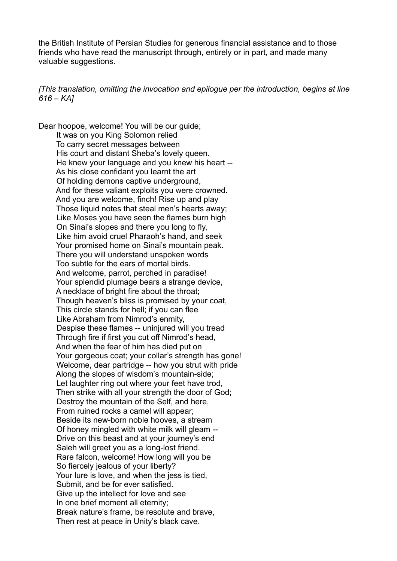the British Institute of Persian Studies for generous financial assistance and to those friends who have read the manuscript through, entirely or in part, and made many valuable suggestions.

*[This translation, omitting the invocation and epilogue per the introduction, begins at line 616 – KA]*

Dear hoopoe, welcome! You will be our guide; It was on you King Solomon relied To carry secret messages between His court and distant Sheba's lovely queen. He knew your language and you knew his heart -- As his close confidant you learnt the art Of holding demons captive underground, And for these valiant exploits you were crowned. And you are welcome, finch! Rise up and play Those liquid notes that steal men's hearts away; Like Moses you have seen the flames burn high On Sinai's slopes and there you long to fly, Like him avoid cruel Pharaoh's hand, and seek Your promised home on Sinai's mountain peak. There you will understand unspoken words Too subtle for the ears of mortal birds. And welcome, parrot, perched in paradise! Your splendid plumage bears a strange device, A necklace of bright fire about the throat; Though heaven's bliss is promised by your coat, This circle stands for hell; if you can flee Like Abraham from Nimrod's enmity, Despise these flames -- uninjured will you tread Through fire if first you cut off Nimrod's head, And when the fear of him has died put on Your gorgeous coat; your collar's strength has gone! Welcome, dear partridge -- how you strut with pride Along the slopes of wisdom's mountain-side; Let laughter ring out where your feet have trod, Then strike with all your strength the door of God; Destroy the mountain of the Self, and here, From ruined rocks a camel will appear; Beside its new-born noble hooves, a stream Of honey mingled with white milk will gleam -- Drive on this beast and at your journey's end Saleh will greet you as a long-lost friend. Rare falcon, welcome! How long will you be So fiercely jealous of your liberty? Your lure is love, and when the jess is tied, Submit, and be for ever satisfied. Give up the intellect for love and see In one brief moment all eternity; Break nature's frame, be resolute and brave, Then rest at peace in Unity's black cave.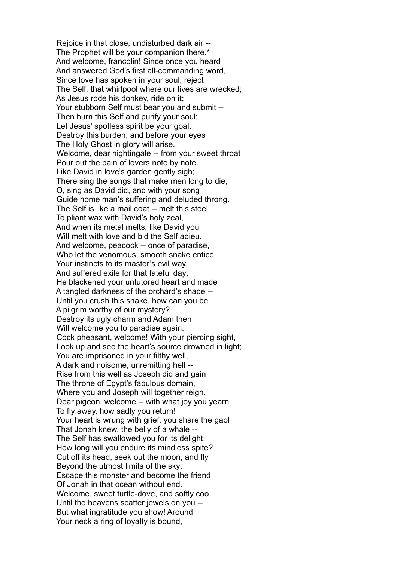Rejoice in that close, undisturbed dark air -- The Prophet will be your companion there.\* And welcome, francolin! Since once you heard And answered God's first all-commanding word, Since love has spoken in your soul, reject The Self, that whirlpool where our lives are wrecked; As Jesus rode his donkey, ride on it; Your stubborn Self must bear you and submit -- Then burn this Self and purify your soul; Let Jesus' spotless spirit be your goal. Destroy this burden, and before your eyes The Holy Ghost in glory will arise. Welcome, dear nightingale -- from your sweet throat Pour out the pain of lovers note by note. Like David in love's garden gently sigh: There sing the songs that make men long to die, O, sing as David did, and with your song Guide home man's suffering and deluded throng. The Self is like a mail coat -- melt this steel To pliant wax with David's holy zeal, And when its metal melts, like David you Will melt with love and bid the Self adieu. And welcome, peacock -- once of paradise, Who let the venomous, smooth snake entice Your instincts to its master's evil way, And suffered exile for that fateful day; He blackened your untutored heart and made A tangled darkness of the orchard's shade -- Until you crush this snake, how can you be A pilgrim worthy of our mystery? Destroy its ugly charm and Adam then Will welcome you to paradise again. Cock pheasant, welcome! With your piercing sight, Look up and see the heart's source drowned in light; You are imprisoned in your filthy well, A dark and noisome, unremitting hell -- Rise from this well as Joseph did and gain The throne of Egypt's fabulous domain. Where you and Joseph will together reign. Dear pigeon, welcome -- with what joy you yearn To fly away, how sadly you return! Your heart is wrung with grief, you share the gaol That Jonah knew, the belly of a whale -- The Self has swallowed you for its delight; How long will you endure its mindless spite? Cut off its head, seek out the moon, and fly Beyond the utmost limits of the sky; Escape this monster and become the friend Of Jonah in that ocean without end. Welcome, sweet turtle-dove, and softly coo Until the heavens scatter jewels on you -- But what ingratitude you show! Around Your neck a ring of loyalty is bound,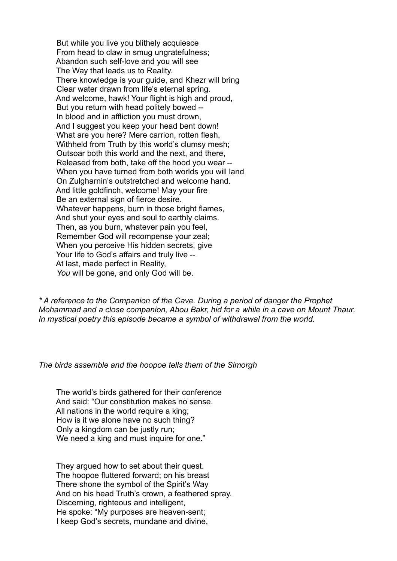But while you live you blithely acquiesce From head to claw in smug ungratefulness; Abandon such self-love and you will see The Way that leads us to Reality. There knowledge is your guide, and Khezr will bring Clear water drawn from life's eternal spring. And welcome, hawk! Your flight is high and proud, But you return with head politely bowed -- In blood and in affliction you must drown, And I suggest you keep your head bent down! What are you here? Mere carrion, rotten flesh, Withheld from Truth by this world's clumsy mesh; Outsoar both this world and the next, and there, Released from both, take off the hood you wear -- When you have turned from both worlds you will land On Zulgharnin's outstretched and welcome hand. And little goldfinch, welcome! May your fire Be an external sign of fierce desire. Whatever happens, burn in those bright flames, And shut your eyes and soul to earthly claims. Then, as you burn, whatever pain you feel, Remember God will recompense your zeal; When you perceive His hidden secrets, give Your life to God's affairs and truly live -- At last, made perfect in Reality, You will be gone, and only God will be.

*\* A reference to the Companion of the Cave. During a period of danger the Prophet Mohammad and a close companion, Abou Bakr, hid for a while in a cave on Mount Thaur. In mystical poetry this episode became a symbol of withdrawal from the world.*

*The birds assemble and the hoopoe tells them of the Simorgh*

The world's birds gathered for their conference And said: "Our constitution makes no sense. All nations in the world require a king; How is it we alone have no such thing? Only a kingdom can be justly run; We need a king and must inquire for one."

They argued how to set about their quest. The hoopoe fluttered forward; on his breast There shone the symbol of the Spirit's Way And on his head Truth's crown, a feathered spray. Discerning, righteous and intelligent, He spoke: "My purposes are heaven-sent; I keep God's secrets, mundane and divine,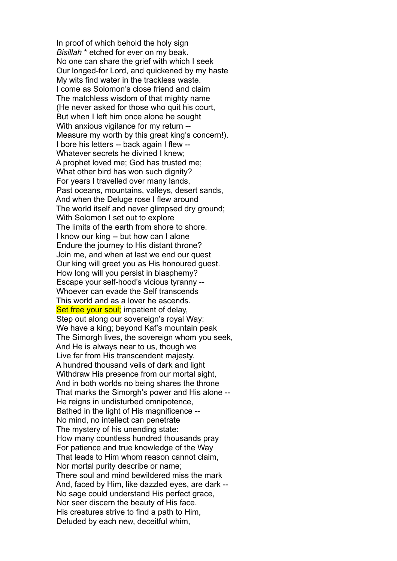In proof of which behold the holy sign *Bisillah* \* etched for ever on my beak. No one can share the grief with which I seek Our longed-for Lord, and quickened by my haste My wits find water in the trackless waste. I come as Solomon's close friend and claim The matchless wisdom of that mighty name (He never asked for those who quit his court, But when I left him once alone he sought With anxious vigilance for my return -- Measure my worth by this great king's concern!). I bore his letters -- back again I flew -- Whatever secrets he divined I knew; A prophet loved me; God has trusted me; What other bird has won such dignity? For years I travelled over many lands, Past oceans, mountains, valleys, desert sands, And when the Deluge rose I flew around The world itself and never glimpsed dry ground; With Solomon I set out to explore The limits of the earth from shore to shore. I know our king -- but how can I alone Endure the journey to His distant throne? Join me, and when at last we end our quest Our king will greet you as His honoured guest. How long will you persist in blasphemy? Escape your self-hood's vicious tyranny -- Whoever can evade the Self transcends This world and as a lover he ascends. Set free your soul; impatient of delay, Step out along our sovereign's royal Way: We have a king; beyond Kaf's mountain peak The Simorgh lives, the sovereign whom you seek, And He is always near to us, though we Live far from His transcendent majesty. A hundred thousand veils of dark and light Withdraw His presence from our mortal sight, And in both worlds no being shares the throne That marks the Simorgh's power and His alone -- He reigns in undisturbed omnipotence, Bathed in the light of His magnificence -- No mind, no intellect can penetrate The mystery of his unending state: How many countless hundred thousands pray For patience and true knowledge of the Way That leads to Him whom reason cannot claim, Nor mortal purity describe or name; There soul and mind bewildered miss the mark And, faced by Him, like dazzled eyes, are dark -- No sage could understand His perfect grace. Nor seer discern the beauty of His face. His creatures strive to find a path to Him, Deluded by each new, deceitful whim,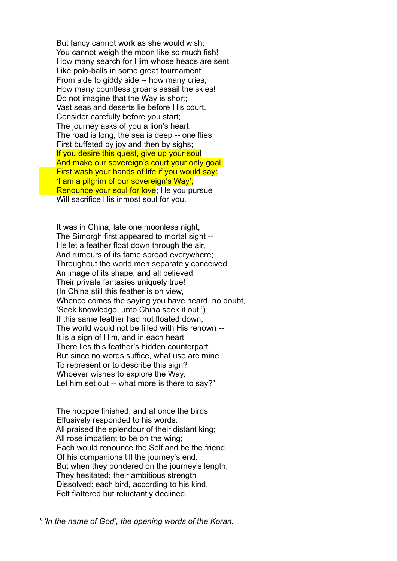But fancy cannot work as she would wish; You cannot weigh the moon like so much fish! How many search for Him whose heads are sent Like polo-balls in some great tournament From side to giddy side -- how many cries, How many countless groans assail the skies! Do not imagine that the Way is short; Vast seas and deserts lie before His court. Consider carefully before you start; The journey asks of you a lion's heart. The road is long, the sea is deep -- one flies First buffeted by joy and then by sighs; If you desire this quest, give up your soul And make our sovereign's court your only goal. First wash your hands of life if you would say: 'I am a pilgrim of our sovereign's Way'; Renounce your soul for love; He you pursue Will sacrifice His inmost soul for you.

 It was in China, late one moonless night, The Simorgh first appeared to mortal sight -- He let a feather float down through the air, And rumours of its fame spread everywhere; Throughout the world men separately conceived An image of its shape, and all believed Their private fantasies uniquely true! (In China still this feather is on view, Whence comes the saying you have heard, no doubt, 'Seek knowledge, unto China seek it out.') If this same feather had not floated down, The world would not be filled with His renown -- It is a sign of Him, and in each heart There lies this feather's hidden counterpart. But since no words suffice, what use are mine To represent or to describe this sign? Whoever wishes to explore the Way, Let him set out -- what more is there to say?"

The hoopoe finished, and at once the birds Effusively responded to his words. All praised the splendour of their distant king; All rose impatient to be on the wing; Each would renounce the Self and be the friend Of his companions till the journey's end. But when they pondered on the journey's length, They hesitated; their ambitious strength Dissolved: each bird, according to his kind, Felt flattered but reluctantly declined.

*\* 'In the name of God', the opening words of the Koran.*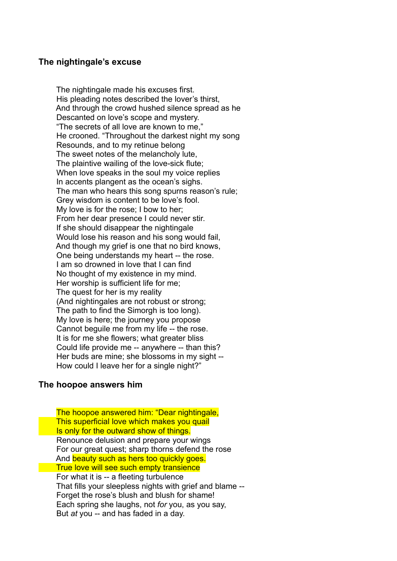#### **The nightingale's excuse**

The nightingale made his excuses first. His pleading notes described the lover's thirst, And through the crowd hushed silence spread as he Descanted on love's scope and mystery. "The secrets of all love are known to me," He crooned. "Throughout the darkest night my song Resounds, and to my retinue belong The sweet notes of the melancholy lute, The plaintive wailing of the love-sick flute; When love speaks in the soul my voice replies In accents plangent as the ocean's sighs. The man who hears this song spurns reason's rule; Grey wisdom is content to be love's fool. My love is for the rose; I bow to her; From her dear presence I could never stir. If she should disappear the nightingale Would lose his reason and his song would fail, And though my grief is one that no bird knows, One being understands my heart -- the rose. I am so drowned in love that I can find No thought of my existence in my mind. Her worship is sufficient life for me; The quest for her is my reality (And nightingales are not robust or strong; The path to find the Simorgh is too long). My love is here; the journey you propose Cannot beguile me from my life -- the rose. It is for me she flowers; what greater bliss Could life provide me -- anywhere -- than this? Her buds are mine; she blossoms in my sight -- How could I leave her for a single night?"

#### **The hoopoe answers him**

The hoopoe answered him: "Dear nightingale, This superficial love which makes you quail Is only for the outward show of things. Renounce delusion and prepare your wings For our great quest; sharp thorns defend the rose And **beauty such as hers too quickly goes.** True love will see such empty transience For what it is -- a fleeting turbulence That fills your sleepless nights with grief and blame -- Forget the rose's blush and blush for shame! Each spring she laughs, not *for* you, as you say, But *at* you -- and has faded in a day.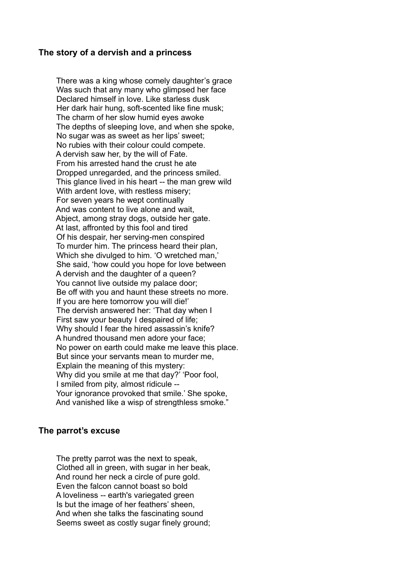#### **The story of a dervish and a princess**

There was a king whose comely daughter's grace Was such that any many who glimpsed her face Declared himself in love. Like starless dusk Her dark hair hung, soft-scented like fine musk; The charm of her slow humid eyes awoke The depths of sleeping love, and when she spoke, No sugar was as sweet as her lips' sweet; No rubies with their colour could compete. A dervish saw her, by the will of Fate. From his arrested hand the crust he ate Dropped unregarded, and the princess smiled. This glance lived in his heart -- the man grew wild With ardent love, with restless misery; For seven years he wept continually And was content to live alone and wait, Abject, among stray dogs, outside her gate. At last, affronted by this fool and tired Of his despair, her serving-men conspired To murder him. The princess heard their plan, Which she divulged to him. 'O wretched man,' She said, 'how could you hope for love between A dervish and the daughter of a queen? You cannot live outside my palace door; Be off with you and haunt these streets no more. If you are here tomorrow you will die!' The dervish answered her: 'That day when I First saw your beauty I despaired of life; Why should I fear the hired assassin's knife? A hundred thousand men adore your face; No power on earth could make me leave this place. But since your servants mean to murder me, Explain the meaning of this mystery: Why did you smile at me that day?' 'Poor fool, I smiled from pity, almost ridicule -- Your ignorance provoked that smile.' She spoke, And vanished like a wisp of strengthless smoke."

# **The parrot's excuse**

The pretty parrot was the next to speak, Clothed all in green, with sugar in her beak, And round her neck a circle of pure gold. Even the falcon cannot boast so bold A loveliness -- earth's variegated green Is but the image of her feathers' sheen, And when she talks the fascinating sound Seems sweet as costly sugar finely ground;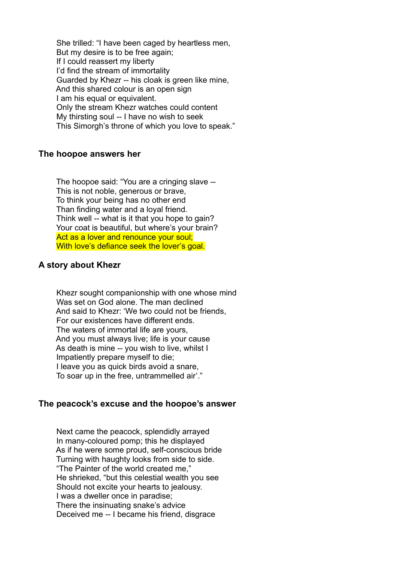She trilled: "I have been caged by heartless men, But my desire is to be free again; If I could reassert my liberty I'd find the stream of immortality Guarded by Khezr -- his cloak is green like mine, And this shared colour is an open sign I am his equal or equivalent. Only the stream Khezr watches could content My thirsting soul -- I have no wish to seek This Simorgh's throne of which you love to speak."

#### **The hoopoe answers her**

The hoopoe said: "You are a cringing slave -- This is not noble, generous or brave, To think your being has no other end Than finding water and a loyal friend. Think well -- what is it that you hope to gain? Your coat is beautiful, but where's your brain? Act as a lover and renounce your soul; With love's defiance seek the lover's goal.

#### **A story about Khezr**

 Khezr sought companionship with one whose mind Was set on God alone. The man declined And said to Khezr: 'We two could not be friends, For our existences have different ends. The waters of immortal life are yours, And you must always live; life is your cause As death is mine -- you wish to live, whilst I Impatiently prepare myself to die; I leave you as quick birds avoid a snare, To soar up in the free, untrammelled air'."

#### **The peacock's excuse and the hoopoe's answer**

 Next came the peacock, splendidly arrayed In many-coloured pomp; this he displayed As if he were some proud, self-conscious bride Turning with haughty looks from side to side. "The Painter of the world created me," He shrieked, "but this celestial wealth you see Should not excite your hearts to jealousy. I was a dweller once in paradise; There the insinuating snake's advice Deceived me -- I became his friend, disgrace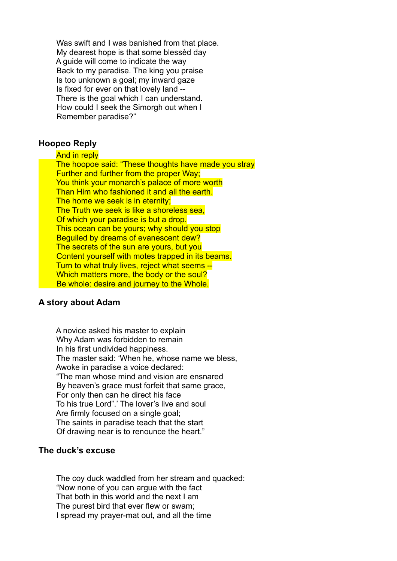Was swift and I was banished from that place. My dearest hope is that some blessèd day A guide will come to indicate the way Back to my paradise. The king you praise Is too unknown a goal; my inward gaze Is fixed for ever on that lovely land -- There is the goal which I can understand. How could I seek the Simorgh out when I Remember paradise?"

# **Hoopeo Reply**

#### And in reply

The hoopoe said: "These thoughts have made you stray Further and further from the proper Way; You think your monarch's palace of more worth Than Him who fashioned it and all the earth. The home we seek is in eternity; The Truth we seek is like a shoreless sea, Of which your paradise is but a drop. This ocean can be yours; why should you stop Beguiled by dreams of evanescent dew? The secrets of the sun are yours, but you Content yourself with motes trapped in its beams. Turn to what truly lives, reject what seems -- Which matters more, the body or the soul? Be whole: desire and journey to the Whole.

# **A story about Adam**

A novice asked his master to explain Why Adam was forbidden to remain In his first undivided happiness. The master said: 'When he, whose name we bless, Awoke in paradise a voice declared: "The man whose mind and vision are ensnared By heaven's grace must forfeit that same grace, For only then can he direct his face To his true Lord".' The lover's live and soul Are firmly focused on a single goal; The saints in paradise teach that the start Of drawing near is to renounce the heart."

# **The duck's excuse**

The coy duck waddled from her stream and quacked: "Now none of you can argue with the fact That both in this world and the next I am The purest bird that ever flew or swam; I spread my prayer-mat out, and all the time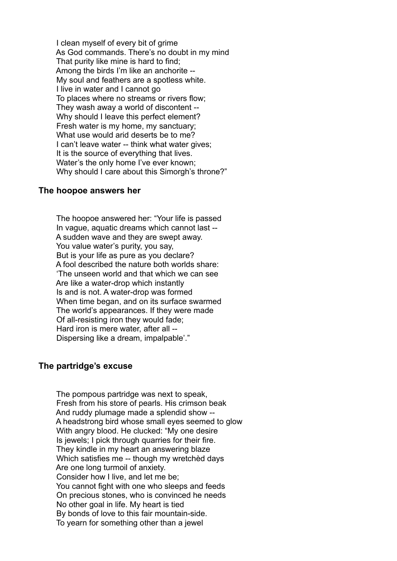I clean myself of every bit of grime As God commands. There's no doubt in my mind That purity like mine is hard to find; Among the birds I'm like an anchorite -- My soul and feathers are a spotless white. I live in water and I cannot go To places where no streams or rivers flow; They wash away a world of discontent -- Why should I leave this perfect element? Fresh water is my home, my sanctuary; What use would arid deserts be to me? I can't leave water -- think what water gives; It is the source of everything that lives. Water's the only home I've ever known; Why should I care about this Simorgh's throne?"

#### **The hoopoe answers her**

The hoopoe answered her: "Your life is passed In vague, aquatic dreams which cannot last -- A sudden wave and they are swept away. You value water's purity, you say, But is your life as pure as you declare? A fool described the nature both worlds share: 'The unseen world and that which we can see Are like a water-drop which instantly Is and is not. A water-drop was formed When time began, and on its surface swarmed The world's appearances. If they were made Of all-resisting iron they would fade; Hard iron is mere water, after all -- Dispersing like a dream, impalpable'."

#### **The partridge's excuse**

The pompous partridge was next to speak, Fresh from his store of pearls. His crimson beak And ruddy plumage made a splendid show -- A headstrong bird whose small eyes seemed to glow With angry blood. He clucked: "My one desire Is jewels; I pick through quarries for their fire. They kindle in my heart an answering blaze Which satisfies me -- though my wretchèd days Are one long turmoil of anxiety. Consider how I live, and let me be; You cannot fight with one who sleeps and feeds On precious stones, who is convinced he needs No other goal in life. My heart is tied By bonds of love to this fair mountain-side. To yearn for something other than a jewel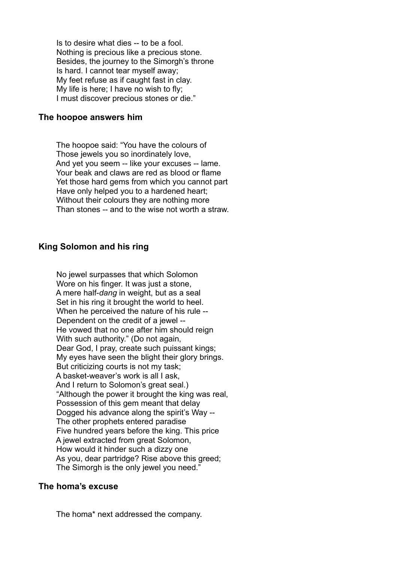Is to desire what dies -- to be a fool. Nothing is precious like a precious stone. Besides, the journey to the Simorgh's throne Is hard. I cannot tear myself away; My feet refuse as if caught fast in clay. My life is here; I have no wish to fly; I must discover precious stones or die."

#### **The hoopoe answers him**

The hoopoe said: "You have the colours of Those jewels you so inordinately love, And yet you seem -- like your excuses -- lame. Your beak and claws are red as blood or flame Yet those hard gems from which you cannot part Have only helped you to a hardened heart; Without their colours they are nothing more Than stones -- and to the wise not worth a straw.

# **King Solomon and his ring**

 No jewel surpasses that which Solomon Wore on his finger. It was just a stone, A mere half-*dang* in weight, but as a seal Set in his ring it brought the world to heel. When he perceived the nature of his rule -- Dependent on the credit of a jewel -- He vowed that no one after him should reign With such authority." (Do not again, Dear God, I pray, create such puissant kings; My eyes have seen the blight their glory brings. But criticizing courts is not my task; A basket-weaver's work is all I ask, And I return to Solomon's great seal.) "Although the power it brought the king was real, Possession of this gem meant that delay Dogged his advance along the spirit's Way -- The other prophets entered paradise Five hundred years before the king. This price A jewel extracted from great Solomon, How would it hinder such a dizzy one As you, dear partridge? Rise above this greed; The Simorgh is the only jewel you need."

# **The homa's excuse**

The homa\* next addressed the company.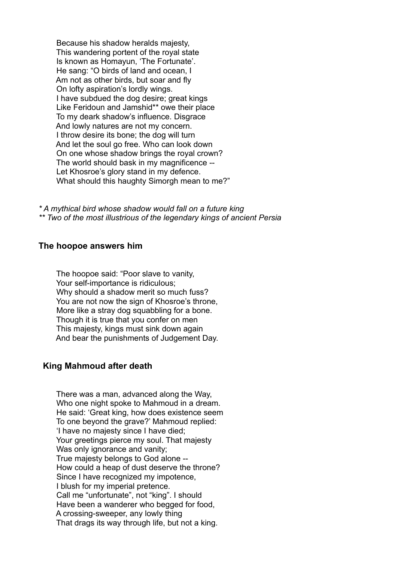Because his shadow heralds majesty, This wandering portent of the royal state Is known as Homayun, 'The Fortunate'. He sang: "O birds of land and ocean, I Am not as other birds, but soar and fly On lofty aspiration's lordly wings. I have subdued the dog desire; great kings Like Feridoun and Jamshid\*\* owe their place To my deark shadow's influence. Disgrace And lowly natures are not my concern. I throw desire its bone; the dog will turn And let the soul go free. Who can look down On one whose shadow brings the royal crown? The world should bask in my magnificence -- Let Khosroe's glory stand in my defence. What should this haughty Simorgh mean to me?"

*\* A mythical bird whose shadow would fall on a future king \*\* Two of the most illustrious of the legendary kings of ancient Persia*

#### **The hoopoe answers him**

The hoopoe said: "Poor slave to vanity, Your self-importance is ridiculous; Why should a shadow merit so much fuss? You are not now the sign of Khosroe's throne, More like a stray dog squabbling for a bone. Though it is true that you confer on men This majesty, kings must sink down again And bear the punishments of Judgement Day.

#### **King Mahmoud after death**

There was a man, advanced along the Way, Who one night spoke to Mahmoud in a dream. He said: 'Great king, how does existence seem To one beyond the grave?' Mahmoud replied: 'I have no majesty since I have died; Your greetings pierce my soul. That majesty Was only ignorance and vanity; True majesty belongs to God alone -- How could a heap of dust deserve the throne? Since I have recognized my impotence, I blush for my imperial pretence. Call me "unfortunate", not "king". I should Have been a wanderer who begged for food. A crossing-sweeper, any lowly thing That drags its way through life, but not a king.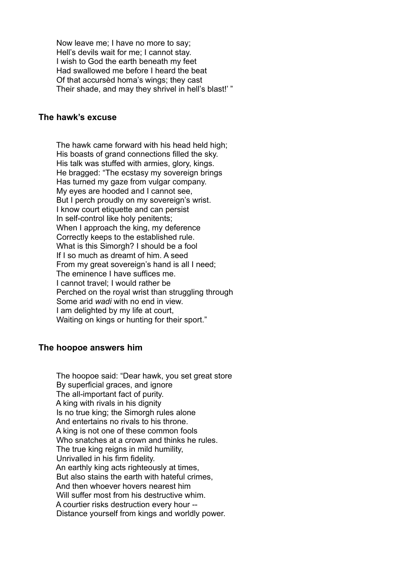Now leave me; I have no more to say; Hell's devils wait for me; I cannot stay. I wish to God the earth beneath my feet Had swallowed me before I heard the beat Of that accursèd homa's wings; they cast Their shade, and may they shrivel in hell's blast!' "

#### **The hawk's excuse**

The hawk came forward with his head held high; His boasts of grand connections filled the sky. His talk was stuffed with armies, glory, kings. He bragged: "The ecstasy my sovereign brings Has turned my gaze from vulgar company. My eyes are hooded and I cannot see, But I perch proudly on my sovereign's wrist. I know court etiquette and can persist In self-control like holy penitents; When I approach the king, my deference Correctly keeps to the established rule. What is this Simorgh? I should be a fool If I so much as dreamt of him. A seed From my great sovereign's hand is all I need; The eminence I have suffices me. I cannot travel; I would rather be Perched on the royal wrist than struggling through Some arid *wadi* with no end in view. I am delighted by my life at court, Waiting on kings or hunting for their sport."

# **The hoopoe answers him**

The hoopoe said: "Dear hawk, you set great store By superficial graces, and ignore The all-important fact of purity. A king with rivals in his dignity Is no true king; the Simorgh rules alone And entertains no rivals to his throne. A king is not one of these common fools Who snatches at a crown and thinks he rules. The true king reigns in mild humility, Unrivalled in his firm fidelity. An earthly king acts righteously at times, But also stains the earth with hateful crimes, And then whoever hovers nearest him Will suffer most from his destructive whim. A courtier risks destruction every hour -- Distance yourself from kings and worldly power.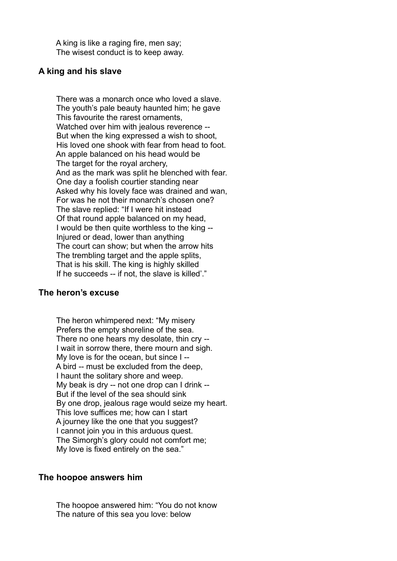A king is like a raging fire, men say; The wisest conduct is to keep away.

#### **A king and his slave**

There was a monarch once who loved a slave. The youth's pale beauty haunted him; he gave This favourite the rarest ornaments, Watched over him with jealous reverence -- But when the king expressed a wish to shoot, His loved one shook with fear from head to foot. An apple balanced on his head would be The target for the royal archery, And as the mark was split he blenched with fear. One day a foolish courtier standing near Asked why his lovely face was drained and wan, For was he not their monarch's chosen one? The slave replied: "If I were hit instead Of that round apple balanced on my head, I would be then quite worthless to the king -- Injured or dead, lower than anything The court can show; but when the arrow hits The trembling target and the apple splits, That is his skill. The king is highly skilled If he succeeds -- if not, the slave is killed'."

# **The heron's excuse**

The heron whimpered next: "My misery Prefers the empty shoreline of the sea. There no one hears my desolate, thin cry -- I wait in sorrow there, there mourn and sigh. My love is for the ocean, but since I -- A bird -- must be excluded from the deep, I haunt the solitary shore and weep. My beak is dry -- not one drop can I drink -- But if the level of the sea should sink By one drop, jealous rage would seize my heart. This love suffices me; how can I start A journey like the one that you suggest? I cannot join you in this arduous quest. The Simorgh's glory could not comfort me; My love is fixed entirely on the sea."

#### **The hoopoe answers him**

The hoopoe answered him: "You do not know The nature of this sea you love: below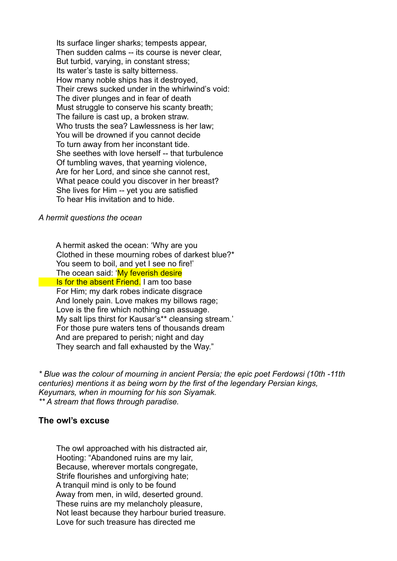Its surface linger sharks; tempests appear, Then sudden calms -- its course is never clear, But turbid, varying, in constant stress; Its water's taste is salty bitterness. How many noble ships has it destroyed, Their crews sucked under in the whirlwind's void: The diver plunges and in fear of death Must struggle to conserve his scanty breath; The failure is cast up, a broken straw. Who trusts the sea? Lawlessness is her law; You will be drowned if you cannot decide To turn away from her inconstant tide. She seethes with love herself -- that turbulence Of tumbling waves, that yearning violence, Are for her Lord, and since she cannot rest, What peace could you discover in her breast? She lives for Him -- yet you are satisfied To hear His invitation and to hide.

#### *A hermit questions the ocean*

A hermit asked the ocean: 'Why are you Clothed in these mourning robes of darkest blue?\* You seem to boil, and yet I see no fire!' The ocean said: 'My feverish desire' Is for the absent Friend. I am too base For Him; my dark robes indicate disgrace And lonely pain. Love makes my billows rage; Love is the fire which nothing can assuage. My salt lips thirst for Kausar's\*\* cleansing stream.' For those pure waters tens of thousands dream And are prepared to perish; night and day They search and fall exhausted by the Way."

*\* Blue was the colour of mourning in ancient Persia; the epic poet Ferdowsi (10th -11th centuries) mentions it as being worn by the first of the legendary Persian kings, Keyumars, when in mourning for his son Siyamak. \*\* A stream that flows through paradise.*

# **The owl's excuse**

The owl approached with his distracted air, Hooting: "Abandoned ruins are my lair, Because, wherever mortals congregate, Strife flourishes and unforgiving hate; A tranquil mind is only to be found Away from men, in wild, deserted ground. These ruins are my melancholy pleasure, Not least because they harbour buried treasure. Love for such treasure has directed me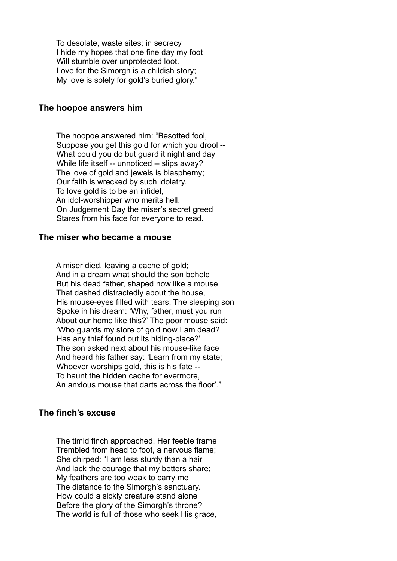To desolate, waste sites; in secrecy I hide my hopes that one fine day my foot Will stumble over unprotected loot. Love for the Simorgh is a childish story; My love is solely for gold's buried glory."

#### **The hoopoe answers him**

The hoopoe answered him: "Besotted fool, Suppose you get this gold for which you drool -- What could you do but guard it night and day While life itself -- unnoticed -- slips away? The love of gold and jewels is blasphemy; Our faith is wrecked by such idolatry. To love gold is to be an infidel, An idol-worshipper who merits hell. On Judgement Day the miser's secret greed Stares from his face for everyone to read.

#### **The miser who became a mouse**

A miser died, leaving a cache of gold; And in a dream what should the son behold But his dead father, shaped now like a mouse That dashed distractedly about the house, His mouse-eyes filled with tears. The sleeping son Spoke in his dream: 'Why, father, must you run About our home like this?' The poor mouse said: 'Who guards my store of gold now I am dead? Has any thief found out its hiding-place?' The son asked next about his mouse-like face And heard his father say: 'Learn from my state; Whoever worships gold, this is his fate --To haunt the hidden cache for evermore, An anxious mouse that darts across the floor'."

# **The finch's excuse**

The timid finch approached. Her feeble frame Trembled from head to foot, a nervous flame; She chirped: "I am less sturdy than a hair And lack the courage that my betters share; My feathers are too weak to carry me The distance to the Simorgh's sanctuary. How could a sickly creature stand alone Before the glory of the Simorgh's throne? The world is full of those who seek His grace,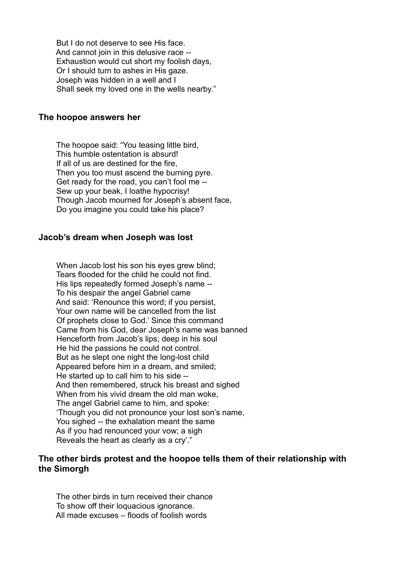But I do not deserve to see His face. And cannot join in this delusive race -- Exhaustion would cut short my foolish days, Or I should turn to ashes in His gaze. Joseph was hidden in a well and I Shall seek my loved one in the wells nearby."

#### **The hoopoe answers her**

The hoopoe said: "You teasing little bird, This humble ostentation is absurd! If all of us are destined for the fire, Then you too must ascend the burning pyre. Get ready for the road, you can't fool me -- Sew up your beak, I loathe hypocrisy! Though Jacob mourned for Joseph's absent face, Do you imagine you could take his place?

#### **Jacob's dream when Joseph was lost**

 When Jacob lost his son his eyes grew blind; Tears flooded for the child he could not find. His lips repeatedly formed Joseph's name -- To his despair the angel Gabriel came And said: 'Renounce this word; if you persist, Your own name will be cancelled from the list Of prophets close to God.' Since this command Came from his God, dear Joseph's name was banned Henceforth from Jacob's lips; deep in his soul He hid the passions he could not control. But as he slept one night the long-lost child Appeared before him in a dream, and smiled; He started up to call him to his side -- And then remembered, struck his breast and sighed When from his vivid dream the old man woke, The angel Gabriel came to him, and spoke: 'Though you did not pronounce your lost son's name, You sighed -- the exhalation meant the same As if you had renounced your vow; a sigh Reveals the heart as clearly as a cry'."

# **The other birds protest and the hoopoe tells them of their relationship with the Simorgh**

The other birds in turn received their chance To show off their loquacious ignorance. All made excuses – floods of foolish words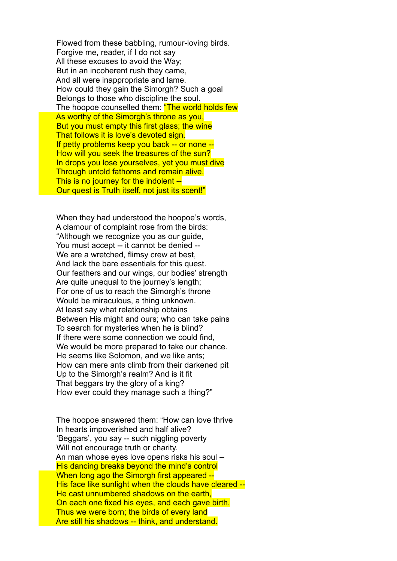Flowed from these babbling, rumour-loving birds. Forgive me, reader, if I do not say All these excuses to avoid the Way; But in an incoherent rush they came, And all were inappropriate and lame. How could they gain the Simorgh? Such a goal Belongs to those who discipline the soul. The hoopoe counselled them: "The world holds few As worthy of the Simorgh's throne as you, But you must empty this first glass; the wine That follows it is love's devoted sign. If petty problems keep you back -- or none -- How will you seek the treasures of the sun? In drops you lose yourselves, yet you must dive Through untold fathoms and remain alive. This is no journey for the indolent --Our quest is Truth itself, not just its scent!"

 When they had understood the hoopoe's words, A clamour of complaint rose from the birds: "Although we recognize you as our guide, You must accept -- it cannot be denied -- We are a wretched, flimsy crew at best, And lack the bare essentials for this quest. Our feathers and our wings, our bodies' strength Are quite unequal to the journey's length; For one of us to reach the Simorgh's throne Would be miraculous, a thing unknown. At least say what relationship obtains Between His might and ours; who can take pains To search for mysteries when he is blind? If there were some connection we could find, We would be more prepared to take our chance. He seems like Solomon, and we like ants; How can mere ants climb from their darkened pit Up to the Simorgh's realm? And is it fit That beggars try the glory of a king? How ever could they manage such a thing?"

The hoopoe answered them: "How can love thrive In hearts impoverished and half alive? 'Beggars', you say -- such niggling poverty Will not encourage truth or charity. An man whose eyes love opens risks his soul -- His dancing breaks beyond the mind's control When long ago the Simorgh first appeared -- His face like sunlight when the clouds have cleared -- He cast unnumbered shadows on the earth, On each one fixed his eyes, and each gave birth. Thus we were born; the birds of every land Are still his shadows -- think, and understand.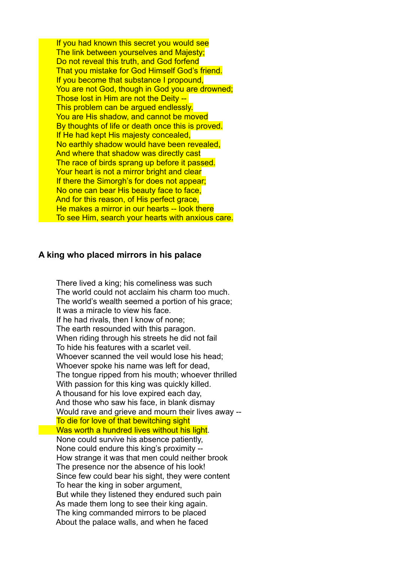If you had known this secret you would see The link between yourselves and Majesty; Do not reveal this truth, and God forfend That you mistake for God Himself God's friend. If you become that substance I propound, You are not God, though in God you are drowned; Those lost in Him are not the Deity -- This problem can be argued endlessly. You are His shadow, and cannot be moved By thoughts of life or death once this is proved. If He had kept His majesty concealed, No earthly shadow would have been revealed, And where that shadow was directly cast The race of birds sprang up before it passed. Your heart is not a mirror bright and clear If there the Simorgh's for does not appear; No one can bear His beauty face to face, And for this reason, of His perfect grace, He makes a mirror in our hearts -- look there To see Him, search your hearts with anxious care.

#### **A king who placed mirrors in his palace**

There lived a king; his comeliness was such The world could not acclaim his charm too much. The world's wealth seemed a portion of his grace; It was a miracle to view his face. If he had rivals, then I know of none; The earth resounded with this paragon. When riding through his streets he did not fail To hide his features with a scarlet veil. Whoever scanned the veil would lose his head: Whoever spoke his name was left for dead, The tongue ripped from his mouth; whoever thrilled With passion for this king was quickly killed. A thousand for his love expired each day, And those who saw his face, in blank dismay Would rave and grieve and mourn their lives away -- To die for love of that bewitching sight Was worth a hundred lives without his light. None could survive his absence patiently, None could endure this king's proximity -- How strange it was that men could neither brook The presence nor the absence of his look! Since few could bear his sight, they were content To hear the king in sober argument, But while they listened they endured such pain As made them long to see their king again. The king commanded mirrors to be placed About the palace walls, and when he faced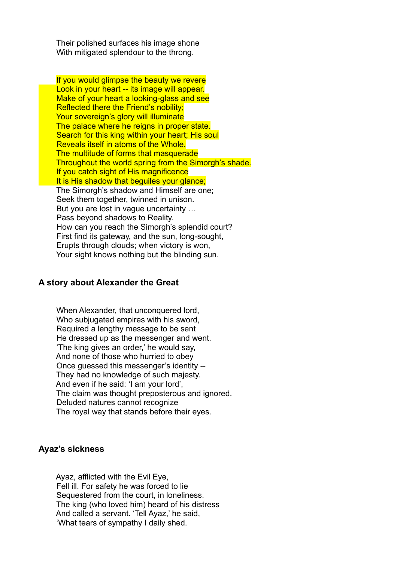Their polished surfaces his image shone With mitigated splendour to the throng.

If you would glimpse the beauty we revere Look in your heart -- its image will appear. Make of your heart a looking-glass and see Reflected there the Friend's nobility; Your sovereign's glory will illuminate The palace where he reigns in proper state. Search for this king within your heart; His soul Reveals itself in atoms of the Whole. The multitude of forms that masquerade Throughout the world spring from the Simorgh's shade. If you catch sight of His magnificence It is His shadow that beguiles your glance; The Simorgh's shadow and Himself are one; Seek them together, twinned in unison. But you are lost in vague uncertainty … Pass beyond shadows to Reality. How can you reach the Simorgh's splendid court? First find its gateway, and the sun, long-sought, Erupts through clouds; when victory is won, Your sight knows nothing but the blinding sun.

#### **A story about Alexander the Great**

 When Alexander, that unconquered lord, Who subjugated empires with his sword, Required a lengthy message to be sent He dressed up as the messenger and went. 'The king gives an order,' he would say, And none of those who hurried to obey Once guessed this messenger's identity -- They had no knowledge of such majesty. And even if he said: 'I am your lord', The claim was thought preposterous and ignored. Deluded natures cannot recognize The royal way that stands before their eyes.

# **Ayaz's sickness**

Ayaz, afflicted with the Evil Eye, Fell ill. For safety he was forced to lie Sequestered from the court, in loneliness. The king (who loved him) heard of his distress And called a servant. 'Tell Ayaz,' he said, 'What tears of sympathy I daily shed.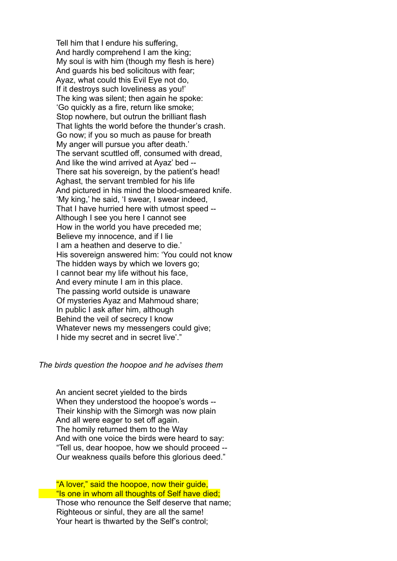Tell him that I endure his suffering, And hardly comprehend I am the king; My soul is with him (though my flesh is here) And guards his bed solicitous with fear; Ayaz, what could this Evil Eye not do, If it destroys such loveliness as you!' The king was silent; then again he spoke: 'Go quickly as a fire, return like smoke; Stop nowhere, but outrun the brilliant flash That lights the world before the thunder's crash. Go now; if you so much as pause for breath My anger will pursue you after death.' The servant scuttled off, consumed with dread, And like the wind arrived at Ayaz' bed -- There sat his sovereign, by the patient's head! Aghast, the servant trembled for his life And pictured in his mind the blood-smeared knife. 'My king,' he said, 'I swear, I swear indeed, That I have hurried here with utmost speed -- Although I see you here I cannot see How in the world you have preceded me; Believe my innocence, and if I lie I am a heathen and deserve to die.' His sovereign answered him: 'You could not know The hidden ways by which we lovers go; I cannot bear my life without his face, And every minute I am in this place. The passing world outside is unaware Of mysteries Ayaz and Mahmoud share; In public I ask after him, although Behind the veil of secrecy I know Whatever news my messengers could give: I hide my secret and in secret live'."

#### *The birds question the hoopoe and he advises them*

An ancient secret yielded to the birds When they understood the hoopoe's words -- Their kinship with the Simorgh was now plain And all were eager to set off again. The homily returned them to the Way And with one voice the birds were heard to say: "Tell us, dear hoopoe, how we should proceed -- Our weakness quails before this glorious deed."

"A lover," said the hoopoe, now their guide, "Is one in whom all thoughts of Self have died; Those who renounce the Self deserve that name; Righteous or sinful, they are all the same! Your heart is thwarted by the Self's control;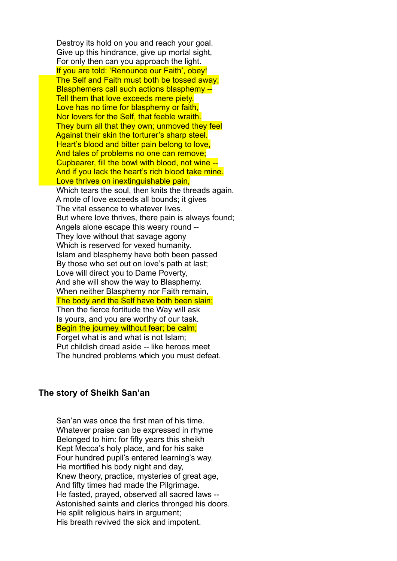Destroy its hold on you and reach your goal. Give up this hindrance, give up mortal sight, For only then can you approach the light. If you are told: 'Renounce our Faith', obey! The Self and Faith must both be tossed away; Blasphemers call such actions blasphemy -- Tell them that love exceeds mere piety. Love has no time for blasphemy or faith, Nor lovers for the Self, that feeble wraith. They burn all that they own; unmoved they feel Against their skin the torturer's sharp steel. Heart's blood and bitter pain belong to love, And tales of problems no one can remove; Cupbearer, fill the bowl with blood, not wine -- And if you lack the heart's rich blood take mine. Love thrives on inextinguishable pain, Which tears the soul, then knits the threads again. A mote of love exceeds all bounds; it gives The vital essence to whatever lives. But where love thrives, there pain is always found; Angels alone escape this weary round -- They love without that savage agony Which is reserved for vexed humanity. Islam and blasphemy have both been passed By those who set out on love's path at last; Love will direct you to Dame Poverty, And she will show the way to Blasphemy. When neither Blasphemy nor Faith remain, The body and the Self have both been slain; Then the fierce fortitude the Way will ask Is yours, and you are worthy of our task. Begin the journey without fear; be calm; Forget what is and what is not Islam; Put childish dread aside -- like heroes meet The hundred problems which you must defeat.

# **The story of Sheikh San'an**

 San'an was once the first man of his time. Whatever praise can be expressed in rhyme Belonged to him: for fifty years this sheikh Kept Mecca's holy place, and for his sake Four hundred pupil's entered learning's way. He mortified his body night and day, Knew theory, practice, mysteries of great age, And fifty times had made the Pilgrimage. He fasted, prayed, observed all sacred laws -- Astonished saints and clerics thronged his doors. He split religious hairs in argument; His breath revived the sick and impotent.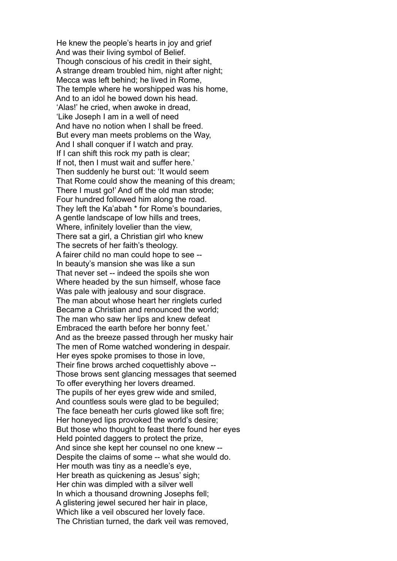He knew the people's hearts in joy and grief And was their living symbol of Belief. Though conscious of his credit in their sight, A strange dream troubled him, night after night; Mecca was left behind; he lived in Rome, The temple where he worshipped was his home, And to an idol he bowed down his head. 'Alas!' he cried, when awoke in dread, 'Like Joseph I am in a well of need And have no notion when I shall be freed. But every man meets problems on the Way, And I shall conquer if I watch and pray. If I can shift this rock my path is clear; If not, then I must wait and suffer here.' Then suddenly he burst out: 'It would seem That Rome could show the meaning of this dream; There I must go!' And off the old man strode: Four hundred followed him along the road. They left the Ka'abah \* for Rome's boundaries, A gentle landscape of low hills and trees, Where, infinitely lovelier than the view, There sat a girl, a Christian girl who knew The secrets of her faith's theology. A fairer child no man could hope to see -- In beauty's mansion she was like a sun That never set -- indeed the spoils she won Where headed by the sun himself, whose face Was pale with jealousy and sour disgrace. The man about whose heart her ringlets curled Became a Christian and renounced the world; The man who saw her lips and knew defeat Embraced the earth before her bonny feet.' And as the breeze passed through her musky hair The men of Rome watched wondering in despair. Her eyes spoke promises to those in love, Their fine brows arched coquettishly above -- Those brows sent glancing messages that seemed To offer everything her lovers dreamed. The pupils of her eyes grew wide and smiled, And countless souls were glad to be beguiled; The face beneath her curls glowed like soft fire; Her honeyed lips provoked the world's desire; But those who thought to feast there found her eyes Held pointed daggers to protect the prize, And since she kept her counsel no one knew -- Despite the claims of some -- what she would do. Her mouth was tiny as a needle's eye, Her breath as quickening as Jesus' sigh; Her chin was dimpled with a silver well In which a thousand drowning Josephs fell; A glistering jewel secured her hair in place, Which like a veil obscured her lovely face. The Christian turned, the dark veil was removed,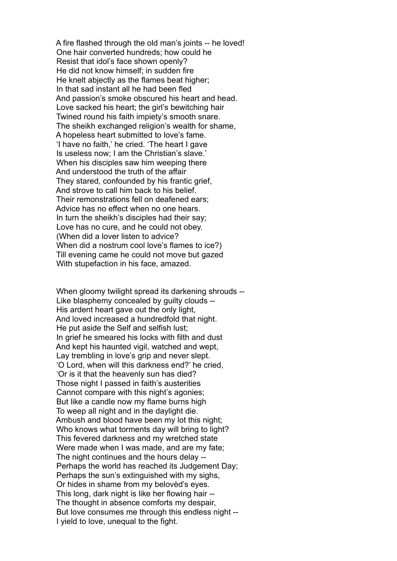A fire flashed through the old man's joints -- he loved! One hair converted hundreds; how could he Resist that idol's face shown openly? He did not know himself; in sudden fire He knelt abjectly as the flames beat higher; In that sad instant all he had been fled And passion's smoke obscured his heart and head. Love sacked his heart; the girl's bewitching hair Twined round his faith impiety's smooth snare. The sheikh exchanged religion's wealth for shame, A hopeless heart submitted to love's fame. 'I have no faith,' he cried. 'The heart I gave Is useless now; I am the Christian's slave.' When his disciples saw him weeping there And understood the truth of the affair They stared, confounded by his frantic grief, And strove to call him back to his belief. Their remonstrations fell on deafened ears; Advice has no effect when no one hears. In turn the sheikh's disciples had their say; Love has no cure, and he could not obey. (When did a lover listen to advice? When did a nostrum cool love's flames to ice?) Till evening came he could not move but gazed With stupefaction in his face, amazed.

When gloomy twilight spread its darkening shrouds -- Like blasphemy concealed by guilty clouds -- His ardent heart gave out the only light, And loved increased a hundredfold that night. He put aside the Self and selfish lust; In grief he smeared his locks with filth and dust And kept his haunted vigil, watched and wept, Lay trembling in love's grip and never slept. 'O Lord, when will this darkness end?' he cried, 'Or is it that the heavenly sun has died? Those night I passed in faith's austerities Cannot compare with this night's agonies; But like a candle now my flame burns high To weep all night and in the daylight die. Ambush and blood have been my lot this night; Who knows what torments day will bring to light? This fevered darkness and my wretched state Were made when I was made, and are my fate; The night continues and the hours delay -- Perhaps the world has reached its Judgement Day; Perhaps the sun's extinguished with my sighs, Or hides in shame from my belovèd's eyes. This long, dark night is like her flowing hair -- The thought in absence comforts my despair, But love consumes me through this endless night -- I yield to love, unequal to the fight.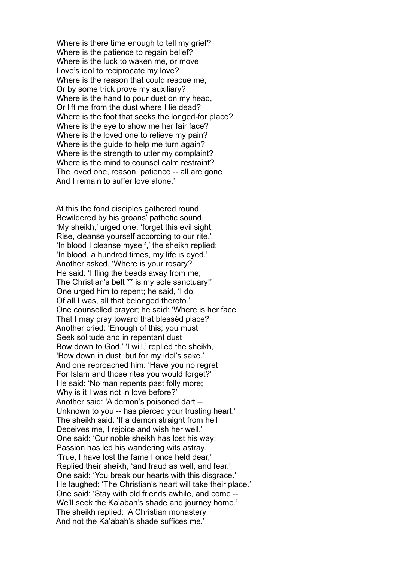Where is there time enough to tell my grief? Where is the patience to regain belief? Where is the luck to waken me, or move Love's idol to reciprocate my love? Where is the reason that could rescue me, Or by some trick prove my auxiliary? Where is the hand to pour dust on my head, Or lift me from the dust where I lie dead? Where is the foot that seeks the longed-for place? Where is the eye to show me her fair face? Where is the loved one to relieve my pain? Where is the quide to help me turn again? Where is the strength to utter my complaint? Where is the mind to counsel calm restraint? The loved one, reason, patience -- all are gone And I remain to suffer love alone.'

At this the fond disciples gathered round, Bewildered by his groans' pathetic sound. 'My sheikh,' urged one, 'forget this evil sight; Rise, cleanse yourself according to our rite.' 'In blood I cleanse myself,' the sheikh replied; 'In blood, a hundred times, my life is dyed.' Another asked, 'Where is your rosary?' He said: 'I fling the beads away from me; The Christian's belt \*\* is my sole sanctuary!' One urged him to repent; he said, 'I do, Of all I was, all that belonged thereto.' One counselled prayer; he said: 'Where is her face That I may pray toward that blessèd place?' Another cried: 'Enough of this; you must Seek solitude and in repentant dust Bow down to God.' 'I will,' replied the sheikh, 'Bow down in dust, but for my idol's sake.' And one reproached him: 'Have you no regret For Islam and those rites you would forget?' He said: 'No man repents past folly more; Why is it I was not in love before?' Another said: 'A demon's poisoned dart -- Unknown to you -- has pierced your trusting heart.' The sheikh said: 'If a demon straight from hell Deceives me, I rejoice and wish her well.' One said: 'Our noble sheikh has lost his way; Passion has led his wandering wits astray.' 'True, I have lost the fame I once held dear,' Replied their sheikh, 'and fraud as well, and fear.' One said: 'You break our hearts with this disgrace.' He laughed: 'The Christian's heart will take their place.' One said: 'Stay with old friends awhile, and come -- We'll seek the Ka'abah's shade and journey home.' The sheikh replied: 'A Christian monastery And not the Ka'abah's shade suffices me.'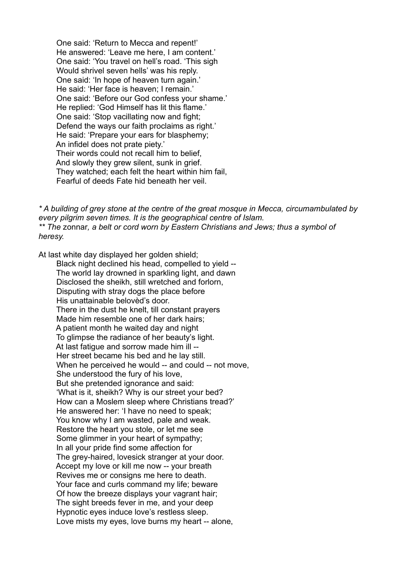One said: 'Return to Mecca and repent!' He answered: 'Leave me here, I am content.' One said: 'You travel on hell's road. 'This sigh Would shrivel seven hells' was his reply. One said: 'In hope of heaven turn again.' He said: 'Her face is heaven; I remain.' One said: 'Before our God confess your shame.' He replied: 'God Himself has lit this flame.' One said: 'Stop vacillating now and fight; Defend the ways our faith proclaims as right.' He said: 'Prepare your ears for blasphemy; An infidel does not prate piety.' Their words could not recall him to belief, And slowly they grew silent, sunk in grief. They watched; each felt the heart within him fail, Fearful of deeds Fate hid beneath her veil.

*\* A building of grey stone at the centre of the great mosque in Mecca, circumambulated by every pilgrim seven times. It is the geographical centre of Islam. \*\* The* zonnar*, a belt or cord worn by Eastern Christians and Jews; thus a symbol of heresy.*

At last white day displayed her golden shield; Black night declined his head, compelled to yield -- The world lay drowned in sparkling light, and dawn Disclosed the sheikh, still wretched and forlorn, Disputing with stray dogs the place before His unattainable belovèd's door. There in the dust he knelt, till constant prayers Made him resemble one of her dark hairs; A patient month he waited day and night To glimpse the radiance of her beauty's light. At last fatigue and sorrow made him ill -- Her street became his bed and he lay still. When he perceived he would -- and could -- not move, She understood the fury of his love, But she pretended ignorance and said: 'What is it, sheikh? Why is our street your bed? How can a Moslem sleep where Christians tread?' He answered her: 'I have no need to speak; You know why I am wasted, pale and weak. Restore the heart you stole, or let me see Some glimmer in your heart of sympathy; In all your pride find some affection for The grey-haired, lovesick stranger at your door. Accept my love or kill me now -- your breath Revives me or consigns me here to death. Your face and curls command my life; beware Of how the breeze displays your vagrant hair; The sight breeds fever in me, and your deep Hypnotic eyes induce love's restless sleep. Love mists my eyes, love burns my heart -- alone,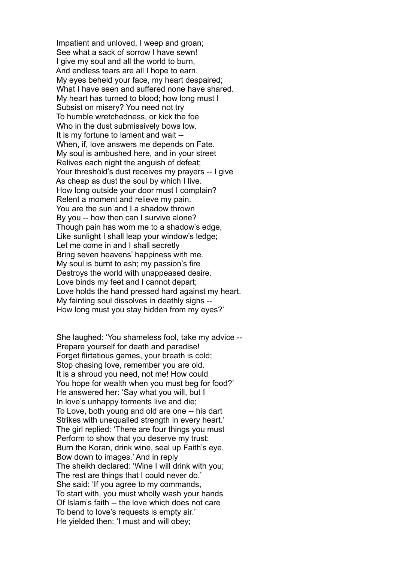Impatient and unloved, I weep and groan; See what a sack of sorrow I have sewn! I give my soul and all the world to burn, And endless tears are all I hope to earn. My eyes beheld your face, my heart despaired; What I have seen and suffered none have shared. My heart has turned to blood; how long must I Subsist on misery? You need not try To humble wretchedness, or kick the foe Who in the dust submissively bows low. It is my fortune to lament and wait -- When, if, love answers me depends on Fate. My soul is ambushed here, and in your street Relives each night the anguish of defeat; Your threshold's dust receives my prayers -- I give As cheap as dust the soul by which I live. How long outside your door must I complain? Relent a moment and relieve my pain. You are the sun and I a shadow thrown By you -- how then can I survive alone? Though pain has worn me to a shadow's edge, Like sunlight I shall leap your window's ledge; Let me come in and I shall secretly Bring seven heavens' happiness with me. My soul is burnt to ash; my passion's fire Destroys the world with unappeased desire. Love binds my feet and I cannot depart; Love holds the hand pressed hard against my heart. My fainting soul dissolves in deathly sighs -- How long must you stay hidden from my eyes?'

 She laughed: 'You shameless fool, take my advice -- Prepare yourself for death and paradise! Forget flirtatious games, your breath is cold; Stop chasing love, remember you are old. It is a shroud you need, not me! How could You hope for wealth when you must beg for food?' He answered her: 'Say what you will, but I In love's unhappy torments live and die; To Love, both young and old are one -- his dart Strikes with unequalled strength in every heart.' The girl replied: 'There are four things you must Perform to show that you deserve my trust: Burn the Koran, drink wine, seal up Faith's eye, Bow down to images.' And in reply The sheikh declared: 'Wine I will drink with you; The rest are things that I could never do.' She said: 'If you agree to my commands, To start with, you must wholly wash your hands Of Islam's faith -- the love which does not care To bend to love's requests is empty air.' He yielded then: 'I must and will obey;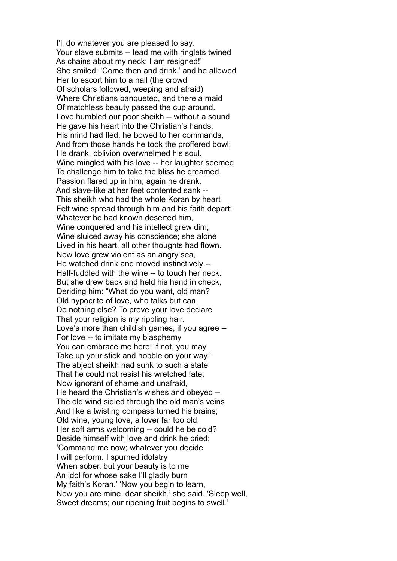I'll do whatever you are pleased to say. Your slave submits -- lead me with ringlets twined As chains about my neck; I am resigned!' She smiled: 'Come then and drink,' and he allowed Her to escort him to a hall (the crowd Of scholars followed, weeping and afraid) Where Christians banqueted, and there a maid Of matchless beauty passed the cup around. Love humbled our poor sheikh -- without a sound He gave his heart into the Christian's hands; His mind had fled, he bowed to her commands, And from those hands he took the proffered bowl; He drank, oblivion overwhelmed his soul. Wine mingled with his love -- her laughter seemed To challenge him to take the bliss he dreamed. Passion flared up in him; again he drank, And slave-like at her feet contented sank -- This sheikh who had the whole Koran by heart Felt wine spread through him and his faith depart; Whatever he had known deserted him, Wine conquered and his intellect grew dim; Wine sluiced away his conscience; she alone Lived in his heart, all other thoughts had flown. Now love grew violent as an angry sea, He watched drink and moved instinctively -- Half-fuddled with the wine -- to touch her neck. But she drew back and held his hand in check, Deriding him: "What do you want, old man? Old hypocrite of love, who talks but can Do nothing else? To prove your love declare That your religion is my rippling hair. Love's more than childish games, if you agree -- For love -- to imitate my blasphemy You can embrace me here; if not, you may Take up your stick and hobble on your way.' The abject sheikh had sunk to such a state That he could not resist his wretched fate; Now ignorant of shame and unafraid. He heard the Christian's wishes and obeyed -- The old wind sidled through the old man's veins And like a twisting compass turned his brains; Old wine, young love, a lover far too old, Her soft arms welcoming -- could he be cold? Beside himself with love and drink he cried: 'Command me now; whatever you decide I will perform. I spurned idolatry When sober, but your beauty is to me An idol for whose sake I'll gladly burn My faith's Koran.' 'Now you begin to learn, Now you are mine, dear sheikh,' she said. 'Sleep well, Sweet dreams; our ripening fruit begins to swell.'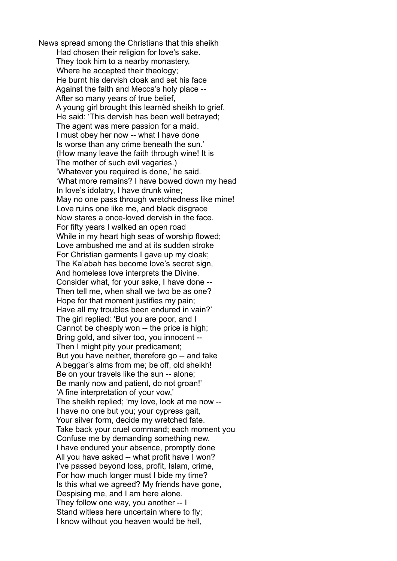News spread among the Christians that this sheikh Had chosen their religion for love's sake. They took him to a nearby monastery, Where he accepted their theology; He burnt his dervish cloak and set his face Against the faith and Mecca's holy place -- After so many years of true belief, A young girl brought this learnèd sheikh to grief. He said: 'This dervish has been well betrayed; The agent was mere passion for a maid. I must obey her now -- what I have done Is worse than any crime beneath the sun.' (How many leave the faith through wine! It is The mother of such evil vagaries.) 'Whatever you required is done,' he said. 'What more remains? I have bowed down my head In love's idolatry, I have drunk wine; May no one pass through wretchedness like mine! Love ruins one like me, and black disgrace Now stares a once-loved dervish in the face. For fifty years I walked an open road While in my heart high seas of worship flowed; Love ambushed me and at its sudden stroke For Christian garments I gave up my cloak; The Ka'abah has become love's secret sign, And homeless love interprets the Divine. Consider what, for your sake, I have done -- Then tell me, when shall we two be as one? Hope for that moment justifies my pain; Have all my troubles been endured in vain?' The girl replied: 'But you are poor, and I Cannot be cheaply won -- the price is high; Bring gold, and silver too, you innocent -- Then I might pity your predicament: But you have neither, therefore go -- and take A beggar's alms from me; be off, old sheikh! Be on your travels like the sun -- alone; Be manly now and patient, do not groan!' 'A fine interpretation of your vow,' The sheikh replied; 'my love, look at me now -- I have no one but you; your cypress gait, Your silver form, decide my wretched fate. Take back your cruel command; each moment you Confuse me by demanding something new. I have endured your absence, promptly done All you have asked -- what profit have I won? I've passed beyond loss, profit, Islam, crime, For how much longer must I bide my time? Is this what we agreed? My friends have gone, Despising me, and I am here alone. They follow one way, you another -- I Stand witless here uncertain where to fly; I know without you heaven would be hell,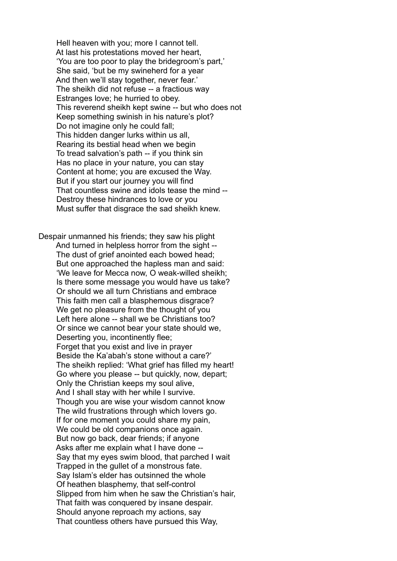Hell heaven with you; more I cannot tell. At last his protestations moved her heart, 'You are too poor to play the bridegroom's part,' She said, 'but be my swineherd for a year And then we'll stay together, never fear.' The sheikh did not refuse -- a fractious way Estranges love; he hurried to obey. This reverend sheikh kept swine -- but who does not Keep something swinish in his nature's plot? Do not imagine only he could fall; This hidden danger lurks within us all, Rearing its bestial head when we begin To tread salvation's path -- if you think sin Has no place in your nature, you can stay Content at home; you are excused the Way. But if you start our journey you will find That countless swine and idols tease the mind -- Destroy these hindrances to love or you Must suffer that disgrace the sad sheikh knew.

Despair unmanned his friends; they saw his plight And turned in helpless horror from the sight -- The dust of grief anointed each bowed head; But one approached the hapless man and said: 'We leave for Mecca now, O weak-willed sheikh; Is there some message you would have us take? Or should we all turn Christians and embrace This faith men call a blasphemous disgrace? We get no pleasure from the thought of you Left here alone -- shall we be Christians too? Or since we cannot bear your state should we, Deserting you, incontinently flee; Forget that you exist and live in prayer Beside the Ka'abah's stone without a care?' The sheikh replied: 'What grief has filled my heart! Go where you please -- but quickly, now, depart; Only the Christian keeps my soul alive, And I shall stay with her while I survive. Though you are wise your wisdom cannot know The wild frustrations through which lovers go. If for one moment you could share my pain, We could be old companions once again. But now go back, dear friends; if anyone Asks after me explain what I have done -- Say that my eyes swim blood, that parched I wait Trapped in the gullet of a monstrous fate. Say Islam's elder has outsinned the whole Of heathen blasphemy, that self-control Slipped from him when he saw the Christian's hair, That faith was conquered by insane despair. Should anyone reproach my actions, say That countless others have pursued this Way,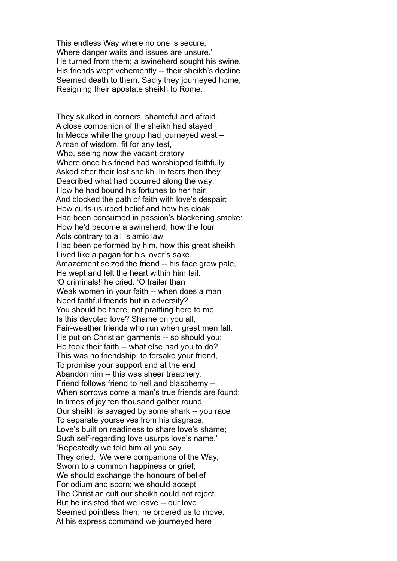This endless Way where no one is secure, Where danger waits and issues are unsure.' He turned from them; a swineherd sought his swine. His friends wept vehemently -- their sheikh's decline Seemed death to them. Sadly they journeyed home, Resigning their apostate sheikh to Rome.

They skulked in corners, shameful and afraid. A close companion of the sheikh had stayed In Mecca while the group had journeyed west -- A man of wisdom, fit for any test, Who, seeing now the vacant oratory Where once his friend had worshipped faithfully, Asked after their lost sheikh. In tears then they Described what had occurred along the way; How he had bound his fortunes to her hair, And blocked the path of faith with love's despair; How curls usurped belief and how his cloak Had been consumed in passion's blackening smoke; How he'd become a swineherd, how the four Acts contrary to all Islamic law Had been performed by him, how this great sheikh Lived like a pagan for his lover's sake. Amazement seized the friend -- his face grew pale, He wept and felt the heart within him fail. 'O criminals!' he cried. 'O frailer than Weak women in your faith -- when does a man Need faithful friends but in adversity? You should be there, not prattling here to me. Is this devoted love? Shame on you all, Fair-weather friends who run when great men fall. He put on Christian garments -- so should you; He took their faith -- what else had you to do? This was no friendship, to forsake your friend, To promise your support and at the end Abandon him -- this was sheer treachery. Friend follows friend to hell and blasphemy -- When sorrows come a man's true friends are found: In times of joy ten thousand gather round. Our sheikh is savaged by some shark -- you race To separate yourselves from his disgrace. Love's built on readiness to share love's shame; Such self-regarding love usurps love's name.' 'Repeatedly we told him all you say,' They cried. 'We were companions of the Way, Sworn to a common happiness or grief; We should exchange the honours of belief For odium and scorn; we should accept The Christian cult our sheikh could not reject. But he insisted that we leave -- our love Seemed pointless then; he ordered us to move. At his express command we journeyed here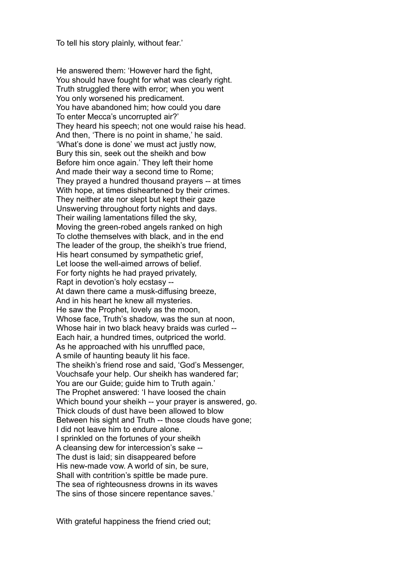To tell his story plainly, without fear.'

 He answered them: 'However hard the fight, You should have fought for what was clearly right. Truth struggled there with error; when you went You only worsened his predicament. You have abandoned him; how could you dare To enter Mecca's uncorrupted air?' They heard his speech; not one would raise his head. And then, 'There is no point in shame,' he said. 'What's done is done' we must act justly now, Bury this sin, seek out the sheikh and bow Before him once again.' They left their home And made their way a second time to Rome; They prayed a hundred thousand prayers -- at times With hope, at times disheartened by their crimes. They neither ate nor slept but kept their gaze Unswerving throughout forty nights and days. Their wailing lamentations filled the sky, Moving the green-robed angels ranked on high To clothe themselves with black, and in the end The leader of the group, the sheikh's true friend, His heart consumed by sympathetic grief, Let loose the well-aimed arrows of belief. For forty nights he had prayed privately, Rapt in devotion's holy ecstasy -- At dawn there came a musk-diffusing breeze, And in his heart he knew all mysteries. He saw the Prophet, lovely as the moon, Whose face, Truth's shadow, was the sun at noon, Whose hair in two black heavy braids was curled -- Each hair, a hundred times, outpriced the world. As he approached with his unruffled pace, A smile of haunting beauty lit his face. The sheikh's friend rose and said, 'God's Messenger, Vouchsafe your help. Our sheikh has wandered far; You are our Guide: quide him to Truth again.' The Prophet answered: 'I have loosed the chain Which bound your sheikh -- your prayer is answered, go. Thick clouds of dust have been allowed to blow Between his sight and Truth -- those clouds have gone; I did not leave him to endure alone. I sprinkled on the fortunes of your sheikh A cleansing dew for intercession's sake -- The dust is laid; sin disappeared before His new-made vow. A world of sin, be sure, Shall with contrition's spittle be made pure. The sea of righteousness drowns in its waves The sins of those sincere repentance saves.'

With grateful happiness the friend cried out;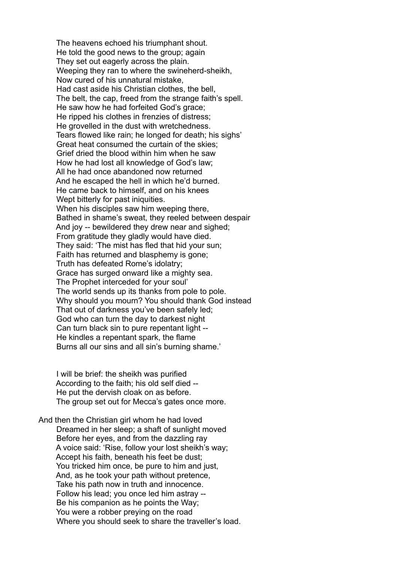The heavens echoed his triumphant shout. He told the good news to the group; again They set out eagerly across the plain. Weeping they ran to where the swineherd-sheikh, Now cured of his unnatural mistake, Had cast aside his Christian clothes, the bell, The belt, the cap, freed from the strange faith's spell. He saw how he had forfeited God's grace; He ripped his clothes in frenzies of distress; He grovelled in the dust with wretchedness. Tears flowed like rain; he longed for death; his sighs' Great heat consumed the curtain of the skies; Grief dried the blood within him when he saw How he had lost all knowledge of God's law; All he had once abandoned now returned And he escaped the hell in which he'd burned. He came back to himself, and on his knees Wept bitterly for past iniquities. When his disciples saw him weeping there, Bathed in shame's sweat, they reeled between despair And joy -- bewildered they drew near and sighed; From gratitude they gladly would have died. They said: 'The mist has fled that hid your sun; Faith has returned and blasphemy is gone; Truth has defeated Rome's idolatry; Grace has surged onward like a mighty sea. The Prophet interceded for your soul' The world sends up its thanks from pole to pole. Why should you mourn? You should thank God instead That out of darkness you've been safely led; God who can turn the day to darkest night Can turn black sin to pure repentant light -- He kindles a repentant spark, the flame Burns all our sins and all sin's burning shame.'

 I will be brief: the sheikh was purified According to the faith; his old self died -- He put the dervish cloak on as before. The group set out for Mecca's gates once more.

And then the Christian girl whom he had loved Dreamed in her sleep; a shaft of sunlight moved Before her eyes, and from the dazzling ray A voice said: 'Rise, follow your lost sheikh's way; Accept his faith, beneath his feet be dust; You tricked him once, be pure to him and just, And, as he took your path without pretence, Take his path now in truth and innocence. Follow his lead; you once led him astray -- Be his companion as he points the Way; You were a robber preying on the road Where you should seek to share the traveller's load.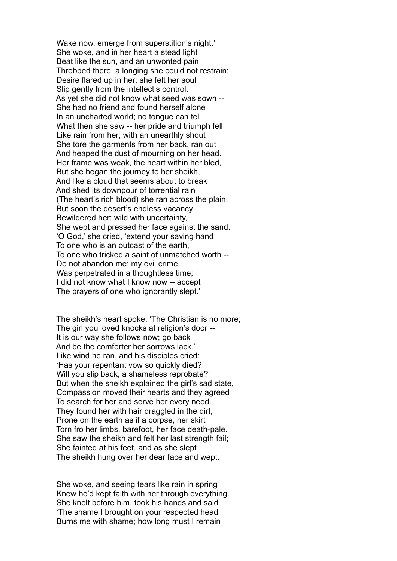Wake now, emerge from superstition's night.' She woke, and in her heart a stead light Beat like the sun, and an unwonted pain Throbbed there, a longing she could not restrain; Desire flared up in her; she felt her soul Slip gently from the intellect's control. As yet she did not know what seed was sown -- She had no friend and found herself alone In an uncharted world; no tongue can tell What then she saw -- her pride and triumph fell Like rain from her; with an unearthly shout She tore the garments from her back, ran out And heaped the dust of mourning on her head. Her frame was weak, the heart within her bled, But she began the journey to her sheikh, And like a cloud that seems about to break And shed its downpour of torrential rain (The heart's rich blood) she ran across the plain. But soon the desert's endless vacancy Bewildered her; wild with uncertainty, She wept and pressed her face against the sand. 'O God,' she cried, 'extend your saving hand To one who is an outcast of the earth, To one who tricked a saint of unmatched worth -- Do not abandon me; my evil crime Was perpetrated in a thoughtless time; I did not know what I know now -- accept The prayers of one who ignorantly slept.'

The sheikh's heart spoke: 'The Christian is no more; The girl you loved knocks at religion's door -- It is our way she follows now; go back And be the comforter her sorrows lack.' Like wind he ran, and his disciples cried: 'Has your repentant vow so quickly died? Will you slip back, a shameless reprobate?' But when the sheikh explained the girl's sad state. Compassion moved their hearts and they agreed To search for her and serve her every need. They found her with hair draggled in the dirt, Prone on the earth as if a corpse, her skirt Torn fro her limbs, barefoot, her face death-pale. She saw the sheikh and felt her last strength fail; She fainted at his feet, and as she slept The sheikh hung over her dear face and wept.

 She woke, and seeing tears like rain in spring Knew he'd kept faith with her through everything. She knelt before him, took his hands and said 'The shame I brought on your respected head Burns me with shame; how long must I remain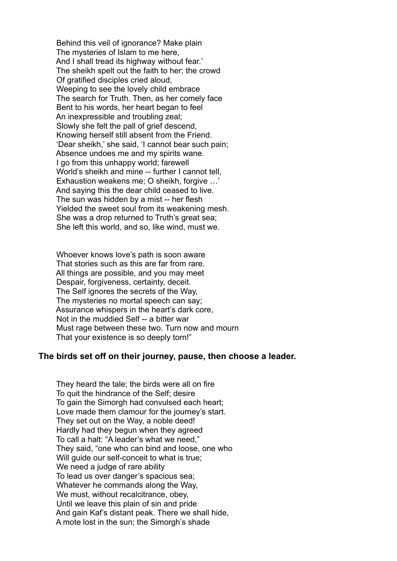Behind this veil of ignorance? Make plain The mysteries of Islam to me here, And I shall tread its highway without fear.' The sheikh spelt out the faith to her; the crowd Of gratified disciples cried aloud, Weeping to see the lovely child embrace The search for Truth. Then, as her comely face Bent to his words, her heart began to feel An inexpressible and troubling zeal; Slowly she felt the pall of grief descend, Knowing herself still absent from the Friend. 'Dear sheikh,' she said, 'I cannot bear such pain; Absence undoes me and my spirits wane. I go from this unhappy world; farewell World's sheikh and mine -- further I cannot tell, Exhaustion weakens me; O sheikh, forgive …' And saying this the dear child ceased to live. The sun was hidden by a mist -- her flesh Yielded the sweet soul from its weakening mesh. She was a drop returned to Truth's great sea; She left this world, and so, like wind, must we.

 Whoever knows love's path is soon aware That stories such as this are far from rare. All things are possible, and you may meet Despair, forgiveness, certainty, deceit. The Self ignores the secrets of the Way. The mysteries no mortal speech can say; Assurance whispers in the heart's dark core, Not in the muddied Self -- a bitter war Must rage between these two. Turn now and mourn That your existence is so deeply torn!"

### **The birds set off on their journey, pause, then choose a leader.**

They heard the tale; the birds were all on fire To quit the hindrance of the Self; desire To gain the Simorgh had convulsed each heart; Love made them clamour for the journey's start. They set out on the Way, a noble deed! Hardly had they begun when they agreed To call a halt: "A leader's what we need," They said, "one who can bind and loose, one who Will quide our self-conceit to what is true; We need a judge of rare ability To lead us over danger's spacious sea; Whatever he commands along the Way, We must, without recalcitrance, obey, Until we leave this plain of sin and pride And gain Kaf's distant peak. There we shall hide, A mote lost in the sun; the Simorgh's shade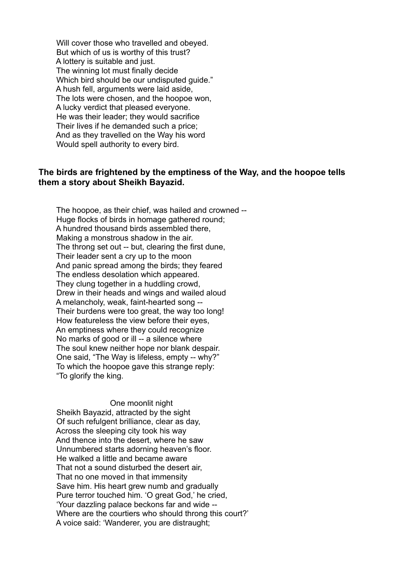Will cover those who travelled and obeyed. But which of us is worthy of this trust? A lottery is suitable and just. The winning lot must finally decide Which bird should be our undisputed quide." A hush fell, arguments were laid aside, The lots were chosen, and the hoopoe won, A lucky verdict that pleased everyone. He was their leader; they would sacrifice Their lives if he demanded such a price; And as they travelled on the Way his word Would spell authority to every bird.

# **The birds are frightened by the emptiness of the Way, and the hoopoe tells them a story about Sheikh Bayazid.**

The hoopoe, as their chief, was hailed and crowned -- Huge flocks of birds in homage gathered round; A hundred thousand birds assembled there, Making a monstrous shadow in the air. The throng set out -- but, clearing the first dune, Their leader sent a cry up to the moon And panic spread among the birds; they feared The endless desolation which appeared. They clung together in a huddling crowd, Drew in their heads and wings and wailed aloud A melancholy, weak, faint-hearted song -- Their burdens were too great, the way too long! How featureless the view before their eyes, An emptiness where they could recognize No marks of good or ill -- a silence where The soul knew neither hope nor blank despair. One said, "The Way is lifeless, empty -- why?" To which the hoopoe gave this strange reply: "To glorify the king.

 One moonlit night Sheikh Bayazid, attracted by the sight Of such refulgent brilliance, clear as day, Across the sleeping city took his way And thence into the desert, where he saw Unnumbered starts adorning heaven's floor. He walked a little and became aware That not a sound disturbed the desert air, That no one moved in that immensity Save him. His heart grew numb and gradually Pure terror touched him. 'O great God,' he cried, 'Your dazzling palace beckons far and wide -- Where are the courtiers who should throng this court?' A voice said: 'Wanderer, you are distraught;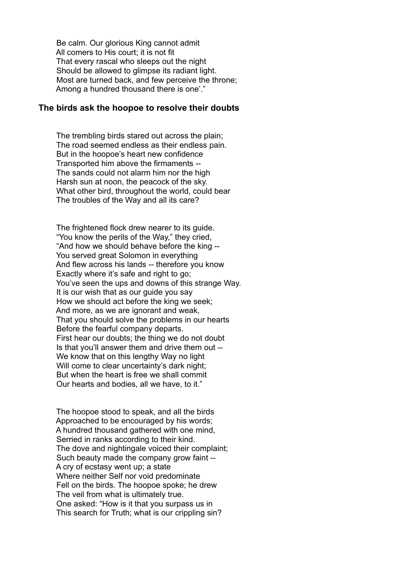Be calm. Our glorious King cannot admit All comers to His court; it is not fit That every rascal who sleeps out the night Should be allowed to glimpse its radiant light. Most are turned back, and few perceive the throne; Among a hundred thousand there is one'."

## **The birds ask the hoopoe to resolve their doubts**

The trembling birds stared out across the plain; The road seemed endless as their endless pain. But in the hoopoe's heart new confidence Transported him above the firmaments -- The sands could not alarm him nor the high Harsh sun at noon, the peacock of the sky. What other bird, throughout the world, could bear The troubles of the Way and all its care?

The frightened flock drew nearer to its guide. "You know the perils of the Way," they cried, "And how we should behave before the king -- You served great Solomon in everything And flew across his lands -- therefore you know Exactly where it's safe and right to go: You've seen the ups and downs of this strange Way. It is our wish that as our guide you say How we should act before the king we seek; And more, as we are ignorant and weak, That you should solve the problems in our hearts Before the fearful company departs. First hear our doubts; the thing we do not doubt Is that you'll answer them and drive them out -- We know that on this lengthy Way no light Will come to clear uncertainty's dark night; But when the heart is free we shall commit Our hearts and bodies, all we have, to it."

The hoopoe stood to speak, and all the birds Approached to be encouraged by his words; A hundred thousand gathered with one mind, Serried in ranks according to their kind. The dove and nightingale voiced their complaint; Such beauty made the company grow faint -- A cry of ecstasy went up; a state Where neither Self nor void predominate Fell on the birds. The hoopoe spoke; he drew The veil from what is ultimately true. One asked: "How is it that you surpass us in This search for Truth; what is our crippling sin?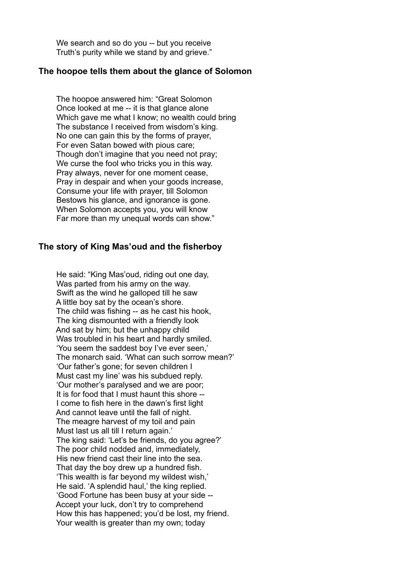We search and so do you -- but you receive Truth's purity while we stand by and grieve."

#### **The hoopoe tells them about the glance of Solomon**

The hoopoe answered him: "Great Solomon Once looked at me -- it is that glance alone Which gave me what I know; no wealth could bring The substance I received from wisdom's king. No one can gain this by the forms of prayer, For even Satan bowed with pious care; Though don't imagine that you need not pray; We curse the fool who tricks you in this way. Pray always, never for one moment cease, Pray in despair and when your goods increase, Consume your life with prayer, till Solomon Bestows his glance, and ignorance is gone. When Solomon accepts you, you will know Far more than my unequal words can show."

## **The story of King Mas'oud and the fisherboy**

 He said: "King Mas'oud, riding out one day, Was parted from his army on the way. Swift as the wind he galloped till he saw A little boy sat by the ocean's shore. The child was fishing -- as he cast his hook, The king dismounted with a friendly look And sat by him; but the unhappy child Was troubled in his heart and hardly smiled. 'You seem the saddest boy I've ever seen,' The monarch said. 'What can such sorrow mean?' 'Our father's gone; for seven children I Must cast my line' was his subdued reply. 'Our mother's paralysed and we are poor; It is for food that I must haunt this shore -- I come to fish here in the dawn's first light And cannot leave until the fall of night. The meagre harvest of my toil and pain Must last us all till I return again.' The king said: 'Let's be friends, do you agree?' The poor child nodded and, immediately, His new friend cast their line into the sea. That day the boy drew up a hundred fish. 'This wealth is far beyond my wildest wish,' He said. 'A splendid haul,' the king replied. 'Good Fortune has been busy at your side -- Accept your luck, don't try to comprehend How this has happened; you'd be lost, my friend. Your wealth is greater than my own; today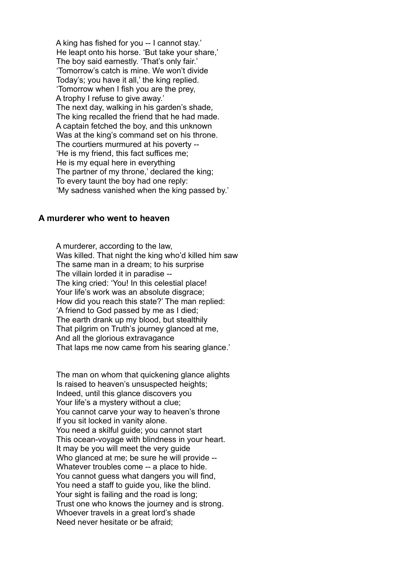A king has fished for you -- I cannot stay.' He leapt onto his horse. 'But take your share,' The boy said earnestly. 'That's only fair.' 'Tomorrow's catch is mine. We won't divide Today's; you have it all,' the king replied. 'Tomorrow when I fish you are the prey, A trophy I refuse to give away.' The next day, walking in his garden's shade, The king recalled the friend that he had made. A captain fetched the boy, and this unknown Was at the king's command set on his throne. The courtiers murmured at his poverty -- 'He is my friend, this fact suffices me; He is my equal here in everything The partner of my throne,' declared the king; To every taunt the boy had one reply: 'My sadness vanished when the king passed by.'

# **A murderer who went to heaven**

A murderer, according to the law, Was killed. That night the king who'd killed him saw The same man in a dream; to his surprise The villain lorded it in paradise -- The king cried: 'You! In this celestial place! Your life's work was an absolute disgrace; How did you reach this state?' The man replied: 'A friend to God passed by me as I died; The earth drank up my blood, but stealthily That pilgrim on Truth's journey glanced at me, And all the glorious extravagance That laps me now came from his searing glance.'

The man on whom that quickening glance alights Is raised to heaven's unsuspected heights; Indeed, until this glance discovers you Your life's a mystery without a clue; You cannot carve your way to heaven's throne If you sit locked in vanity alone. You need a skilful guide; you cannot start This ocean-voyage with blindness in your heart. It may be you will meet the very guide Who glanced at me; be sure he will provide -- Whatever troubles come -- a place to hide. You cannot guess what dangers you will find, You need a staff to guide you, like the blind. Your sight is failing and the road is long; Trust one who knows the journey and is strong. Whoever travels in a great lord's shade Need never hesitate or be afraid;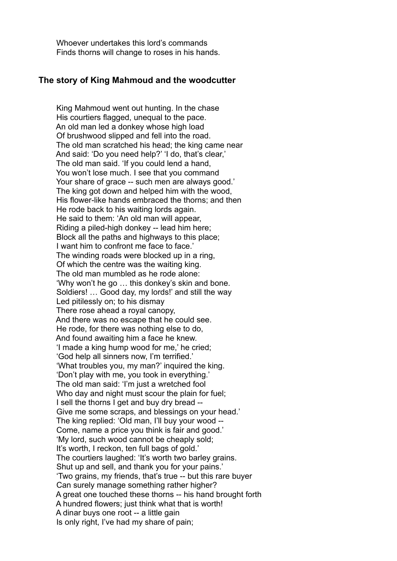Whoever undertakes this lord's commands Finds thorns will change to roses in his hands.

#### **The story of King Mahmoud and the woodcutter**

 King Mahmoud went out hunting. In the chase His courtiers flagged, unequal to the pace. An old man led a donkey whose high load Of brushwood slipped and fell into the road. The old man scratched his head; the king came near And said: 'Do you need help?' 'I do, that's clear,' The old man said. 'If you could lend a hand, You won't lose much. I see that you command Your share of grace -- such men are always good.' The king got down and helped him with the wood, His flower-like hands embraced the thorns; and then He rode back to his waiting lords again. He said to them: 'An old man will appear, Riding a piled-high donkey -- lead him here; Block all the paths and highways to this place; I want him to confront me face to face.' The winding roads were blocked up in a ring, Of which the centre was the waiting king. The old man mumbled as he rode alone: 'Why won't he go … this donkey's skin and bone. Soldiers! … Good day, my lords!' and still the way Led pitilessly on; to his dismay There rose ahead a royal canopy, And there was no escape that he could see. He rode, for there was nothing else to do, And found awaiting him a face he knew. 'I made a king hump wood for me,' he cried; 'God help all sinners now, I'm terrified.' 'What troubles you, my man?' inquired the king. 'Don't play with me, you took in everything.' The old man said: 'I'm just a wretched fool Who day and night must scour the plain for fuel; I sell the thorns I get and buy dry bread -- Give me some scraps, and blessings on your head.' The king replied: 'Old man, I'll buy your wood -- Come, name a price you think is fair and good.' 'My lord, such wood cannot be cheaply sold; It's worth, I reckon, ten full bags of gold.' The courtiers laughed: 'It's worth two barley grains. Shut up and sell, and thank you for your pains.' 'Two grains, my friends, that's true -- but this rare buyer Can surely manage something rather higher? A great one touched these thorns -- his hand brought forth A hundred flowers; just think what that is worth! A dinar buys one root -- a little gain Is only right, I've had my share of pain;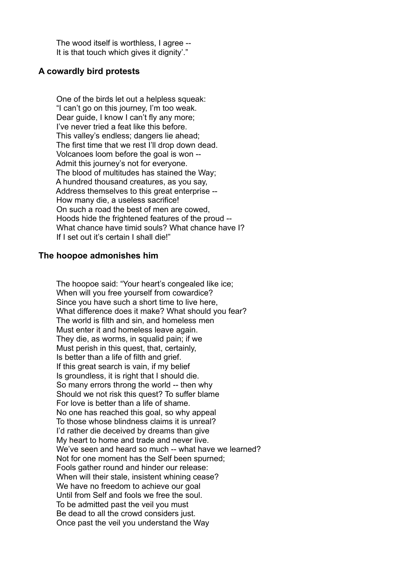The wood itself is worthless, I agree -- It is that touch which gives it dignity'."

# **A cowardly bird protests**

One of the birds let out a helpless squeak: "I can't go on this journey, I'm too weak. Dear guide, I know I can't fly any more; I've never tried a feat like this before. This valley's endless; dangers lie ahead; The first time that we rest I'll drop down dead. Volcanoes loom before the goal is won -- Admit this journey's not for everyone. The blood of multitudes has stained the Way; A hundred thousand creatures, as you say, Address themselves to this great enterprise -- How many die, a useless sacrifice! On such a road the best of men are cowed, Hoods hide the frightened features of the proud -- What chance have timid souls? What chance have I? If I set out it's certain I shall die!"

# **The hoopoe admonishes him**

The hoopoe said: "Your heart's congealed like ice; When will you free yourself from cowardice? Since you have such a short time to live here, What difference does it make? What should you fear? The world is filth and sin, and homeless men Must enter it and homeless leave again. They die, as worms, in squalid pain; if we Must perish in this quest, that, certainly, Is better than a life of filth and grief. If this great search is vain, if my belief Is groundless, it is right that I should die. So many errors throng the world -- then why Should we not risk this quest? To suffer blame For love is better than a life of shame. No one has reached this goal, so why appeal To those whose blindness claims it is unreal? I'd rather die deceived by dreams than give My heart to home and trade and never live. We've seen and heard so much -- what have we learned? Not for one moment has the Self been spurned; Fools gather round and hinder our release: When will their stale, insistent whining cease? We have no freedom to achieve our goal Until from Self and fools we free the soul. To be admitted past the veil you must Be dead to all the crowd considers just. Once past the veil you understand the Way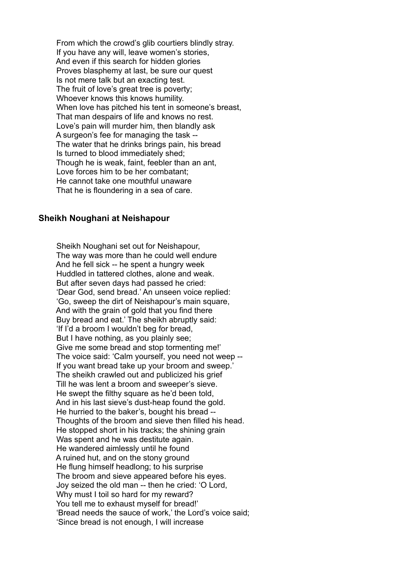From which the crowd's glib courtiers blindly stray. If you have any will, leave women's stories, And even if this search for hidden glories Proves blasphemy at last, be sure our quest Is not mere talk but an exacting test. The fruit of love's great tree is poverty; Whoever knows this knows humility. When love has pitched his tent in someone's breast, That man despairs of life and knows no rest. Love's pain will murder him, then blandly ask A surgeon's fee for managing the task -- The water that he drinks brings pain, his bread Is turned to blood immediately shed; Though he is weak, faint, feebler than an ant, Love forces him to be her combatant; He cannot take one mouthful unaware That he is floundering in a sea of care.

# **Sheikh Noughani at Neishapour**

 Sheikh Noughani set out for Neishapour, The way was more than he could well endure And he fell sick -- he spent a hungry week Huddled in tattered clothes, alone and weak. But after seven days had passed he cried: 'Dear God, send bread.' An unseen voice replied: 'Go, sweep the dirt of Neishapour's main square, And with the grain of gold that you find there Buy bread and eat.' The sheikh abruptly said: 'If I'd a broom I wouldn't beg for bread, But I have nothing, as you plainly see; Give me some bread and stop tormenting me!' The voice said: 'Calm yourself, you need not weep -- If you want bread take up your broom and sweep.' The sheikh crawled out and publicized his grief Till he was lent a broom and sweeper's sieve. He swept the filthy square as he'd been told, And in his last sieve's dust-heap found the gold. He hurried to the baker's, bought his bread -- Thoughts of the broom and sieve then filled his head. He stopped short in his tracks; the shining grain Was spent and he was destitute again. He wandered aimlessly until he found A ruined hut, and on the stony ground He flung himself headlong; to his surprise The broom and sieve appeared before his eyes. Joy seized the old man -- then he cried: 'O Lord, Why must I toil so hard for my reward? You tell me to exhaust myself for bread!' 'Bread needs the sauce of work,' the Lord's voice said; 'Since bread is not enough, I will increase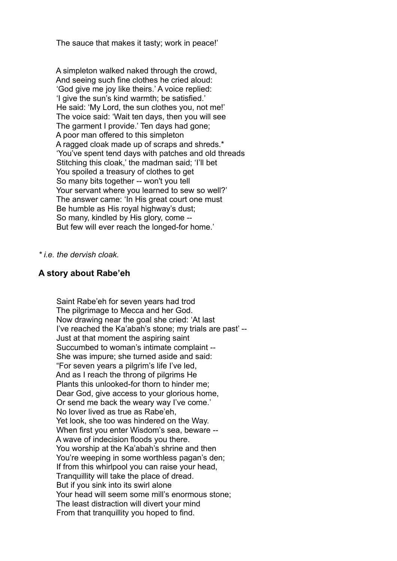The sauce that makes it tasty; work in peace!'

A simpleton walked naked through the crowd, And seeing such fine clothes he cried aloud: 'God give me joy like theirs.' A voice replied: 'I give the sun's kind warmth; be satisfied.' He said: 'My Lord, the sun clothes you, not me!' The voice said: 'Wait ten days, then you will see The garment I provide.' Ten days had gone; A poor man offered to this simpleton A ragged cloak made up of scraps and shreds.\* 'You've spent tend days with patches and old threads Stitching this cloak,' the madman said; 'I'll bet You spoiled a treasury of clothes to get So many bits together -- won't you tell Your servant where you learned to sew so well?' The answer came: 'In His great court one must Be humble as His royal highway's dust; So many, kindled by His glory, come -- But few will ever reach the longed-for home.'

### *\* i.e. the dervish cloak.*

# **A story about Rabe'eh**

 Saint Rabe'eh for seven years had trod The pilgrimage to Mecca and her God. Now drawing near the goal she cried: 'At last I've reached the Ka'abah's stone; my trials are past' -- Just at that moment the aspiring saint Succumbed to woman's intimate complaint -- She was impure; she turned aside and said: "For seven years a pilgrim's life I've led, And as I reach the throng of pilgrims He Plants this unlooked-for thorn to hinder me; Dear God, give access to your glorious home, Or send me back the weary way I've come.' No lover lived as true as Rabe'eh, Yet look, she too was hindered on the Way. When first you enter Wisdom's sea, beware -- A wave of indecision floods you there. You worship at the Ka'abah's shrine and then You're weeping in some worthless pagan's den; If from this whirlpool you can raise your head, Tranquillity will take the place of dread. But if you sink into its swirl alone Your head will seem some mill's enormous stone; The least distraction will divert your mind From that tranquillity you hoped to find.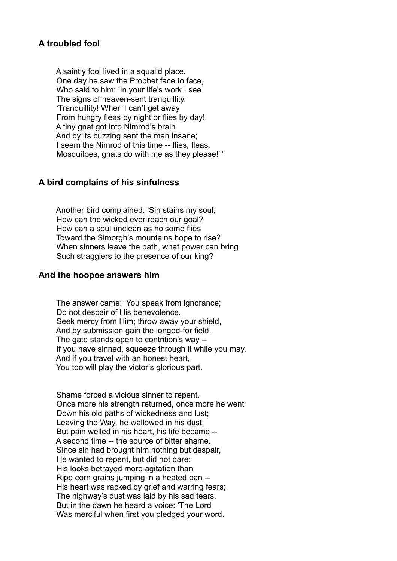# **A troubled fool**

A saintly fool lived in a squalid place. One day he saw the Prophet face to face, Who said to him: 'In your life's work I see The signs of heaven-sent tranquillity.' 'Tranquillity! When I can't get away From hungry fleas by night or flies by day! A tiny gnat got into Nimrod's brain And by its buzzing sent the man insane; I seem the Nimrod of this time -- flies, fleas, Mosquitoes, gnats do with me as they please!' "

# **A bird complains of his sinfulness**

Another bird complained: 'Sin stains my soul; How can the wicked ever reach our goal? How can a soul unclean as noisome flies Toward the Simorgh's mountains hope to rise? When sinners leave the path, what power can bring Such stragglers to the presence of our king?

# **And the hoopoe answers him**

The answer came: 'You speak from ignorance; Do not despair of His benevolence. Seek mercy from Him; throw away your shield, And by submission gain the longed-for field. The gate stands open to contrition's way -- If you have sinned, squeeze through it while you may, And if you travel with an honest heart, You too will play the victor's glorious part.

 Shame forced a vicious sinner to repent. Once more his strength returned, once more he went Down his old paths of wickedness and lust; Leaving the Way, he wallowed in his dust. But pain welled in his heart, his life became -- A second time -- the source of bitter shame. Since sin had brought him nothing but despair, He wanted to repent, but did not dare; His looks betrayed more agitation than Ripe corn grains jumping in a heated pan -- His heart was racked by grief and warring fears; The highway's dust was laid by his sad tears. But in the dawn he heard a voice: 'The Lord Was merciful when first you pledged your word.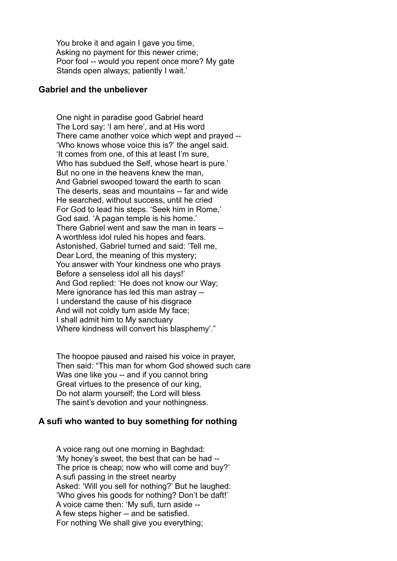You broke it and again I gave you time, Asking no payment for this newer crime; Poor fool -- would you repent once more? My gate Stands open always; patiently I wait.'

### **Gabriel and the unbeliever**

 One night in paradise good Gabriel heard The Lord say: 'I am here', and at His word There came another voice which wept and prayed -- 'Who knows whose voice this is?' the angel said. 'It comes from one, of this at least I'm sure, Who has subdued the Self, whose heart is pure.' But no one in the heavens knew the man, And Gabriel swooped toward the earth to scan The deserts, seas and mountains -- far and wide He searched, without success, until he cried For God to lead his steps. 'Seek him in Rome,' God said. 'A pagan temple is his home.' There Gabriel went and saw the man in tears -- A worthless idol ruled his hopes and fears. Astonished, Gabriel turned and said: 'Tell me, Dear Lord, the meaning of this mystery; You answer with Your kindness one who prays Before a senseless idol all his days!' And God replied: 'He does not know our Way; Mere ignorance has led this man astray -- I understand the cause of his disgrace And will not coldly turn aside My face; I shall admit him to My sanctuary Where kindness will convert his blasphemy'."

The hoopoe paused and raised his voice in prayer, Then said: "This man for whom God showed such care Was one like you -- and if you cannot bring Great virtues to the presence of our king, Do not alarm yourself; the Lord will bless The saint's devotion and your nothingness.

# **A sufi who wanted to buy something for nothing**

A voice rang out one morning in Baghdad: 'My honey's sweet, the best that can be had -- The price is cheap; now who will come and buy?' A sufi passing in the street nearby Asked: 'Will you sell for nothing?' But he laughed: 'Who gives his goods for nothing? Don't be daft!' A voice came then: 'My sufi, turn aside -- A few steps higher -- and be satisfied. For nothing We shall give you everything;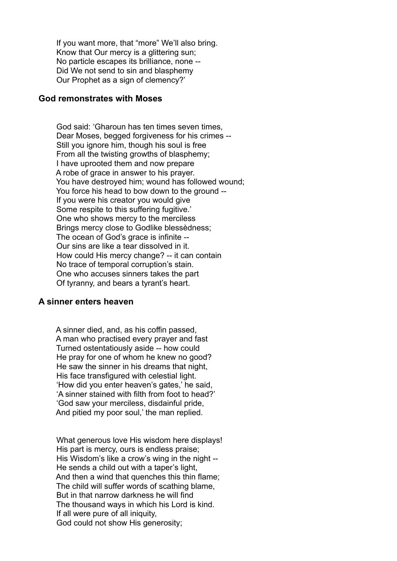If you want more, that "more" We'll also bring. Know that Our mercy is a glittering sun; No particle escapes its brilliance, none -- Did We not send to sin and blasphemy Our Prophet as a sign of clemency?'

# **God remonstrates with Moses**

 God said: 'Gharoun has ten times seven times, Dear Moses, begged forgiveness for his crimes -- Still you ignore him, though his soul is free From all the twisting growths of blasphemy; I have uprooted them and now prepare A robe of grace in answer to his prayer. You have destroyed him; wound has followed wound; You force his head to bow down to the ground -- If you were his creator you would give Some respite to this suffering fugitive.' One who shows mercy to the merciless Brings mercy close to Godlike blessèdness; The ocean of God's grace is infinite -- Our sins are like a tear dissolved in it. How could His mercy change? -- it can contain No trace of temporal corruption's stain. One who accuses sinners takes the part Of tyranny, and bears a tyrant's heart.

# **A sinner enters heaven**

A sinner died, and, as his coffin passed, A man who practised every prayer and fast Turned ostentatiously aside -- how could He pray for one of whom he knew no good? He saw the sinner in his dreams that night, His face transfigured with celestial light. 'How did you enter heaven's gates,' he said, 'A sinner stained with filth from foot to head?' 'God saw your merciless, disdainful pride, And pitied my poor soul,' the man replied.

 What generous love His wisdom here displays! His part is mercy, ours is endless praise; His Wisdom's like a crow's wing in the night -- He sends a child out with a taper's light, And then a wind that quenches this thin flame; The child will suffer words of scathing blame, But in that narrow darkness he will find The thousand ways in which his Lord is kind. If all were pure of all iniquity, God could not show His generosity;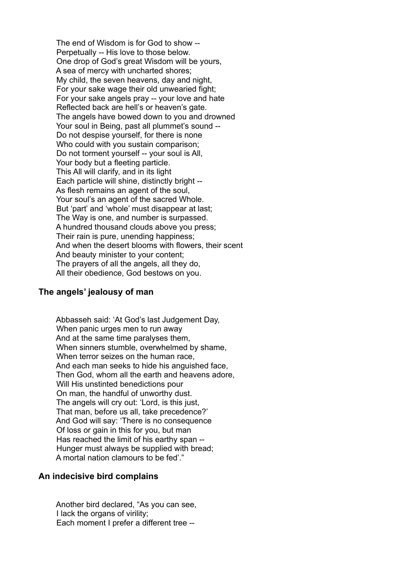The end of Wisdom is for God to show -- Perpetually -- His love to those below. One drop of God's great Wisdom will be yours, A sea of mercy with uncharted shores; My child, the seven heavens, day and night, For your sake wage their old unwearied fight; For your sake angels pray -- your love and hate Reflected back are hell's or heaven's gate. The angels have bowed down to you and drowned Your soul in Being, past all plummet's sound -- Do not despise yourself, for there is none Who could with you sustain comparison; Do not torment yourself -- your soul is All, Your body but a fleeting particle. This All will clarify, and in its light Each particle will shine, distinctly bright -- As flesh remains an agent of the soul, Your soul's an agent of the sacred Whole. But 'part' and 'whole' must disappear at last; The Way is one, and number is surpassed. A hundred thousand clouds above you press; Their rain is pure, unending happiness; And when the desert blooms with flowers, their scent And beauty minister to your content; The prayers of all the angels, all they do, All their obedience, God bestows on you.

# **The angels' jealousy of man**

Abbasseh said: 'At God's last Judgement Day, When panic urges men to run away And at the same time paralyses them, When sinners stumble, overwhelmed by shame. When terror seizes on the human race. And each man seeks to hide his anguished face, Then God, whom all the earth and heavens adore, Will His unstinted benedictions pour On man, the handful of unworthy dust. The angels will cry out: 'Lord, is this just, That man, before us all, take precedence?' And God will say: 'There is no consequence Of loss or gain in this for you, but man Has reached the limit of his earthy span -- Hunger must always be supplied with bread; A mortal nation clamours to be fed'."

# **An indecisive bird complains**

Another bird declared, "As you can see, I lack the organs of virility; Each moment I prefer a different tree --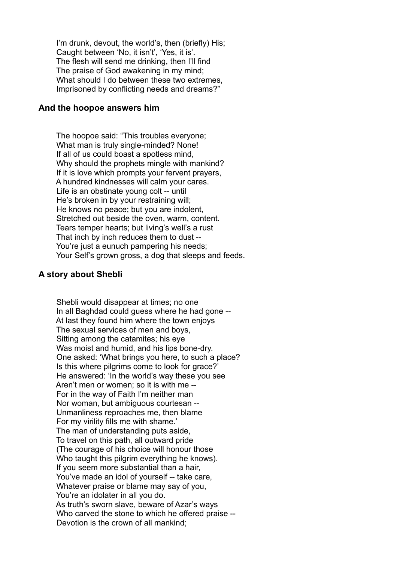I'm drunk, devout, the world's, then (briefly) His; Caught between 'No, it isn't', 'Yes, it is'. The flesh will send me drinking, then I'll find The praise of God awakening in my mind; What should I do between these two extremes. Imprisoned by conflicting needs and dreams?"

## **And the hoopoe answers him**

The hoopoe said: "This troubles everyone; What man is truly single-minded? None! If all of us could boast a spotless mind, Why should the prophets mingle with mankind? If it is love which prompts your fervent prayers, A hundred kindnesses will calm your cares. Life is an obstinate young colt -- until He's broken in by your restraining will; He knows no peace; but you are indolent, Stretched out beside the oven, warm, content. Tears temper hearts; but living's well's a rust That inch by inch reduces them to dust -- You're just a eunuch pampering his needs: Your Self's grown gross, a dog that sleeps and feeds.

# **A story about Shebli**

 Shebli would disappear at times; no one In all Baghdad could guess where he had gone -- At last they found him where the town enjoys The sexual services of men and boys, Sitting among the catamites; his eye Was moist and humid, and his lips bone-dry. One asked: 'What brings you here, to such a place? Is this where pilgrims come to look for grace?' He answered: 'In the world's way these you see Aren't men or women; so it is with me -- For in the way of Faith I'm neither man Nor woman, but ambiguous courtesan -- Unmanliness reproaches me, then blame For my virility fills me with shame.' The man of understanding puts aside, To travel on this path, all outward pride (The courage of his choice will honour those Who taught this pilgrim everything he knows). If you seem more substantial than a hair, You've made an idol of yourself -- take care, Whatever praise or blame may say of you, You're an idolater in all you do. As truth's sworn slave, beware of Azar's ways Who carved the stone to which he offered praise -- Devotion is the crown of all mankind;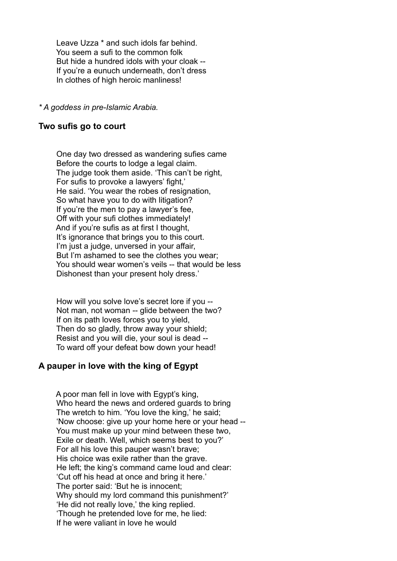Leave Uzza \* and such idols far behind. You seem a sufi to the common folk But hide a hundred idols with your cloak -- If you're a eunuch underneath, don't dress In clothes of high heroic manliness!

#### *\* A goddess in pre-Islamic Arabia.*

#### **Two sufis go to court**

 One day two dressed as wandering sufies came Before the courts to lodge a legal claim. The judge took them aside. 'This can't be right, For sufis to provoke a lawyers' fight,' He said. 'You wear the robes of resignation, So what have you to do with litigation? If you're the men to pay a lawyer's fee, Off with your sufi clothes immediately! And if you're sufis as at first I thought, It's ignorance that brings you to this court. I'm just a judge, unversed in your affair. But I'm ashamed to see the clothes you wear; You should wear women's veils -- that would be less Dishonest than your present holy dress.'

 How will you solve love's secret lore if you -- Not man, not woman -- glide between the two? If on its path loves forces you to yield, Then do so gladly, throw away your shield; Resist and you will die, your soul is dead -- To ward off your defeat bow down your head!

### **A pauper in love with the king of Egypt**

A poor man fell in love with Egypt's king, Who heard the news and ordered guards to bring The wretch to him. 'You love the king,' he said; 'Now choose: give up your home here or your head -- You must make up your mind between these two, Exile or death. Well, which seems best to you?' For all his love this pauper wasn't brave; His choice was exile rather than the grave. He left; the king's command came loud and clear: 'Cut off his head at once and bring it here.' The porter said: 'But he is innocent; Why should my lord command this punishment?' 'He did not really love,' the king replied. 'Though he pretended love for me, he lied: If he were valiant in love he would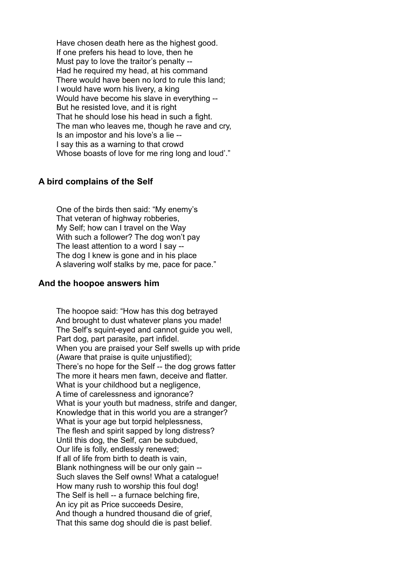Have chosen death here as the highest good. If one prefers his head to love, then he Must pay to love the traitor's penalty -- Had he required my head, at his command There would have been no lord to rule this land; I would have worn his livery, a king Would have become his slave in everything -- But he resisted love, and it is right That he should lose his head in such a fight. The man who leaves me, though he rave and cry, Is an impostor and his love's a lie -- I say this as a warning to that crowd Whose boasts of love for me ring long and loud'."

# **A bird complains of the Self**

 One of the birds then said: "My enemy's That veteran of highway robberies, My Self; how can I travel on the Way With such a follower? The dog won't pay The least attention to a word I say -- The dog I knew is gone and in his place A slavering wolf stalks by me, pace for pace."

# **And the hoopoe answers him**

The hoopoe said: "How has this dog betrayed And brought to dust whatever plans you made! The Self's squint-eyed and cannot guide you well, Part dog, part parasite, part infidel. When you are praised your Self swells up with pride (Aware that praise is quite unjustified); There's no hope for the Self -- the dog grows fatter The more it hears men fawn, deceive and flatter. What is your childhood but a negligence, A time of carelessness and ignorance? What is your youth but madness, strife and danger, Knowledge that in this world you are a stranger? What is your age but torpid helplessness, The flesh and spirit sapped by long distress? Until this dog, the Self, can be subdued, Our life is folly, endlessly renewed; If all of life from birth to death is vain, Blank nothingness will be our only gain -- Such slaves the Self owns! What a catalogue! How many rush to worship this foul dog! The Self is hell -- a furnace belching fire, An icy pit as Price succeeds Desire, And though a hundred thousand die of grief, That this same dog should die is past belief.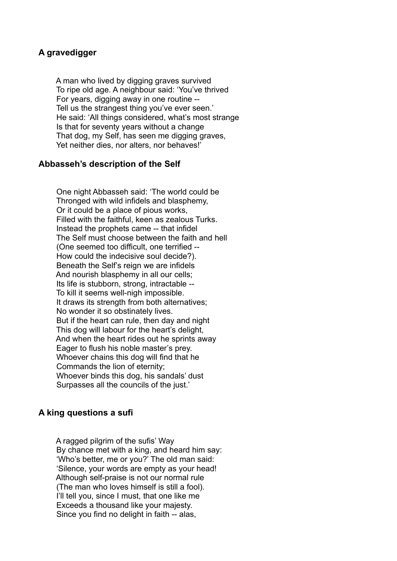# **A gravedigger**

A man who lived by digging graves survived To ripe old age. A neighbour said: 'You've thrived For years, digging away in one routine -- Tell us the strangest thing you've ever seen.' He said: 'All things considered, what's most strange Is that for seventy years without a change That dog, my Self, has seen me digging graves, Yet neither dies, nor alters, nor behaves!'

# **Abbasseh's description of the Self**

 One night Abbasseh said: 'The world could be Thronged with wild infidels and blasphemy, Or it could be a place of pious works, Filled with the faithful, keen as zealous Turks. Instead the prophets came -- that infidel The Self must choose between the faith and hell (One seemed too difficult, one terrified -- How could the indecisive soul decide?). Beneath the Self's reign we are infidels And nourish blasphemy in all our cells; Its life is stubborn, strong, intractable -- To kill it seems well-nigh impossible. It draws its strength from both alternatives; No wonder it so obstinately lives. But if the heart can rule, then day and night This dog will labour for the heart's delight, And when the heart rides out he sprints away Eager to flush his noble master's prey. Whoever chains this dog will find that he Commands the lion of eternity; Whoever binds this dog, his sandals' dust Surpasses all the councils of the just.'

### **A king questions a sufi**

A ragged pilgrim of the sufis' Way By chance met with a king, and heard him say: 'Who's better, me or you?' The old man said: 'Silence, your words are empty as your head! Although self-praise is not our normal rule (The man who loves himself is still a fool). I'll tell you, since I must, that one like me Exceeds a thousand like your majesty. Since you find no delight in faith -- alas,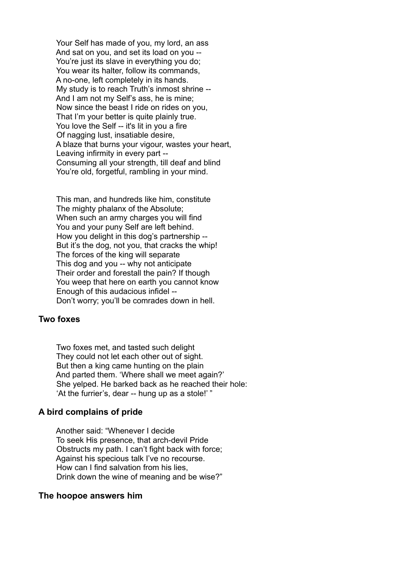Your Self has made of you, my lord, an ass And sat on you, and set its load on you -- You're just its slave in everything you do; You wear its halter, follow its commands, A no-one, left completely in its hands. My study is to reach Truth's inmost shrine -- And I am not my Self's ass, he is mine; Now since the beast I ride on rides on you, That I'm your better is quite plainly true. You love the Self -- it's lit in you a fire Of nagging lust, insatiable desire, A blaze that burns your vigour, wastes your heart, Leaving infirmity in every part -- Consuming all your strength, till deaf and blind You're old, forgetful, rambling in your mind.

This man, and hundreds like him, constitute The mighty phalanx of the Absolute; When such an army charges you will find You and your puny Self are left behind. How you delight in this dog's partnership -- But it's the dog, not you, that cracks the whip! The forces of the king will separate This dog and you -- why not anticipate Their order and forestall the pain? If though You weep that here on earth you cannot know Enough of this audacious infidel -- Don't worry; you'll be comrades down in hell.

# **Two foxes**

Two foxes met, and tasted such delight They could not let each other out of sight. But then a king came hunting on the plain And parted them. 'Where shall we meet again?' She yelped. He barked back as he reached their hole: 'At the furrier's, dear -- hung up as a stole!' "

# **A bird complains of pride**

Another said: "Whenever I decide To seek His presence, that arch-devil Pride Obstructs my path. I can't fight back with force; Against his specious talk I've no recourse. How can I find salvation from his lies, Drink down the wine of meaning and be wise?"

### **The hoopoe answers him**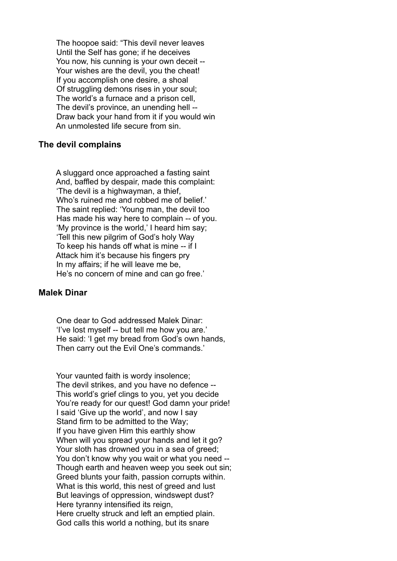The hoopoe said: "This devil never leaves Until the Self has gone; if he deceives You now, his cunning is your own deceit -- Your wishes are the devil, you the cheat! If you accomplish one desire, a shoal Of struggling demons rises in your soul; The world's a furnace and a prison cell, The devil's province, an unending hell -- Draw back your hand from it if you would win An unmolested life secure from sin.

# **The devil complains**

A sluggard once approached a fasting saint And, baffled by despair, made this complaint: 'The devil is a highwayman, a thief, Who's ruined me and robbed me of belief.' The saint replied: 'Young man, the devil too Has made his way here to complain -- of you. 'My province is the world,' I heard him say; 'Tell this new pilgrim of God's holy Way To keep his hands off what is mine -- if I Attack him it's because his fingers pry In my affairs; if he will leave me be, He's no concern of mine and can go free.'

# **Malek Dinar**

 One dear to God addressed Malek Dinar: 'I've lost myself -- but tell me how you are.' He said: 'I get my bread from God's own hands, Then carry out the Evil One's commands.'

Your vaunted faith is wordy insolence; The devil strikes, and you have no defence -- This world's grief clings to you, yet you decide You're ready for our quest! God damn your pride! I said 'Give up the world', and now I say Stand firm to be admitted to the Way; If you have given Him this earthly show When will you spread your hands and let it go? Your sloth has drowned you in a sea of greed; You don't know why you wait or what you need -- Though earth and heaven weep you seek out sin; Greed blunts your faith, passion corrupts within. What is this world, this nest of greed and lust But leavings of oppression, windswept dust? Here tyranny intensified its reign. Here cruelty struck and left an emptied plain. God calls this world a nothing, but its snare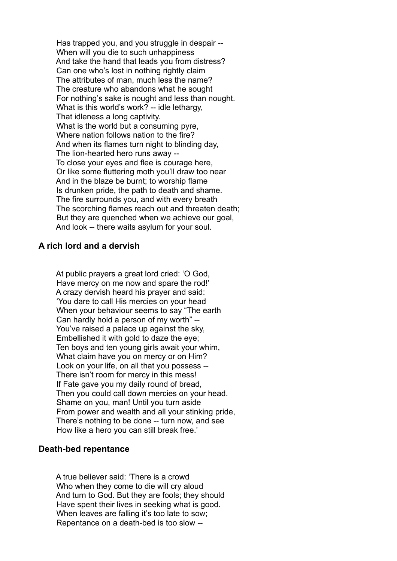Has trapped you, and you struggle in despair -- When will you die to such unhappiness And take the hand that leads you from distress? Can one who's lost in nothing rightly claim The attributes of man, much less the name? The creature who abandons what he sought For nothing's sake is nought and less than nought. What is this world's work? -- idle lethargy, That idleness a long captivity. What is the world but a consuming pyre, Where nation follows nation to the fire? And when its flames turn night to blinding day, The lion-hearted hero runs away -- To close your eyes and flee is courage here, Or like some fluttering moth you'll draw too near And in the blaze be burnt; to worship flame Is drunken pride, the path to death and shame. The fire surrounds you, and with every breath The scorching flames reach out and threaten death; But they are quenched when we achieve our goal, And look -- there waits asylum for your soul.

# **A rich lord and a dervish**

At public prayers a great lord cried: 'O God, Have mercy on me now and spare the rod!' A crazy dervish heard his prayer and said: 'You dare to call His mercies on your head When your behaviour seems to say "The earth Can hardly hold a person of my worth" -- You've raised a palace up against the sky, Embellished it with gold to daze the eye; Ten boys and ten young girls await your whim, What claim have you on mercy or on Him? Look on your life, on all that you possess -- There isn't room for mercy in this mess! If Fate gave you my daily round of bread, Then you could call down mercies on your head. Shame on you, man! Until you turn aside From power and wealth and all your stinking pride, There's nothing to be done -- turn now, and see How like a hero you can still break free.'

# **Death-bed repentance**

A true believer said: 'There is a crowd Who when they come to die will cry aloud And turn to God. But they are fools; they should Have spent their lives in seeking what is good. When leaves are falling it's too late to sow; Repentance on a death-bed is too slow --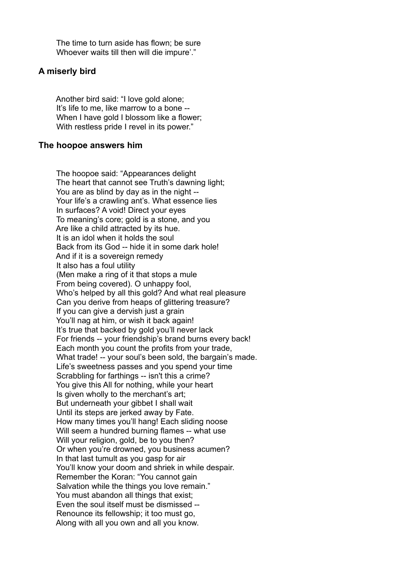The time to turn aside has flown; be sure Whoever waits till then will die impure'."

# **A miserly bird**

Another bird said: "I love gold alone; It's life to me, like marrow to a bone -- When I have gold I blossom like a flower; With restless pride I revel in its power."

### **The hoopoe answers him**

The hoopoe said: "Appearances delight The heart that cannot see Truth's dawning light; You are as blind by day as in the night -- Your life's a crawling ant's. What essence lies In surfaces? A void! Direct your eyes To meaning's core; gold is a stone, and you Are like a child attracted by its hue. It is an idol when it holds the soul Back from its God -- hide it in some dark hole! And if it is a sovereign remedy It also has a foul utility (Men make a ring of it that stops a mule From being covered). O unhappy fool, Who's helped by all this gold? And what real pleasure Can you derive from heaps of glittering treasure? If you can give a dervish just a grain You'll nag at him, or wish it back again! It's true that backed by gold you'll never lack For friends -- your friendship's brand burns every back! Each month you count the profits from your trade, What trade! -- your soul's been sold, the bargain's made. Life's sweetness passes and you spend your time Scrabbling for farthings -- isn't this a crime? You give this All for nothing, while your heart Is given wholly to the merchant's art; But underneath your gibbet I shall wait Until its steps are jerked away by Fate. How many times you'll hang! Each sliding noose Will seem a hundred burning flames -- what use Will your religion, gold, be to you then? Or when you're drowned, you business acumen? In that last tumult as you gasp for air You'll know your doom and shriek in while despair. Remember the Koran: "You cannot gain Salvation while the things you love remain." You must abandon all things that exist; Even the soul itself must be dismissed -- Renounce its fellowship; it too must go, Along with all you own and all you know.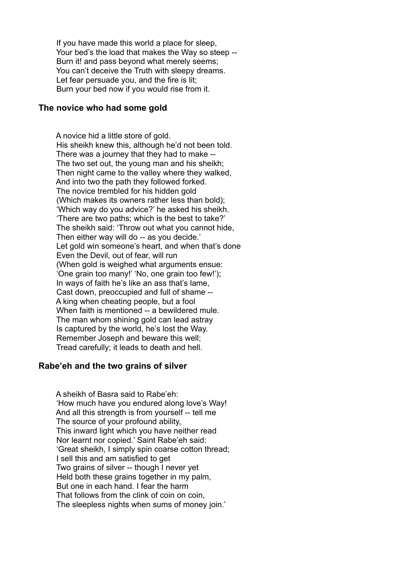If you have made this world a place for sleep, Your bed's the load that makes the Way so steep -- Burn it! and pass beyond what merely seems; You can't deceive the Truth with sleepy dreams. Let fear persuade you, and the fire is lit; Burn your bed now if you would rise from it.

## **The novice who had some gold**

A novice hid a little store of gold. His sheikh knew this, although he'd not been told. There was a journey that they had to make -- The two set out, the young man and his sheikh; Then night came to the valley where they walked, And into two the path they followed forked. The novice trembled for his hidden gold (Which makes its owners rather less than bold); 'Which way do you advice?' he asked his sheikh. 'There are two paths; which is the best to take?' The sheikh said: 'Throw out what you cannot hide, Then either way will do -- as you decide.' Let gold win someone's heart, and when that's done Even the Devil, out of fear, will run (When gold is weighed what arguments ensue: 'One grain too many!' 'No, one grain too few!'); In ways of faith he's like an ass that's lame, Cast down, preoccupied and full of shame -- A king when cheating people, but a fool When faith is mentioned -- a bewildered mule. The man whom shining gold can lead astray Is captured by the world, he's lost the Way. Remember Joseph and beware this well; Tread carefully; it leads to death and hell.

# **Rabe'eh and the two grains of silver**

A sheikh of Basra said to Rabe'eh: 'How much have you endured along love's Way! And all this strength is from yourself -- tell me The source of your profound ability, This inward light which you have neither read Nor learnt nor copied.' Saint Rabe'eh said: 'Great sheikh, I simply spin coarse cotton thread; I sell this and am satisfied to get Two grains of silver -- though I never yet Held both these grains together in my palm, But one in each hand. I fear the harm That follows from the clink of coin on coin, The sleepless nights when sums of money join.'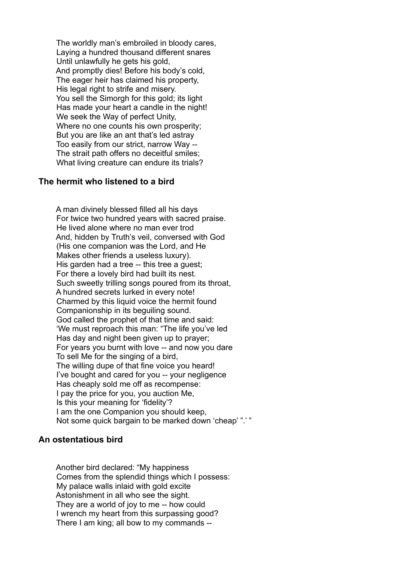The worldly man's embroiled in bloody cares, Laying a hundred thousand different snares Until unlawfully he gets his gold, And promptly dies! Before his body's cold, The eager heir has claimed his property, His legal right to strife and misery. You sell the Simorgh for this gold; its light Has made your heart a candle in the night! We seek the Way of perfect Unity, Where no one counts his own prosperity; But you are like an ant that's led astray Too easily from our strict, narrow Way -- The strait path offers no deceitful smiles; What living creature can endure its trials?

# **The hermit who listened to a bird**

A man divinely blessed filled all his days For twice two hundred years with sacred praise. He lived alone where no man ever trod And, hidden by Truth's veil, conversed with God (His one companion was the Lord, and He Makes other friends a useless luxury). His garden had a tree -- this tree a guest; For there a lovely bird had built its nest. Such sweetly trilling songs poured from its throat, A hundred secrets lurked in every note! Charmed by this liquid voice the hermit found Companionship in its beguiling sound. God called the prophet of that time and said: 'We must reproach this man: "The life you've led Has day and night been given up to prayer; For years you burnt with love -- and now you dare To sell Me for the singing of a bird, The willing dupe of that fine voice you heard! I've bought and cared for you -- your negligence Has cheaply sold me off as recompense: I pay the price for you, you auction Me, Is this your meaning for 'fidelity'? I am the one Companion you should keep, Not some quick bargain to be marked down 'cheap' ".' "

### **An ostentatious bird**

Another bird declared: "My happiness Comes from the splendid things which I possess: My palace walls inlaid with gold excite Astonishment in all who see the sight. They are a world of joy to me -- how could I wrench my heart from this surpassing good? There I am king; all bow to my commands --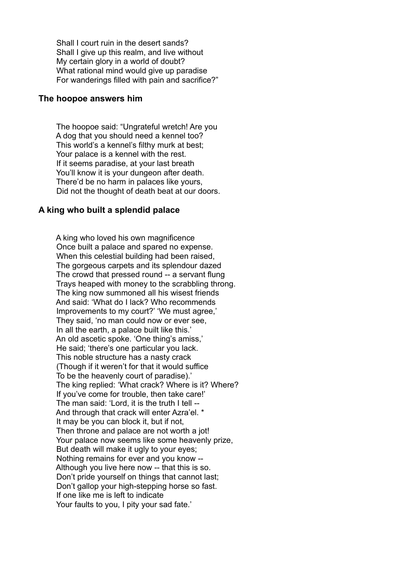Shall I court ruin in the desert sands? Shall I give up this realm, and live without My certain glory in a world of doubt? What rational mind would give up paradise For wanderings filled with pain and sacrifice?"

### **The hoopoe answers him**

The hoopoe said: "Ungrateful wretch! Are you A dog that you should need a kennel too? This world's a kennel's filthy murk at best; Your palace is a kennel with the rest. If it seems paradise, at your last breath You'll know it is your dungeon after death. There'd be no harm in palaces like yours, Did not the thought of death beat at our doors.

# **A king who built a splendid palace**

A king who loved his own magnificence Once built a palace and spared no expense. When this celestial building had been raised, The gorgeous carpets and its splendour dazed The crowd that pressed round -- a servant flung Trays heaped with money to the scrabbling throng. The king now summoned all his wisest friends And said: 'What do I lack? Who recommends Improvements to my court?' 'We must agree,' They said, 'no man could now or ever see, In all the earth, a palace built like this.' An old ascetic spoke. 'One thing's amiss,' He said; 'there's one particular you lack. This noble structure has a nasty crack (Though if it weren't for that it would suffice To be the heavenly court of paradise).' The king replied: 'What crack? Where is it? Where? If you've come for trouble, then take care!' The man said: 'Lord, it is the truth I tell -- And through that crack will enter Azra'el. \* It may be you can block it, but if not, Then throne and palace are not worth a jot! Your palace now seems like some heavenly prize, But death will make it ugly to your eyes; Nothing remains for ever and you know -- Although you live here now -- that this is so. Don't pride yourself on things that cannot last; Don't gallop your high-stepping horse so fast. If one like me is left to indicate Your faults to you, I pity your sad fate.'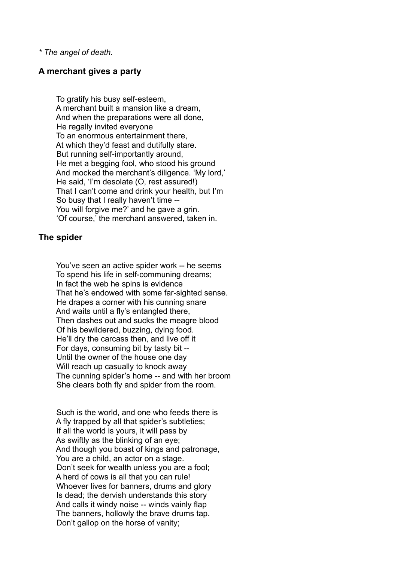*\* The angel of death.*

# **A merchant gives a party**

To gratify his busy self-esteem, A merchant built a mansion like a dream, And when the preparations were all done, He regally invited everyone To an enormous entertainment there, At which they'd feast and dutifully stare. But running self-importantly around, He met a begging fool, who stood his ground And mocked the merchant's diligence. 'My lord,' He said, 'I'm desolate (O, rest assured!) That I can't come and drink your health, but I'm So busy that I really haven't time -- You will forgive me?' and he gave a grin. 'Of course,' the merchant answered, taken in.

# **The spider**

You've seen an active spider work -- he seems To spend his life in self-communing dreams; In fact the web he spins is evidence That he's endowed with some far-sighted sense. He drapes a corner with his cunning snare And waits until a fly's entangled there, Then dashes out and sucks the meagre blood Of his bewildered, buzzing, dying food. He'll dry the carcass then, and live off it For days, consuming bit by tasty bit -- Until the owner of the house one day Will reach up casually to knock away The cunning spider's home -- and with her broom She clears both fly and spider from the room.

 Such is the world, and one who feeds there is A fly trapped by all that spider's subtleties; If all the world is yours, it will pass by As swiftly as the blinking of an eye; And though you boast of kings and patronage, You are a child, an actor on a stage. Don't seek for wealth unless you are a fool; A herd of cows is all that you can rule! Whoever lives for banners, drums and glory Is dead; the dervish understands this story And calls it windy noise -- winds vainly flap The banners, hollowly the brave drums tap. Don't gallop on the horse of vanity;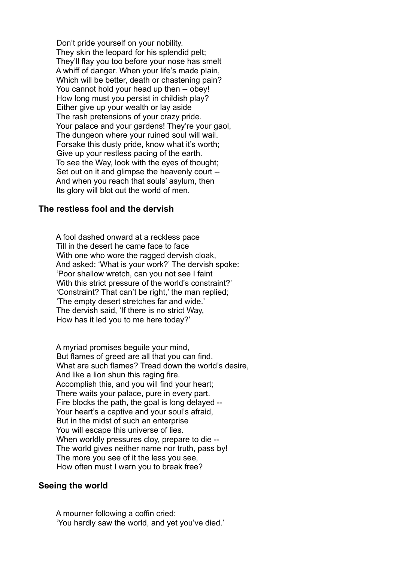Don't pride yourself on your nobility. They skin the leopard for his splendid pelt; They'll flay you too before your nose has smelt A whiff of danger. When your life's made plain, Which will be better, death or chastening pain? You cannot hold your head up then -- obey! How long must you persist in childish play? Either give up your wealth or lay aside The rash pretensions of your crazy pride. Your palace and your gardens! They're your gaol, The dungeon where your ruined soul will wail. Forsake this dusty pride, know what it's worth; Give up your restless pacing of the earth. To see the Way, look with the eyes of thought; Set out on it and glimpse the heavenly court -- And when you reach that souls' asylum, then Its glory will blot out the world of men.

# **The restless fool and the dervish**

A fool dashed onward at a reckless pace Till in the desert he came face to face With one who wore the ragged dervish cloak, And asked: 'What is your work?' The dervish spoke: 'Poor shallow wretch, can you not see I faint With this strict pressure of the world's constraint?' 'Constraint? That can't be right,' the man replied; 'The empty desert stretches far and wide.' The dervish said, 'If there is no strict Way, How has it led you to me here today?'

A myriad promises beguile your mind, But flames of greed are all that you can find. What are such flames? Tread down the world's desire, And like a lion shun this raging fire. Accomplish this, and you will find your heart; There waits your palace, pure in every part. Fire blocks the path, the goal is long delayed -- Your heart's a captive and your soul's afraid, But in the midst of such an enterprise You will escape this universe of lies. When worldly pressures cloy, prepare to die --The world gives neither name nor truth, pass by! The more you see of it the less you see, How often must I warn you to break free?

### **Seeing the world**

A mourner following a coffin cried: 'You hardly saw the world, and yet you've died.'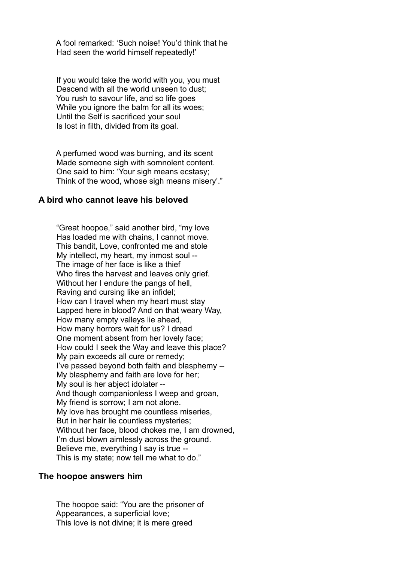A fool remarked: 'Such noise! You'd think that he Had seen the world himself repeatedly!'

 If you would take the world with you, you must Descend with all the world unseen to dust; You rush to savour life, and so life goes While you ignore the balm for all its woes; Until the Self is sacrificed your soul Is lost in filth, divided from its goal.

A perfumed wood was burning, and its scent Made someone sigh with somnolent content. One said to him: 'Your sigh means ecstasy; Think of the wood, whose sigh means misery'."

# **A bird who cannot leave his beloved**

 "Great hoopoe," said another bird, "my love Has loaded me with chains, I cannot move. This bandit, Love, confronted me and stole My intellect, my heart, my inmost soul -- The image of her face is like a thief Who fires the harvest and leaves only grief. Without her I endure the pangs of hell, Raving and cursing like an infidel; How can I travel when my heart must stay Lapped here in blood? And on that weary Way, How many empty valleys lie ahead, How many horrors wait for us? I dread One moment absent from her lovely face; How could I seek the Way and leave this place? My pain exceeds all cure or remedy; I've passed beyond both faith and blasphemy -- My blasphemy and faith are love for her; My soul is her abject idolater -- And though companionless I weep and groan, My friend is sorrow; I am not alone. My love has brought me countless miseries, But in her hair lie countless mysteries; Without her face, blood chokes me, I am drowned, I'm dust blown aimlessly across the ground. Believe me, everything I say is true -- This is my state; now tell me what to do."

## **The hoopoe answers him**

The hoopoe said: "You are the prisoner of Appearances, a superficial love; This love is not divine; it is mere greed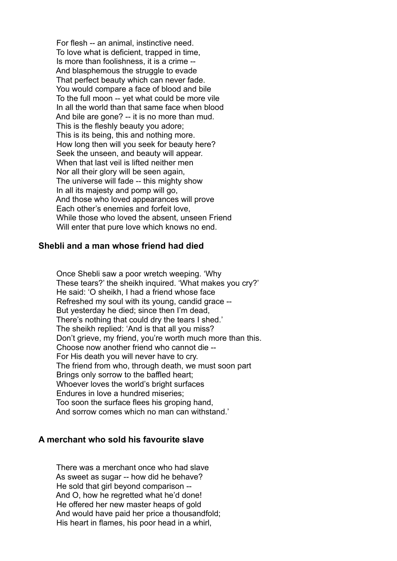For flesh -- an animal, instinctive need. To love what is deficient, trapped in time, Is more than foolishness, it is a crime -- And blasphemous the struggle to evade That perfect beauty which can never fade. You would compare a face of blood and bile To the full moon -- yet what could be more vile In all the world than that same face when blood And bile are gone? -- it is no more than mud. This is the fleshly beauty you adore; This is its being, this and nothing more. How long then will you seek for beauty here? Seek the unseen, and beauty will appear. When that last veil is lifted neither men Nor all their glory will be seen again, The universe will fade -- this mighty show In all its majesty and pomp will go, And those who loved appearances will prove Each other's enemies and forfeit love, While those who loved the absent, unseen Friend Will enter that pure love which knows no end.

### **Shebli and a man whose friend had died**

 Once Shebli saw a poor wretch weeping. 'Why These tears?' the sheikh inquired. 'What makes you cry?' He said: 'O sheikh, I had a friend whose face Refreshed my soul with its young, candid grace -- But yesterday he died; since then I'm dead, There's nothing that could dry the tears I shed.' The sheikh replied: 'And is that all you miss? Don't grieve, my friend, you're worth much more than this. Choose now another friend who cannot die -- For His death you will never have to cry. The friend from who, through death, we must soon part Brings only sorrow to the baffled heart; Whoever loves the world's bright surfaces Endures in love a hundred miseries; Too soon the surface flees his groping hand, And sorrow comes which no man can withstand.'

# **A merchant who sold his favourite slave**

There was a merchant once who had slave As sweet as sugar -- how did he behave? He sold that girl beyond comparison -- And O, how he regretted what he'd done! He offered her new master heaps of gold And would have paid her price a thousandfold; His heart in flames, his poor head in a whirl,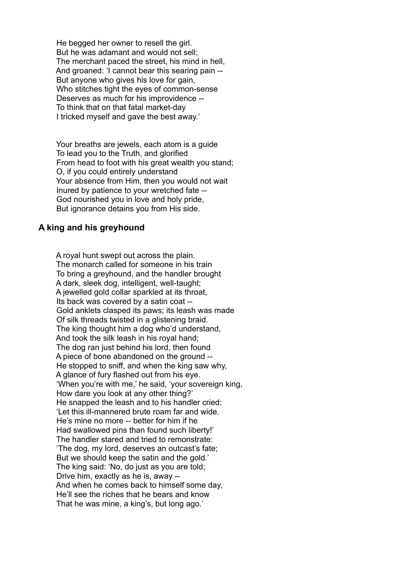He begged her owner to resell the girl. But he was adamant and would not sell; The merchant paced the street, his mind in hell, And groaned: 'I cannot bear this searing pain -- But anyone who gives his love for gain, Who stitches tight the eyes of common-sense Deserves as much for his improvidence -- To think that on that fatal market-day I tricked myself and gave the best away.'

Your breaths are jewels, each atom is a guide To lead you to the Truth, and glorified From head to foot with his great wealth you stand; O, if you could entirely understand Your absence from Him, then you would not wait Inured by patience to your wretched fate -- God nourished you in love and holy pride, But ignorance detains you from His side.

### **A king and his greyhound**

A royal hunt swept out across the plain. The monarch called for someone in his train To bring a greyhound, and the handler brought A dark, sleek dog, intelligent, well-taught; A jewelled gold collar sparkled at its throat, Its back was covered by a satin coat -- Gold anklets clasped its paws; its leash was made Of silk threads twisted in a glistening braid. The king thought him a dog who'd understand, And took the silk leash in his royal hand; The dog ran just behind his lord, then found A piece of bone abandoned on the ground -- He stopped to sniff, and when the king saw why, A glance of fury flashed out from his eye. 'When you're with me,' he said, 'your sovereign king, How dare you look at any other thing?' He snapped the leash and to his handler cried: 'Let this ill-mannered brute roam far and wide. He's mine no more -- better for him if he Had swallowed pins than found such liberty!' The handler stared and tried to remonstrate: 'The dog, my lord, deserves an outcast's fate; But we should keep the satin and the gold.' The king said: 'No, do just as you are told; Drive him, exactly as he is, away -- And when he comes back to himself some day, He'll see the riches that he bears and know That he was mine, a king's, but long ago.'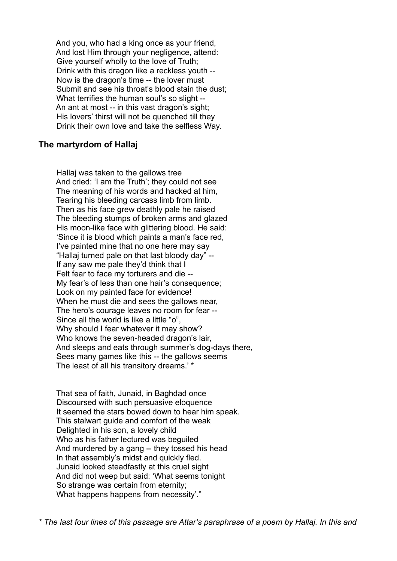And you, who had a king once as your friend, And lost Him through your negligence, attend: Give yourself wholly to the love of Truth; Drink with this dragon like a reckless youth -- Now is the dragon's time -- the lover must Submit and see his throat's blood stain the dust; What terrifies the human soul's so slight -- An ant at most -- in this vast dragon's sight; His lovers' thirst will not be quenched till they Drink their own love and take the selfless Way.

### **The martyrdom of Hallaj**

 Hallaj was taken to the gallows tree And cried: 'I am the Truth'; they could not see The meaning of his words and hacked at him, Tearing his bleeding carcass limb from limb. Then as his face grew deathly pale he raised The bleeding stumps of broken arms and glazed His moon-like face with glittering blood. He said: 'Since it is blood which paints a man's face red, I've painted mine that no one here may say "Hallaj turned pale on that last bloody day" -- If any saw me pale they'd think that I Felt fear to face my torturers and die -- My fear's of less than one hair's consequence; Look on my painted face for evidence! When he must die and sees the gallows near, The hero's courage leaves no room for fear -- Since all the world is like a little "o", Why should I fear whatever it may show? Who knows the seven-headed dragon's lair, And sleeps and eats through summer's dog-days there, Sees many games like this -- the gallows seems The least of all his transitory dreams.' \*

That sea of faith, Junaid, in Baghdad once Discoursed with such persuasive eloquence It seemed the stars bowed down to hear him speak. This stalwart guide and comfort of the weak Delighted in his son, a lovely child Who as his father lectured was beguiled And murdered by a gang -- they tossed his head In that assembly's midst and quickly fled. Junaid looked steadfastly at this cruel sight And did not weep but said: 'What seems tonight So strange was certain from eternity; What happens happens from necessity'."

*\* The last four lines of this passage are Attar's paraphrase of a poem by Hallaj. In this and*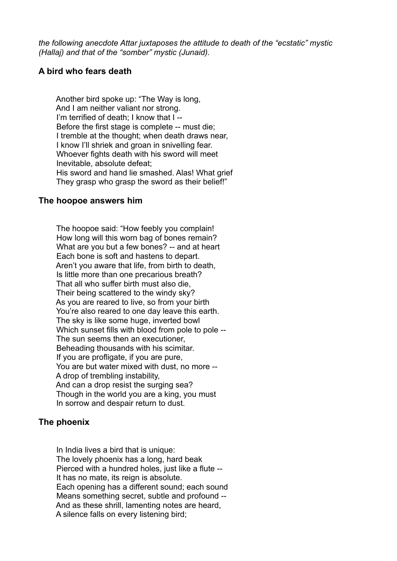*the following anecdote Attar juxtaposes the attitude to death of the "ecstatic" mystic (Hallaj) and that of the "somber" mystic (Junaid).*

# **A bird who fears death**

Another bird spoke up: "The Way is long, And I am neither valiant nor strong. I'm terrified of death; I know that I -- Before the first stage is complete -- must die; I tremble at the thought; when death draws near, I know I'll shriek and groan in snivelling fear. Whoever fights death with his sword will meet Inevitable, absolute defeat; His sword and hand lie smashed. Alas! What grief They grasp who grasp the sword as their belief!"

### **The hoopoe answers him**

The hoopoe said: "How feebly you complain! How long will this worn bag of bones remain? What are you but a few bones? -- and at heart Each bone is soft and hastens to depart. Aren't you aware that life, from birth to death, Is little more than one precarious breath? That all who suffer birth must also die, Their being scattered to the windy sky? As you are reared to live, so from your birth You're also reared to one day leave this earth. The sky is like some huge, inverted bowl Which sunset fills with blood from pole to pole --The sun seems then an executioner, Beheading thousands with his scimitar. If you are profligate, if you are pure, You are but water mixed with dust, no more -- A drop of trembling instability, And can a drop resist the surging sea? Though in the world you are a king, you must In sorrow and despair return to dust.

# **The phoenix**

 In India lives a bird that is unique: The lovely phoenix has a long, hard beak Pierced with a hundred holes, just like a flute -- It has no mate, its reign is absolute. Each opening has a different sound; each sound Means something secret, subtle and profound -- And as these shrill, lamenting notes are heard, A silence falls on every listening bird;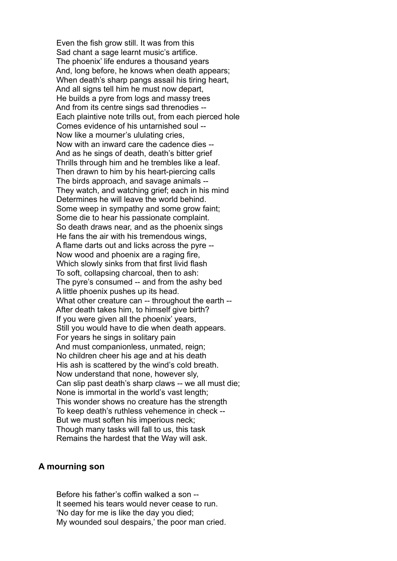Even the fish grow still. It was from this Sad chant a sage learnt music's artifice. The phoenix' life endures a thousand years And, long before, he knows when death appears; When death's sharp pangs assail his tiring heart, And all signs tell him he must now depart, He builds a pyre from logs and massy trees And from its centre sings sad threnodies -- Each plaintive note trills out, from each pierced hole Comes evidence of his untarnished soul -- Now like a mourner's ululating cries, Now with an inward care the cadence dies -- And as he sings of death, death's bitter grief Thrills through him and he trembles like a leaf. Then drawn to him by his heart-piercing calls The birds approach, and savage animals -- They watch, and watching grief; each in his mind Determines he will leave the world behind. Some weep in sympathy and some grow faint; Some die to hear his passionate complaint. So death draws near, and as the phoenix sings He fans the air with his tremendous wings, A flame darts out and licks across the pyre -- Now wood and phoenix are a raging fire, Which slowly sinks from that first livid flash To soft, collapsing charcoal, then to ash: The pyre's consumed -- and from the ashy bed A little phoenix pushes up its head. What other creature can -- throughout the earth --After death takes him, to himself give birth? If you were given all the phoenix' years, Still you would have to die when death appears. For years he sings in solitary pain And must companionless, unmated, reign; No children cheer his age and at his death His ash is scattered by the wind's cold breath. Now understand that none, however sly, Can slip past death's sharp claws -- we all must die; None is immortal in the world's vast length; This wonder shows no creature has the strength To keep death's ruthless vehemence in check -- But we must soften his imperious neck; Though many tasks will fall to us, this task Remains the hardest that the Way will ask.

# **A mourning son**

 Before his father's coffin walked a son -- It seemed his tears would never cease to run. 'No day for me is like the day you died; My wounded soul despairs,' the poor man cried.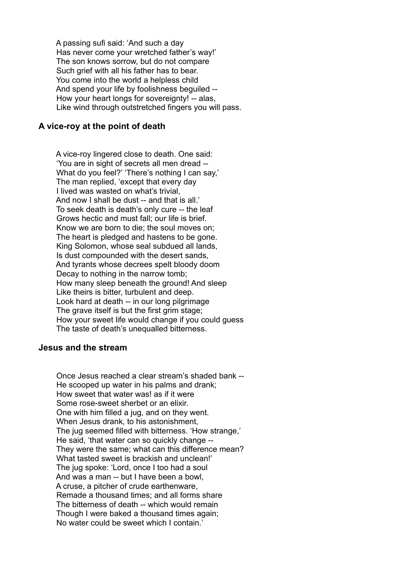A passing sufi said: 'And such a day Has never come your wretched father's way!' The son knows sorrow, but do not compare Such grief with all his father has to bear. You come into the world a helpless child And spend your life by foolishness beguiled -- How your heart longs for sovereignty! -- alas, Like wind through outstretched fingers you will pass.

#### **A vice-roy at the point of death**

A vice-roy lingered close to death. One said: 'You are in sight of secrets all men dread -- What do you feel?' 'There's nothing I can say,' The man replied, 'except that every day I lived was wasted on what's trivial, And now I shall be dust -- and that is all.' To seek death is death's only cure -- the leaf Grows hectic and must fall; our life is brief. Know we are born to die; the soul moves on; The heart is pledged and hastens to be gone. King Solomon, whose seal subdued all lands, Is dust compounded with the desert sands, And tyrants whose decrees spelt bloody doom Decay to nothing in the narrow tomb; How many sleep beneath the ground! And sleep Like theirs is bitter, turbulent and deep. Look hard at death -- in our long pilgrimage The grave itself is but the first grim stage; How your sweet life would change if you could guess The taste of death's unequalled bitterness.

### **Jesus and the stream**

 Once Jesus reached a clear stream's shaded bank -- He scooped up water in his palms and drank; How sweet that water was! as if it were Some rose-sweet sherbet or an elixir. One with him filled a jug, and on they went. When Jesus drank, to his astonishment, The jug seemed filled with bitterness. 'How strange,' He said, 'that water can so quickly change -- They were the same; what can this difference mean? What tasted sweet is brackish and unclean!' The jug spoke: 'Lord, once I too had a soul And was a man -- but I have been a bowl, A cruse, a pitcher of crude earthenware, Remade a thousand times; and all forms share The bitterness of death -- which would remain Though I were baked a thousand times again; No water could be sweet which I contain.'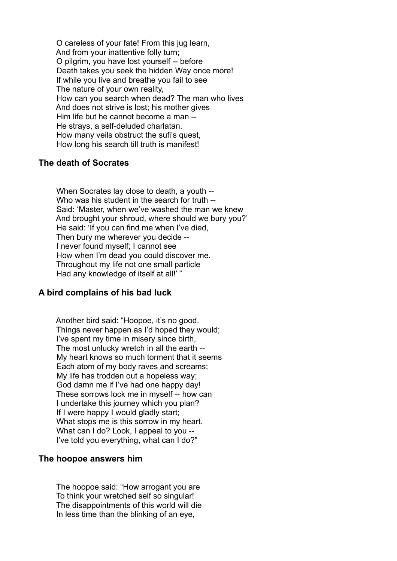O careless of your fate! From this jug learn, And from your inattentive folly turn; O pilgrim, you have lost yourself -- before Death takes you seek the hidden Way once more! If while you live and breathe you fail to see The nature of your own reality, How can you search when dead? The man who lives And does not strive is lost; his mother gives Him life but he cannot become a man -- He strays, a self-deluded charlatan. How many veils obstruct the sufi's quest, How long his search till truth is manifest!

### **The death of Socrates**

 When Socrates lay close to death, a youth -- Who was his student in the search for truth -- Said: 'Master, when we've washed the man we knew And brought your shroud, where should we bury you?' He said: 'If you can find me when I've died, Then bury me wherever you decide -- I never found myself; I cannot see How when I'm dead you could discover me. Throughout my life not one small particle Had any knowledge of itself at all!' "

# **A bird complains of his bad luck**

Another bird said: "Hoopoe, it's no good. Things never happen as I'd hoped they would; I've spent my time in misery since birth, The most unlucky wretch in all the earth -- My heart knows so much torment that it seems Each atom of my body raves and screams; My life has trodden out a hopeless way; God damn me if I've had one happy day! These sorrows lock me in myself -- how can I undertake this journey which you plan? If I were happy I would gladly start; What stops me is this sorrow in my heart. What can I do? Look, I appeal to you -- I've told you everything, what can I do?"

#### **The hoopoe answers him**

The hoopoe said: "How arrogant you are To think your wretched self so singular! The disappointments of this world will die In less time than the blinking of an eye,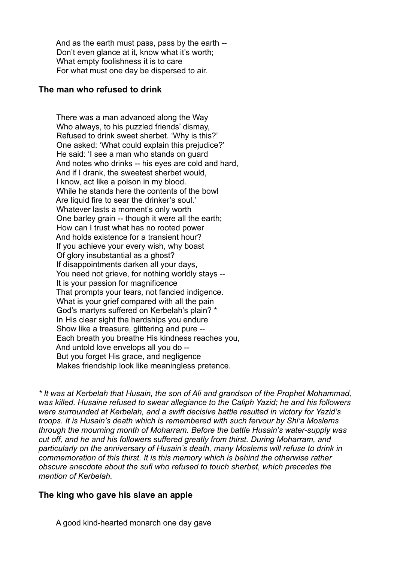And as the earth must pass, pass by the earth -- Don't even glance at it, know what it's worth; What empty foolishness it is to care For what must one day be dispersed to air.

# **The man who refused to drink**

There was a man advanced along the Way Who always, to his puzzled friends' dismay, Refused to drink sweet sherbet. 'Why is this?' One asked: 'What could explain this prejudice?' He said: 'I see a man who stands on guard And notes who drinks -- his eyes are cold and hard, And if I drank, the sweetest sherbet would, I know, act like a poison in my blood. While he stands here the contents of the bowl Are liquid fire to sear the drinker's soul.' Whatever lasts a moment's only worth One barley grain -- though it were all the earth; How can I trust what has no rooted power And holds existence for a transient hour? If you achieve your every wish, why boast Of glory insubstantial as a ghost? If disappointments darken all your days, You need not grieve, for nothing worldly stays -- It is your passion for magnificence That prompts your tears, not fancied indigence. What is your grief compared with all the pain God's martyrs suffered on Kerbelah's plain? \* In His clear sight the hardships you endure Show like a treasure, glittering and pure -- Each breath you breathe His kindness reaches you, And untold love envelops all you do -- But you forget His grace, and negligence Makes friendship look like meaningless pretence.

*\* It was at Kerbelah that Husain, the son of Ali and grandson of the Prophet Mohammad, was killed. Husaine refused to swear allegiance to the Caliph Yazid; he and his followers were surrounded at Kerbelah, and a swift decisive battle resulted in victory for Yazid's troops. It is Husain's death which is remembered with such fervour by Shi'a Moslems through the mourning month of Moharram. Before the battle Husain's water-supply was cut off, and he and his followers suffered greatly from thirst. During Moharram, and particularly on the anniversary of Husain's death, many Moslems will refuse to drink in commemoration of this thirst. It is this memory which is behind the otherwise rather obscure anecdote about the sufi who refused to touch sherbet, which precedes the mention of Kerbelah.*

# **The king who gave his slave an apple**

A good kind-hearted monarch one day gave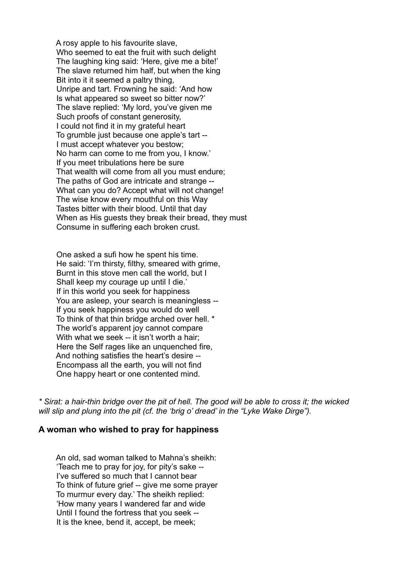A rosy apple to his favourite slave, Who seemed to eat the fruit with such delight The laughing king said: 'Here, give me a bite!' The slave returned him half, but when the king Bit into it it seemed a paltry thing, Unripe and tart. Frowning he said: 'And how Is what appeared so sweet so bitter now?' The slave replied: 'My lord, you've given me Such proofs of constant generosity, I could not find it in my grateful heart To grumble just because one apple's tart -- I must accept whatever you bestow; No harm can come to me from you, I know.' If you meet tribulations here be sure That wealth will come from all you must endure; The paths of God are intricate and strange -- What can you do? Accept what will not change! The wise know every mouthful on this Way Tastes bitter with their blood. Until that day When as His guests they break their bread, they must Consume in suffering each broken crust.

 One asked a sufi how he spent his time. He said: 'I'm thirsty, filthy, smeared with grime, Burnt in this stove men call the world, but I Shall keep my courage up until I die.' If in this world you seek for happiness You are asleep, your search is meaningless -- If you seek happiness you would do well To think of that thin bridge arched over hell. \* The world's apparent joy cannot compare With what we seek -- it isn't worth a hair; Here the Self rages like an unquenched fire. And nothing satisfies the heart's desire -- Encompass all the earth, you will not find One happy heart or one contented mind.

*\* Sirat: a hair-thin bridge over the pit of hell. The good will be able to cross it; the wicked will slip and plung into the pit (cf. the 'brig o' dread' in the "Lyke Wake Dirge").*

#### **A woman who wished to pray for happiness**

An old, sad woman talked to Mahna's sheikh: 'Teach me to pray for joy, for pity's sake -- I've suffered so much that I cannot bear To think of future grief -- give me some prayer To murmur every day.' The sheikh replied: 'How many years I wandered far and wide Until I found the fortress that you seek -- It is the knee, bend it, accept, be meek;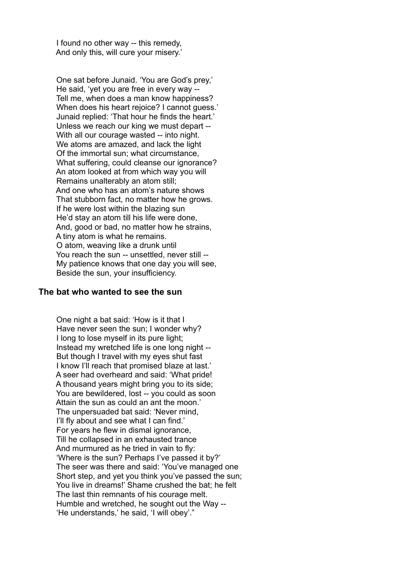I found no other way -- this remedy, And only this, will cure your misery.'

 One sat before Junaid. 'You are God's prey,' He said, 'yet you are free in every way -- Tell me, when does a man know happiness? When does his heart rejoice? I cannot guess.' Junaid replied: 'That hour he finds the heart.' Unless we reach our king we must depart -- With all our courage wasted -- into night. We atoms are amazed, and lack the light Of the immortal sun; what circumstance, What suffering, could cleanse our ignorance? An atom looked at from which way you will Remains unalterably an atom still; And one who has an atom's nature shows That stubborn fact, no matter how he grows. If he were lost within the blazing sun He'd stay an atom till his life were done, And, good or bad, no matter how he strains, A tiny atom is what he remains. O atom, weaving like a drunk until You reach the sun -- unsettled, never still -- My patience knows that one day you will see, Beside the sun, your insufficiency.

### **The bat who wanted to see the sun**

 One night a bat said: 'How is it that I Have never seen the sun; I wonder why? I long to lose myself in its pure light; Instead my wretched life is one long night -- But though I travel with my eyes shut fast I know I'll reach that promised blaze at last.' A seer had overheard and said: 'What pride! A thousand years might bring you to its side; You are bewildered, lost -- you could as soon Attain the sun as could an ant the moon.' The unpersuaded bat said: 'Never mind, I'll fly about and see what I can find.' For years he flew in dismal ignorance, Till he collapsed in an exhausted trance And murmured as he tried in vain to fly: 'Where is the sun? Perhaps I've passed it by?' The seer was there and said: 'You've managed one Short step, and yet you think you've passed the sun; You live in dreams!' Shame crushed the bat; he felt The last thin remnants of his courage melt. Humble and wretched, he sought out the Way -- 'He understands,' he said, 'I will obey'."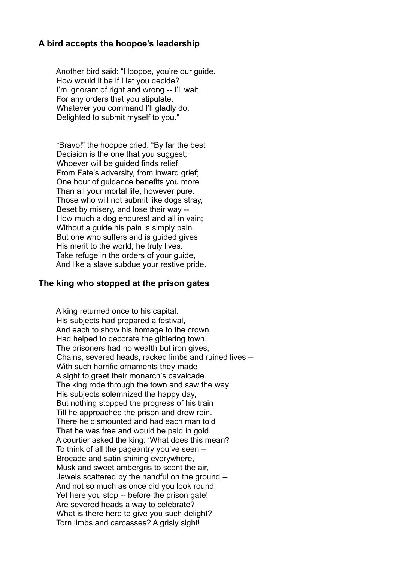# **A bird accepts the hoopoe's leadership**

Another bird said: "Hoopoe, you're our guide. How would it be if I let you decide? I'm ignorant of right and wrong -- I'll wait For any orders that you stipulate. Whatever you command I'll gladly do. Delighted to submit myself to you."

 "Bravo!" the hoopoe cried. "By far the best Decision is the one that you suggest; Whoever will be guided finds relief From Fate's adversity, from inward grief; One hour of guidance benefits you more Than all your mortal life, however pure. Those who will not submit like dogs stray, Beset by misery, and lose their way -- How much a dog endures! and all in vain; Without a guide his pain is simply pain. But one who suffers and is guided gives His merit to the world; he truly lives. Take refuge in the orders of your guide, And like a slave subdue your restive pride.

# **The king who stopped at the prison gates**

A king returned once to his capital. His subjects had prepared a festival, And each to show his homage to the crown Had helped to decorate the glittering town. The prisoners had no wealth but iron gives, Chains, severed heads, racked limbs and ruined lives -- With such horrific ornaments they made A sight to greet their monarch's cavalcade. The king rode through the town and saw the way His subjects solemnized the happy day, But nothing stopped the progress of his train Till he approached the prison and drew rein. There he dismounted and had each man told That he was free and would be paid in gold. A courtier asked the king: 'What does this mean? To think of all the pageantry you've seen -- Brocade and satin shining everywhere, Musk and sweet ambergris to scent the air, Jewels scattered by the handful on the ground -- And not so much as once did you look round; Yet here you stop -- before the prison gate! Are severed heads a way to celebrate? What is there here to give you such delight? Torn limbs and carcasses? A grisly sight!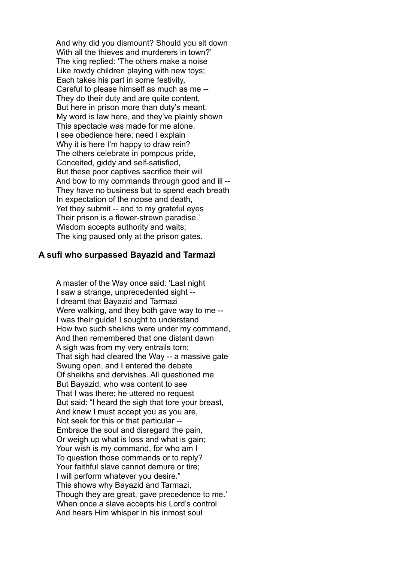And why did you dismount? Should you sit down With all the thieves and murderers in town?' The king replied: 'The others make a noise Like rowdy children playing with new toys; Each takes his part in some festivity, Careful to please himself as much as me -- They do their duty and are quite content, But here in prison more than duty's meant. My word is law here, and they've plainly shown This spectacle was made for me alone. I see obedience here; need I explain Why it is here I'm happy to draw rein? The others celebrate in pompous pride, Conceited, giddy and self-satisfied, But these poor captives sacrifice their will And bow to my commands through good and ill -- They have no business but to spend each breath In expectation of the noose and death, Yet they submit -- and to my grateful eyes Their prison is a flower-strewn paradise.' Wisdom accepts authority and waits; The king paused only at the prison gates.

#### **A sufi who surpassed Bayazid and Tarmazi**

A master of the Way once said: 'Last night I saw a strange, unprecedented sight -- I dreamt that Bayazid and Tarmazi Were walking, and they both gave way to me -- I was their guide! I sought to understand How two such sheikhs were under my command, And then remembered that one distant dawn A sigh was from my very entrails torn; That sigh had cleared the Way -- a massive gate Swung open, and I entered the debate Of sheikhs and dervishes. All questioned me But Bayazid, who was content to see That I was there; he uttered no request But said: "I heard the sigh that tore your breast, And knew I must accept you as you are, Not seek for this or that particular -- Embrace the soul and disregard the pain, Or weigh up what is loss and what is gain; Your wish is my command, for who am I To question those commands or to reply? Your faithful slave cannot demure or tire; I will perform whatever you desire." This shows why Bayazid and Tarmazi, Though they are great, gave precedence to me.' When once a slave accepts his Lord's control And hears Him whisper in his inmost soul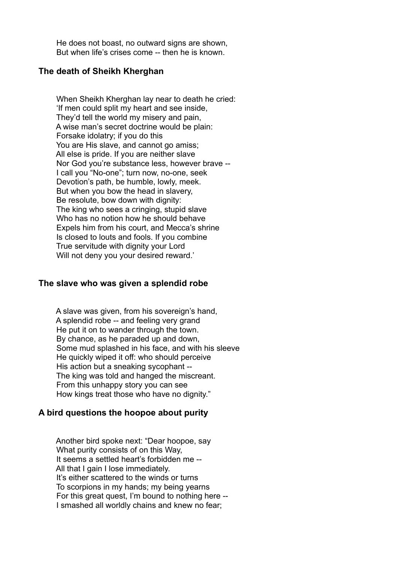He does not boast, no outward signs are shown, But when life's crises come -- then he is known.

#### **The death of Sheikh Kherghan**

When Sheikh Kherghan lay near to death he cried: 'If men could split my heart and see inside, They'd tell the world my misery and pain, A wise man's secret doctrine would be plain: Forsake idolatry; if you do this You are His slave, and cannot go amiss; All else is pride. If you are neither slave Nor God you're substance less, however brave -- I call you "No-one"; turn now, no-one, seek Devotion's path, be humble, lowly, meek. But when you bow the head in slavery, Be resolute, bow down with dignity: The king who sees a cringing, stupid slave Who has no notion how he should behave Expels him from his court, and Mecca's shrine Is closed to louts and fools. If you combine True servitude with dignity your Lord Will not deny you your desired reward.'

#### **The slave who was given a splendid robe**

A slave was given, from his sovereign's hand, A splendid robe -- and feeling very grand He put it on to wander through the town. By chance, as he paraded up and down, Some mud splashed in his face, and with his sleeve He quickly wiped it off: who should perceive His action but a sneaking sycophant -- The king was told and hanged the miscreant. From this unhappy story you can see How kings treat those who have no dignity."

### **A bird questions the hoopoe about purity**

Another bird spoke next: "Dear hoopoe, say What purity consists of on this Way, It seems a settled heart's forbidden me -- All that I gain I lose immediately. It's either scattered to the winds or turns To scorpions in my hands; my being yearns For this great quest, I'm bound to nothing here -- I smashed all worldly chains and knew no fear;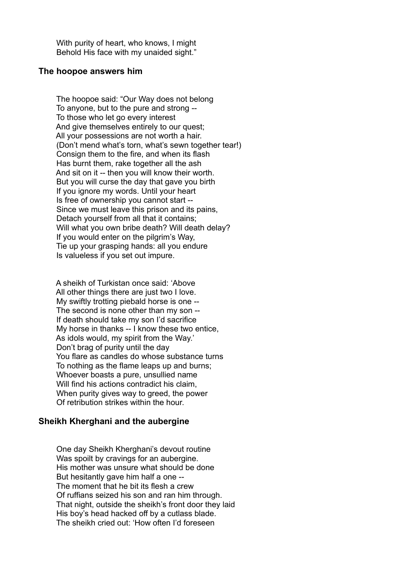With purity of heart, who knows, I might Behold His face with my unaided sight."

#### **The hoopoe answers him**

The hoopoe said: "Our Way does not belong To anyone, but to the pure and strong -- To those who let go every interest And give themselves entirely to our quest; All your possessions are not worth a hair. (Don't mend what's torn, what's sewn together tear!) Consign them to the fire, and when its flash Has burnt them, rake together all the ash And sit on it -- then you will know their worth. But you will curse the day that gave you birth If you ignore my words. Until your heart Is free of ownership you cannot start -- Since we must leave this prison and its pains, Detach yourself from all that it contains; Will what you own bribe death? Will death delay? If you would enter on the pilgrim's Way, Tie up your grasping hands: all you endure Is valueless if you set out impure.

A sheikh of Turkistan once said: 'Above All other things there are just two I love. My swiftly trotting piebald horse is one -- The second is none other than my son -- If death should take my son I'd sacrifice My horse in thanks -- I know these two entice, As idols would, my spirit from the Way.' Don't brag of purity until the day You flare as candles do whose substance turns To nothing as the flame leaps up and burns; Whoever boasts a pure, unsullied name Will find his actions contradict his claim, When purity gives way to greed, the power Of retribution strikes within the hour.

#### **Sheikh Kherghani and the aubergine**

 One day Sheikh Kherghani's devout routine Was spoilt by cravings for an aubergine. His mother was unsure what should be done But hesitantly gave him half a one -- The moment that he bit its flesh a crew Of ruffians seized his son and ran him through. That night, outside the sheikh's front door they laid His boy's head hacked off by a cutlass blade. The sheikh cried out: 'How often I'd foreseen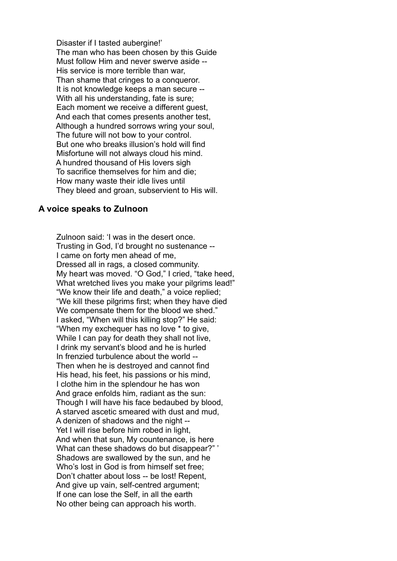Disaster if I tasted aubergine!' The man who has been chosen by this Guide Must follow Him and never swerve aside -- His service is more terrible than war, Than shame that cringes to a conqueror. It is not knowledge keeps a man secure -- With all his understanding, fate is sure; Each moment we receive a different guest, And each that comes presents another test, Although a hundred sorrows wring your soul, The future will not bow to your control. But one who breaks illusion's hold will find Misfortune will not always cloud his mind. A hundred thousand of His lovers sigh To sacrifice themselves for him and die; How many waste their idle lives until They bleed and groan, subservient to His will.

# **A voice speaks to Zulnoon**

 Zulnoon said: 'I was in the desert once. Trusting in God, I'd brought no sustenance -- I came on forty men ahead of me, Dressed all in rags, a closed community. My heart was moved. "O God," I cried, "take heed, What wretched lives you make your pilgrims lead!" "We know their life and death," a voice replied; "We kill these pilgrims first; when they have died We compensate them for the blood we shed." I asked, "When will this killing stop?" He said: "When my exchequer has no love \* to give, While I can pay for death they shall not live, I drink my servant's blood and he is hurled In frenzied turbulence about the world -- Then when he is destroyed and cannot find His head, his feet, his passions or his mind, I clothe him in the splendour he has won And grace enfolds him, radiant as the sun: Though I will have his face bedaubed by blood, A starved ascetic smeared with dust and mud, A denizen of shadows and the night -- Yet I will rise before him robed in light. And when that sun, My countenance, is here What can these shadows do but disappear?" Shadows are swallowed by the sun, and he Who's lost in God is from himself set free; Don't chatter about loss -- be lost! Repent, And give up vain, self-centred argument; If one can lose the Self, in all the earth No other being can approach his worth.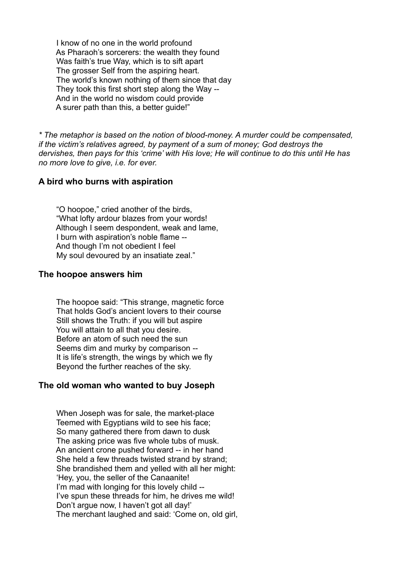I know of no one in the world profound As Pharaoh's sorcerers: the wealth they found Was faith's true Way, which is to sift apart The grosser Self from the aspiring heart. The world's known nothing of them since that day They took this first short step along the Way -- And in the world no wisdom could provide A surer path than this, a better guide!"

*\* The metaphor is based on the notion of blood-money. A murder could be compensated, if the victim's relatives agreed, by payment of a sum of money; God destroys the dervishes, then pays for this 'crime' with His love; He will continue to do this until He has no more love to give, i.e. for ever.*

# **A bird who burns with aspiration**

 "O hoopoe," cried another of the birds, "What lofty ardour blazes from your words! Although I seem despondent, weak and lame, I burn with aspiration's noble flame -- And though I'm not obedient I feel My soul devoured by an insatiate zeal."

#### **The hoopoe answers him**

The hoopoe said: "This strange, magnetic force That holds God's ancient lovers to their course Still shows the Truth: if you will but aspire You will attain to all that you desire. Before an atom of such need the sun Seems dim and murky by comparison -- It is life's strength, the wings by which we fly Beyond the further reaches of the sky.

#### **The old woman who wanted to buy Joseph**

 When Joseph was for sale, the market-place Teemed with Egyptians wild to see his face; So many gathered there from dawn to dusk The asking price was five whole tubs of musk. An ancient crone pushed forward -- in her hand She held a few threads twisted strand by strand; She brandished them and yelled with all her might: 'Hey, you, the seller of the Canaanite! I'm mad with longing for this lovely child -- I've spun these threads for him, he drives me wild! Don't argue now, I haven't got all day!' The merchant laughed and said: 'Come on, old girl,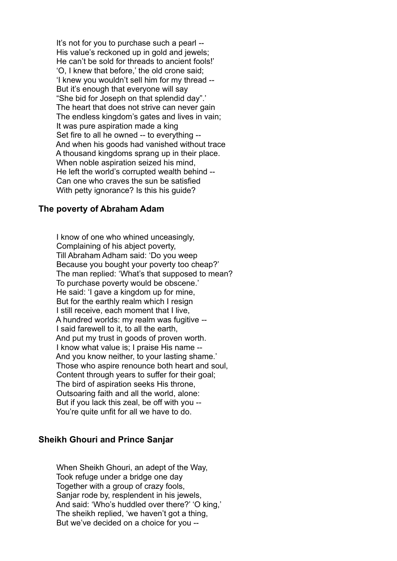It's not for you to purchase such a pearl -- His value's reckoned up in gold and jewels; He can't be sold for threads to ancient fools!' 'O, I knew that before,' the old crone said; 'I knew you wouldn't sell him for my thread -- But it's enough that everyone will say "She bid for Joseph on that splendid day".' The heart that does not strive can never gain The endless kingdom's gates and lives in vain; It was pure aspiration made a king Set fire to all he owned -- to everything -- And when his goods had vanished without trace A thousand kingdoms sprang up in their place. When noble aspiration seized his mind, He left the world's corrupted wealth behind -- Can one who craves the sun be satisfied With petty ignorance? Is this his quide?

# **The poverty of Abraham Adam**

 I know of one who whined unceasingly, Complaining of his abject poverty, Till Abraham Adham said: 'Do you weep Because you bought your poverty too cheap?' The man replied: 'What's that supposed to mean? To purchase poverty would be obscene.' He said: 'I gave a kingdom up for mine, But for the earthly realm which I resign I still receive, each moment that I live, A hundred worlds: my realm was fugitive -- I said farewell to it, to all the earth, And put my trust in goods of proven worth. I know what value is; I praise His name -- And you know neither, to your lasting shame.' Those who aspire renounce both heart and soul, Content through years to suffer for their goal; The bird of aspiration seeks His throne, Outsoaring faith and all the world, alone: But if you lack this zeal, be off with you -- You're quite unfit for all we have to do.

### **Sheikh Ghouri and Prince Sanjar**

 When Sheikh Ghouri, an adept of the Way, Took refuge under a bridge one day Together with a group of crazy fools, Sanjar rode by, resplendent in his jewels, And said: 'Who's huddled over there?' 'O king,' The sheikh replied, 'we haven't got a thing, But we've decided on a choice for you --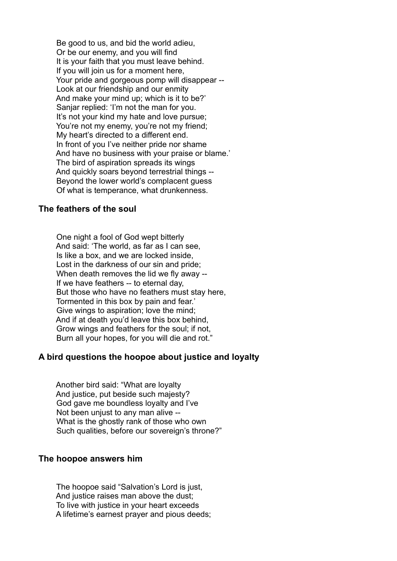Be good to us, and bid the world adieu, Or be our enemy, and you will find It is your faith that you must leave behind. If you will join us for a moment here, Your pride and gorgeous pomp will disappear -- Look at our friendship and our enmity And make your mind up; which is it to be?' Sanjar replied: 'I'm not the man for you. It's not your kind my hate and love pursue; You're not my enemy, you're not my friend; My heart's directed to a different end. In front of you I've neither pride nor shame And have no business with your praise or blame.' The bird of aspiration spreads its wings And quickly soars beyond terrestrial things -- Beyond the lower world's complacent guess Of what is temperance, what drunkenness.

# **The feathers of the soul**

 One night a fool of God wept bitterly And said: 'The world, as far as I can see, Is like a box, and we are locked inside, Lost in the darkness of our sin and pride; When death removes the lid we fly away -- If we have feathers -- to eternal day, But those who have no feathers must stay here, Tormented in this box by pain and fear.' Give wings to aspiration; love the mind; And if at death you'd leave this box behind, Grow wings and feathers for the soul; if not, Burn all your hopes, for you will die and rot."

# **A bird questions the hoopoe about justice and loyalty**

Another bird said: "What are loyalty And justice, put beside such majesty? God gave me boundless loyalty and I've Not been unjust to any man alive -- What is the ghostly rank of those who own Such qualities, before our sovereign's throne?"

# **The hoopoe answers him**

The hoopoe said "Salvation's Lord is just, And justice raises man above the dust; To live with justice in your heart exceeds A lifetime's earnest prayer and pious deeds;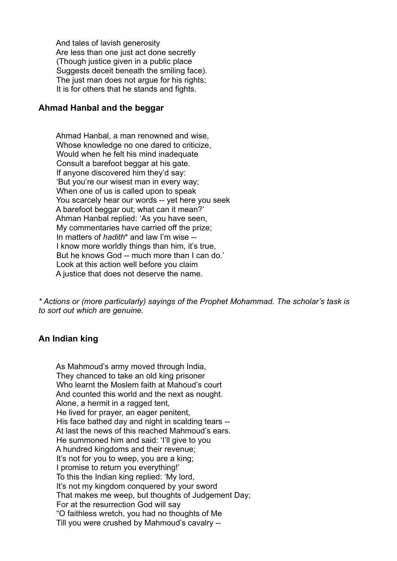And tales of lavish generosity Are less than one just act done secretly (Though justice given in a public place Suggests deceit beneath the smiling face). The just man does not argue for his rights; It is for others that he stands and fights.

# **Ahmad Hanbal and the beggar**

Ahmad Hanbal, a man renowned and wise, Whose knowledge no one dared to criticize, Would when he felt his mind inadequate Consult a barefoot beggar at his gate. If anyone discovered him they'd say: 'But you're our wisest man in every way; When one of us is called upon to speak You scarcely hear our words -- yet here you seek A barefoot beggar out; what can it mean?' Ahman Hanbal replied: 'As you have seen, My commentaries have carried off the prize; In matters of *hadith*\* and law I'm wise -- I know more worldly things than him, it's true, But he knows God -- much more than I can do.' Look at this action well before you claim A justice that does not deserve the name.

*\* Actions or (more particularly) sayings of the Prophet Mohammad. The scholar's task is to sort out which are genuine.*

# **An Indian king**

As Mahmoud's army moved through India, They chanced to take an old king prisoner Who learnt the Moslem faith at Mahoud's court And counted this world and the next as nought. Alone, a hermit in a ragged tent, He lived for prayer, an eager penitent, His face bathed day and night in scalding tears -- At last the news of this reached Mahmoud's ears. He summoned him and said: 'I'll give to you A hundred kingdoms and their revenue; It's not for you to weep, you are a king; I promise to return you everything!' To this the Indian king replied: 'My lord, It's not my kingdom conquered by your sword That makes me weep, but thoughts of Judgement Day; For at the resurrection God will say "O faithless wretch, you had no thoughts of Me Till you were crushed by Mahmoud's cavalry --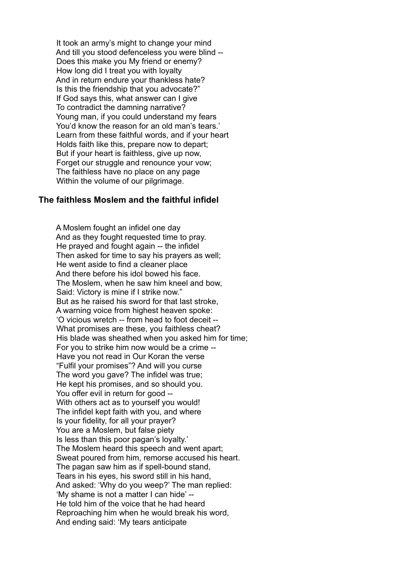It took an army's might to change your mind And till you stood defenceless you were blind -- Does this make you My friend or enemy? How long did I treat you with loyalty And in return endure your thankless hate? Is this the friendship that you advocate?" If God says this, what answer can I give To contradict the damning narrative? Young man, if you could understand my fears You'd know the reason for an old man's tears.' Learn from these faithful words, and if your heart Holds faith like this, prepare now to depart; But if your heart is faithless, give up now, Forget our struggle and renounce your vow; The faithless have no place on any page Within the volume of our pilgrimage.

#### **The faithless Moslem and the faithful infidel**

A Moslem fought an infidel one day And as they fought requested time to pray. He prayed and fought again -- the infidel Then asked for time to say his prayers as well; He went aside to find a cleaner place And there before his idol bowed his face. The Moslem, when he saw him kneel and bow, Said: Victory is mine if I strike now." But as he raised his sword for that last stroke, A warning voice from highest heaven spoke: 'O vicious wretch -- from head to foot deceit -- What promises are these, you faithless cheat? His blade was sheathed when you asked him for time; For you to strike him now would be a crime -- Have you not read in Our Koran the verse "Fulfil your promises"? And will you curse The word you gave? The infidel was true; He kept his promises, and so should you. You offer evil in return for good -- With others act as to yourself you would! The infidel kept faith with you, and where Is your fidelity, for all your prayer? You are a Moslem, but false piety Is less than this poor pagan's loyalty.' The Moslem heard this speech and went apart; Sweat poured from him, remorse accused his heart. The pagan saw him as if spell-bound stand, Tears in his eyes, his sword still in his hand, And asked: 'Why do you weep?' The man replied: 'My shame is not a matter I can hide' -- He told him of the voice that he had heard Reproaching him when he would break his word, And ending said: 'My tears anticipate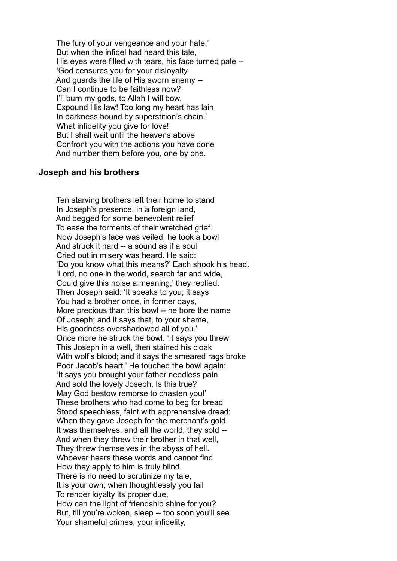The fury of your vengeance and your hate.' But when the infidel had heard this tale, His eyes were filled with tears, his face turned pale -- 'God censures you for your disloyalty And guards the life of His sworn enemy -- Can I continue to be faithless now? I'll burn my gods, to Allah I will bow, Expound His law! Too long my heart has lain In darkness bound by superstition's chain.' What infidelity you give for love! But I shall wait until the heavens above Confront you with the actions you have done And number them before you, one by one.

#### **Joseph and his brothers**

Ten starving brothers left their home to stand In Joseph's presence, in a foreign land, And begged for some benevolent relief To ease the torments of their wretched grief. Now Joseph's face was veiled; he took a bowl And struck it hard -- a sound as if a soul Cried out in misery was heard. He said: 'Do you know what this means?' Each shook his head. 'Lord, no one in the world, search far and wide, Could give this noise a meaning,' they replied. Then Joseph said: 'It speaks to you; it says You had a brother once, in former days, More precious than this bowl -- he bore the name Of Joseph; and it says that, to your shame, His goodness overshadowed all of you.' Once more he struck the bowl. 'It says you threw This Joseph in a well, then stained his cloak With wolf's blood; and it says the smeared rags broke Poor Jacob's heart.' He touched the bowl again: 'It says you brought your father needless pain And sold the lovely Joseph. Is this true? May God bestow remorse to chasten you!' These brothers who had come to beg for bread Stood speechless, faint with apprehensive dread: When they gave Joseph for the merchant's gold, It was themselves, and all the world, they sold -- And when they threw their brother in that well, They threw themselves in the abyss of hell. Whoever hears these words and cannot find How they apply to him is truly blind. There is no need to scrutinize my tale, It is your own; when thoughtlessly you fail To render loyalty its proper due, How can the light of friendship shine for you? But, till you're woken, sleep -- too soon you'll see Your shameful crimes, your infidelity,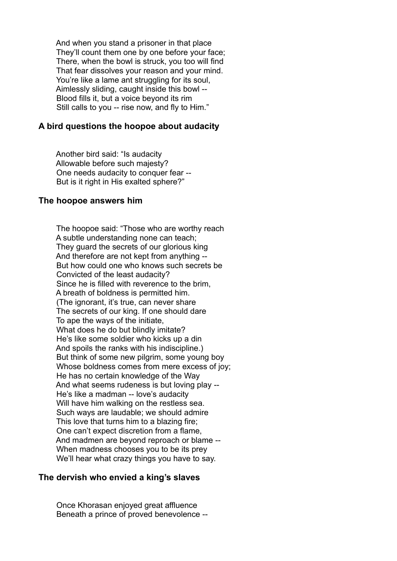And when you stand a prisoner in that place They'll count them one by one before your face; There, when the bowl is struck, you too will find That fear dissolves your reason and your mind. You're like a lame ant struggling for its soul. Aimlessly sliding, caught inside this bowl -- Blood fills it, but a voice beyond its rim Still calls to you -- rise now, and fly to Him."

### **A bird questions the hoopoe about audacity**

Another bird said: "Is audacity Allowable before such majesty? One needs audacity to conquer fear -- But is it right in His exalted sphere?"

### **The hoopoe answers him**

The hoopoe said: "Those who are worthy reach A subtle understanding none can teach; They guard the secrets of our glorious king And therefore are not kept from anything -- But how could one who knows such secrets be Convicted of the least audacity? Since he is filled with reverence to the brim, A breath of boldness is permitted him. (The ignorant, it's true, can never share The secrets of our king. If one should dare To ape the ways of the initiate, What does he do but blindly imitate? He's like some soldier who kicks up a din And spoils the ranks with his indiscipline.) But think of some new pilgrim, some young boy Whose boldness comes from mere excess of joy; He has no certain knowledge of the Way And what seems rudeness is but loving play -- He's like a madman -- love's audacity Will have him walking on the restless sea. Such ways are laudable; we should admire This love that turns him to a blazing fire; One can't expect discretion from a flame, And madmen are beyond reproach or blame -- When madness chooses you to be its prey We'll hear what crazy things you have to say.

#### **The dervish who envied a king's slaves**

 Once Khorasan enjoyed great affluence Beneath a prince of proved benevolence --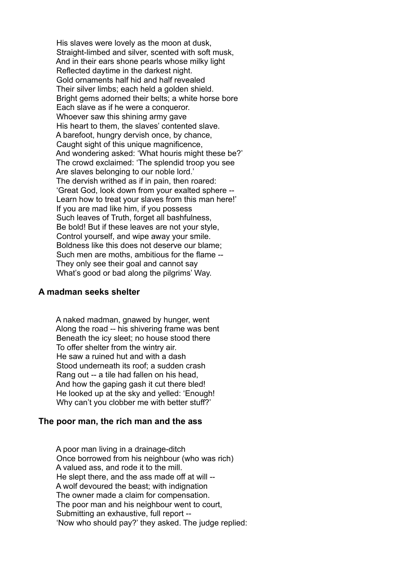His slaves were lovely as the moon at dusk, Straight-limbed and silver, scented with soft musk, And in their ears shone pearls whose milky light Reflected daytime in the darkest night. Gold ornaments half hid and half revealed Their silver limbs; each held a golden shield. Bright gems adorned their belts; a white horse bore Each slave as if he were a conqueror. Whoever saw this shining army gave His heart to them, the slaves' contented slave. A barefoot, hungry dervish once, by chance, Caught sight of this unique magnificence, And wondering asked: 'What houris might these be?' The crowd exclaimed: 'The splendid troop you see Are slaves belonging to our noble lord.' The dervish writhed as if in pain, then roared: 'Great God, look down from your exalted sphere -- Learn how to treat your slaves from this man here!' If you are mad like him, if you possess Such leaves of Truth, forget all bashfulness, Be bold! But if these leaves are not your style, Control yourself, and wipe away your smile. Boldness like this does not deserve our blame; Such men are moths, ambitious for the flame -- They only see their goal and cannot say What's good or bad along the pilgrims' Way.

# **A madman seeks shelter**

A naked madman, gnawed by hunger, went Along the road -- his shivering frame was bent Beneath the icy sleet; no house stood there To offer shelter from the wintry air. He saw a ruined hut and with a dash Stood underneath its roof; a sudden crash Rang out -- a tile had fallen on his head, And how the gaping gash it cut there bled! He looked up at the sky and yelled: 'Enough! Why can't you clobber me with better stuff?'

### **The poor man, the rich man and the ass**

A poor man living in a drainage-ditch Once borrowed from his neighbour (who was rich) A valued ass, and rode it to the mill. He slept there, and the ass made off at will -- A wolf devoured the beast; with indignation The owner made a claim for compensation. The poor man and his neighbour went to court, Submitting an exhaustive, full report -- 'Now who should pay?' they asked. The judge replied: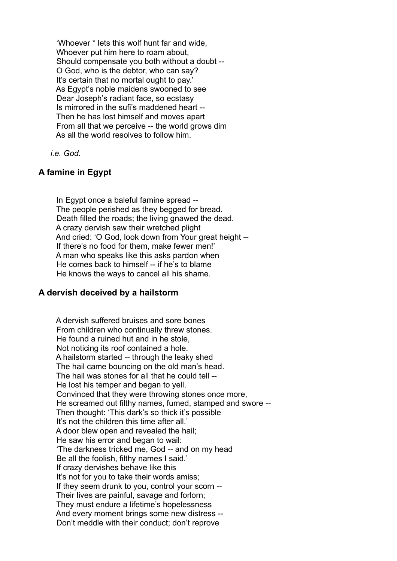'Whoever \* lets this wolf hunt far and wide, Whoever put him here to roam about, Should compensate you both without a doubt -- O God, who is the debtor, who can say? It's certain that no mortal ought to pay.' As Egypt's noble maidens swooned to see Dear Joseph's radiant face, so ecstasy Is mirrored in the sufi's maddened heart -- Then he has lost himself and moves apart From all that we perceive -- the world grows dim As all the world resolves to follow him.

*i.e. God.*

# **A famine in Egypt**

 In Egypt once a baleful famine spread -- The people perished as they begged for bread. Death filled the roads; the living gnawed the dead. A crazy dervish saw their wretched plight And cried: 'O God, look down from Your great height -- If there's no food for them, make fewer men!' A man who speaks like this asks pardon when He comes back to himself -- if he's to blame He knows the ways to cancel all his shame.

#### **A dervish deceived by a hailstorm**

A dervish suffered bruises and sore bones From children who continually threw stones. He found a ruined hut and in he stole, Not noticing its roof contained a hole. A hailstorm started -- through the leaky shed The hail came bouncing on the old man's head. The hail was stones for all that he could tell -- He lost his temper and began to yell. Convinced that they were throwing stones once more, He screamed out filthy names, fumed, stamped and swore -- Then thought: 'This dark's so thick it's possible It's not the children this time after all.' A door blew open and revealed the hail; He saw his error and began to wail: 'The darkness tricked me, God -- and on my head Be all the foolish, filthy names I said.' If crazy dervishes behave like this It's not for you to take their words amiss; If they seem drunk to you, control your scorn -- Their lives are painful, savage and forlorn; They must endure a lifetime's hopelessness And every moment brings some new distress -- Don't meddle with their conduct; don't reprove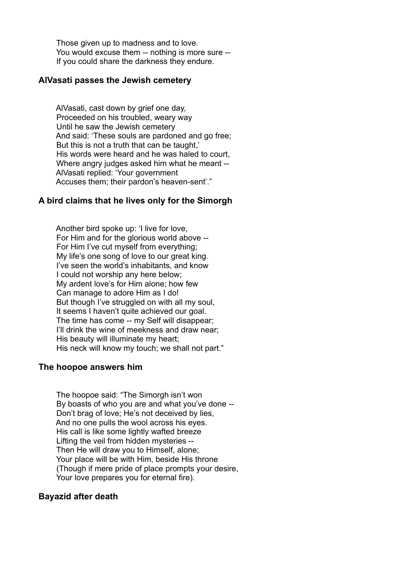Those given up to madness and to love. You would excuse them -- nothing is more sure -- If you could share the darkness they endure.

### **AlVasati passes the Jewish cemetery**

AlVasati, cast down by grief one day, Proceeded on his troubled, weary way Until he saw the Jewish cemetery And said: 'These souls are pardoned and go free; But this is not a truth that can be taught,' His words were heard and he was haled to court, Where angry judges asked him what he meant -- AlVasati replied: 'Your government Accuses them; their pardon's heaven-sent'."

# **A bird claims that he lives only for the Simorgh**

Another bird spoke up: 'I live for love, For Him and for the glorious world above -- For Him I've cut myself from everything; My life's one song of love to our great king. I've seen the world's inhabitants, and know I could not worship any here below; My ardent love's for Him alone; how few Can manage to adore Him as I do! But though I've struggled on with all my soul, It seems I haven't quite achieved our goal. The time has come -- my Self will disappear; I'll drink the wine of meekness and draw near; His beauty will illuminate my heart; His neck will know my touch; we shall not part."

# **The hoopoe answers him**

The hoopoe said: "The Simorgh isn't won By boasts of who you are and what you've done -- Don't brag of love; He's not deceived by lies, And no one pulls the wool across his eyes. His call is like some lightly wafted breeze Lifting the veil from hidden mysteries -- Then He will draw you to Himself, alone; Your place will be with Him, beside His throne (Though if mere pride of place prompts your desire, Your love prepares you for eternal fire).

# **Bayazid after death**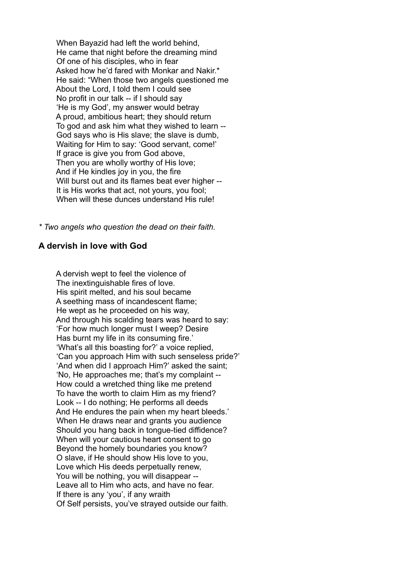When Bayazid had left the world behind, He came that night before the dreaming mind Of one of his disciples, who in fear Asked how he'd fared with Monkar and Nakir.\* He said: "When those two angels questioned me About the Lord, I told them I could see No profit in our talk -- if I should say 'He is my God', my answer would betray A proud, ambitious heart; they should return To god and ask him what they wished to learn -- God says who is His slave; the slave is dumb, Waiting for Him to say: 'Good servant, come!' If grace is give you from God above, Then you are wholly worthy of His love; And if He kindles joy in you, the fire Will burst out and its flames beat ever higher -- It is His works that act, not yours, you fool; When will these dunces understand His rule!

*\* Two angels who question the dead on their faith.*

# **A dervish in love with God**

A dervish wept to feel the violence of The inextinguishable fires of love. His spirit melted, and his soul became A seething mass of incandescent flame; He wept as he proceeded on his way, And through his scalding tears was heard to say: 'For how much longer must I weep? Desire Has burnt my life in its consuming fire.' 'What's all this boasting for?' a voice replied, 'Can you approach Him with such senseless pride?' 'And when did I approach Him?' asked the saint; 'No, He approaches me; that's my complaint -- How could a wretched thing like me pretend To have the worth to claim Him as my friend? Look -- I do nothing; He performs all deeds And He endures the pain when my heart bleeds.' When He draws near and grants you audience Should you hang back in tongue-tied diffidence? When will your cautious heart consent to go Beyond the homely boundaries you know? O slave, if He should show His love to you, Love which His deeds perpetually renew, You will be nothing, you will disappear -- Leave all to Him who acts, and have no fear. If there is any 'you', if any wraith Of Self persists, you've strayed outside our faith.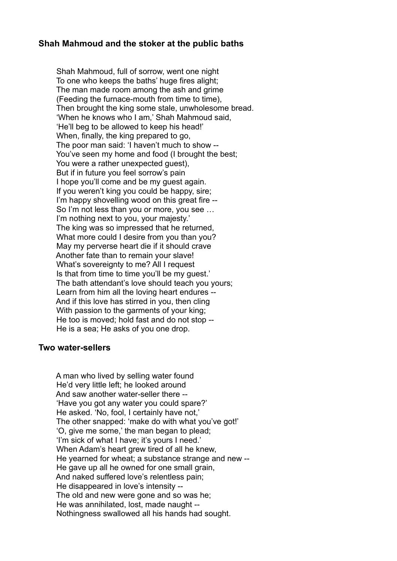# **Shah Mahmoud and the stoker at the public baths**

 Shah Mahmoud, full of sorrow, went one night To one who keeps the baths' huge fires alight; The man made room among the ash and grime (Feeding the furnace-mouth from time to time), Then brought the king some stale, unwholesome bread. 'When he knows who I am,' Shah Mahmoud said, 'He'll beg to be allowed to keep his head!' When, finally, the king prepared to go. The poor man said: 'I haven't much to show -- You've seen my home and food (I brought the best; You were a rather unexpected guest), But if in future you feel sorrow's pain I hope you'll come and be my guest again. If you weren't king you could be happy, sire; I'm happy shovelling wood on this great fire -- So I'm not less than you or more, you see … I'm nothing next to you, your majesty.' The king was so impressed that he returned, What more could I desire from you than you? May my perverse heart die if it should crave Another fate than to remain your slave! What's sovereignty to me? All I request Is that from time to time you'll be my guest.' The bath attendant's love should teach you yours; Learn from him all the loving heart endures -- And if this love has stirred in you, then cling With passion to the garments of your king; He too is moved; hold fast and do not stop -- He is a sea; He asks of you one drop.

### **Two water-sellers**

A man who lived by selling water found He'd very little left; he looked around And saw another water-seller there -- 'Have you got any water you could spare?' He asked. 'No, fool, I certainly have not,' The other snapped: 'make do with what you've got!' 'O, give me some,' the man began to plead; 'I'm sick of what I have; it's yours I need.' When Adam's heart grew tired of all he knew, He yearned for wheat; a substance strange and new -- He gave up all he owned for one small grain, And naked suffered love's relentless pain; He disappeared in love's intensity -- The old and new were gone and so was he; He was annihilated, lost, made naught -- Nothingness swallowed all his hands had sought.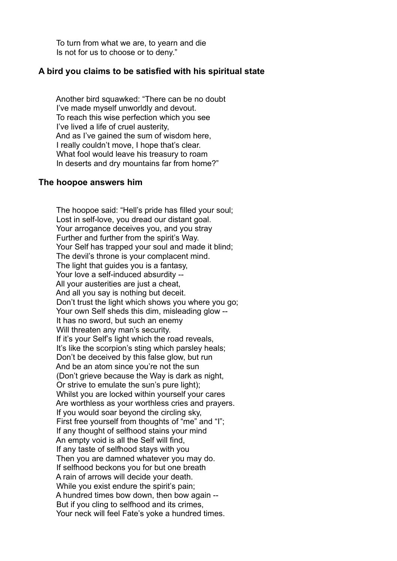To turn from what we are, to yearn and die Is not for us to choose or to deny."

#### **A bird you claims to be satisfied with his spiritual state**

Another bird squawked: "There can be no doubt I've made myself unworldly and devout. To reach this wise perfection which you see I've lived a life of cruel austerity, And as I've gained the sum of wisdom here. I really couldn't move, I hope that's clear. What fool would leave his treasury to roam In deserts and dry mountains far from home?"

#### **The hoopoe answers him**

The hoopoe said: "Hell's pride has filled your soul; Lost in self-love, you dread our distant goal. Your arrogance deceives you, and you stray Further and further from the spirit's Way. Your Self has trapped your soul and made it blind; The devil's throne is your complacent mind. The light that guides you is a fantasy, Your love a self-induced absurdity --All your austerities are just a cheat, And all you say is nothing but deceit. Don't trust the light which shows you where you go; Your own Self sheds this dim, misleading glow -- It has no sword, but such an enemy Will threaten any man's security. If it's your Self's light which the road reveals, It's like the scorpion's sting which parsley heals; Don't be deceived by this false glow, but run And be an atom since you're not the sun (Don't grieve because the Way is dark as night, Or strive to emulate the sun's pure light); Whilst you are locked within yourself your cares Are worthless as your worthless cries and prayers. If you would soar beyond the circling sky, First free yourself from thoughts of "me" and "I"; If any thought of selfhood stains your mind An empty void is all the Self will find, If any taste of selfhood stays with you Then you are damned whatever you may do. If selfhood beckons you for but one breath A rain of arrows will decide your death. While you exist endure the spirit's pain: A hundred times bow down, then bow again -- But if you cling to selfhood and its crimes, Your neck will feel Fate's yoke a hundred times.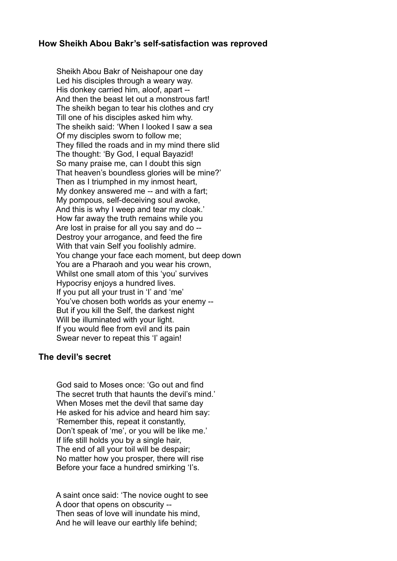# **How Sheikh Abou Bakr's self-satisfaction was reproved**

 Sheikh Abou Bakr of Neishapour one day Led his disciples through a weary way. His donkey carried him, aloof, apart -- And then the beast let out a monstrous fart! The sheikh began to tear his clothes and cry Till one of his disciples asked him why. The sheikh said: 'When I looked I saw a sea Of my disciples sworn to follow me; They filled the roads and in my mind there slid The thought: 'By God, I equal Bayazid! So many praise me, can I doubt this sign That heaven's boundless glories will be mine?' Then as I triumphed in my inmost heart, My donkey answered me -- and with a fart; My pompous, self-deceiving soul awoke, And this is why I weep and tear my cloak.' How far away the truth remains while you Are lost in praise for all you say and do -- Destroy your arrogance, and feed the fire With that vain Self you foolishly admire. You change your face each moment, but deep down You are a Pharaoh and you wear his crown, Whilst one small atom of this 'you' survives Hypocrisy enjoys a hundred lives. If you put all your trust in 'I' and 'me' You've chosen both worlds as your enemy -- But if you kill the Self, the darkest night Will be illuminated with your light. If you would flee from evil and its pain Swear never to repeat this 'I' again!

# **The devil's secret**

 God said to Moses once: 'Go out and find The secret truth that haunts the devil's mind.' When Moses met the devil that same day He asked for his advice and heard him say: 'Remember this, repeat it constantly, Don't speak of 'me', or you will be like me.' If life still holds you by a single hair, The end of all your toil will be despair; No matter how you prosper, there will rise Before your face a hundred smirking 'I's.

A saint once said: 'The novice ought to see A door that opens on obscurity -- Then seas of love will inundate his mind, And he will leave our earthly life behind;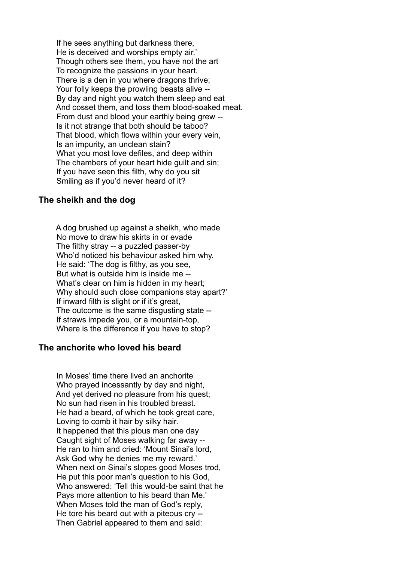If he sees anything but darkness there, He is deceived and worships empty air.' Though others see them, you have not the art To recognize the passions in your heart. There is a den in you where dragons thrive; Your folly keeps the prowling beasts alive -- By day and night you watch them sleep and eat And cosset them, and toss them blood-soaked meat. From dust and blood your earthly being grew -- Is it not strange that both should be taboo? That blood, which flows within your every vein, Is an impurity, an unclean stain? What you most love defiles, and deep within The chambers of your heart hide guilt and sin; If you have seen this filth, why do you sit Smiling as if you'd never heard of it?

### **The sheikh and the dog**

A dog brushed up against a sheikh, who made No move to draw his skirts in or evade The filthy stray -- a puzzled passer-by Who'd noticed his behaviour asked him why. He said: 'The dog is filthy, as you see, But what is outside him is inside me -- What's clear on him is hidden in my heart; Why should such close companions stay apart?' If inward filth is slight or if it's great, The outcome is the same disgusting state -- If straws impede you, or a mountain-top, Where is the difference if you have to stop?

# **The anchorite who loved his beard**

 In Moses' time there lived an anchorite Who prayed incessantly by day and night, And yet derived no pleasure from his quest; No sun had risen in his troubled breast. He had a beard, of which he took great care. Loving to comb it hair by silky hair. It happened that this pious man one day Caught sight of Moses walking far away -- He ran to him and cried: 'Mount Sinai's lord, Ask God why he denies me my reward.' When next on Sinai's slopes good Moses trod, He put this poor man's question to his God, Who answered: 'Tell this would-be saint that he Pays more attention to his beard than Me.' When Moses told the man of God's reply, He tore his beard out with a piteous cry -- Then Gabriel appeared to them and said: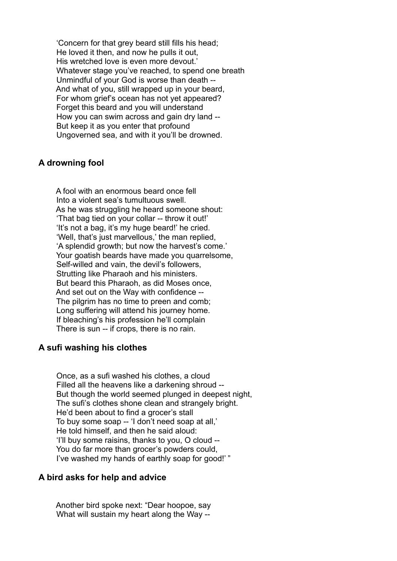'Concern for that grey beard still fills his head; He loved it then, and now he pulls it out, His wretched love is even more devout.' Whatever stage you've reached, to spend one breath Unmindful of your God is worse than death -- And what of you, still wrapped up in your beard, For whom grief's ocean has not yet appeared? Forget this beard and you will understand How you can swim across and gain dry land -- But keep it as you enter that profound Ungoverned sea, and with it you'll be drowned.

# **A drowning fool**

A fool with an enormous beard once fell Into a violent sea's tumultuous swell. As he was struggling he heard someone shout: 'That bag tied on your collar -- throw it out!' 'It's not a bag, it's my huge beard!' he cried. 'Well, that's just marvellous,' the man replied, 'A splendid growth; but now the harvest's come.' Your goatish beards have made you quarrelsome, Self-willed and vain, the devil's followers, Strutting like Pharaoh and his ministers. But beard this Pharaoh, as did Moses once, And set out on the Way with confidence -- The pilgrim has no time to preen and comb; Long suffering will attend his journey home. If bleaching's his profession he'll complain There is sun -- if crops, there is no rain.

# **A sufi washing his clothes**

 Once, as a sufi washed his clothes, a cloud Filled all the heavens like a darkening shroud -- But though the world seemed plunged in deepest night, The sufi's clothes shone clean and strangely bright. He'd been about to find a grocer's stall To buy some soap -- 'I don't need soap at all,' He told himself, and then he said aloud: 'I'll buy some raisins, thanks to you, O cloud -- You do far more than grocer's powders could, I've washed my hands of earthly soap for good!' "

# **A bird asks for help and advice**

Another bird spoke next: "Dear hoopoe, say What will sustain my heart along the Way --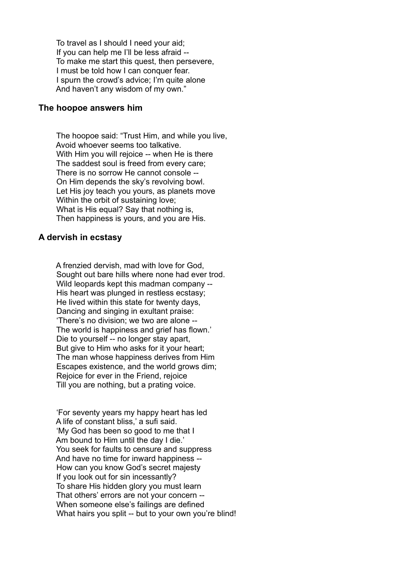To travel as I should I need your aid; If you can help me I'll be less afraid -- To make me start this quest, then persevere, I must be told how I can conquer fear. I spurn the crowd's advice; I'm quite alone And haven't any wisdom of my own."

#### **The hoopoe answers him**

The hoopoe said: "Trust Him, and while you live, Avoid whoever seems too talkative. With Him you will rejoice -- when He is there The saddest soul is freed from every care; There is no sorrow He cannot console -- On Him depends the sky's revolving bowl. Let His joy teach you yours, as planets move Within the orbit of sustaining love; What is His equal? Say that nothing is, Then happiness is yours, and you are His.

### **A dervish in ecstasy**

A frenzied dervish, mad with love for God, Sought out bare hills where none had ever trod. Wild leopards kept this madman company -- His heart was plunged in restless ecstasy; He lived within this state for twenty days, Dancing and singing in exultant praise: 'There's no division; we two are alone -- The world is happiness and grief has flown.' Die to yourself -- no longer stay apart, But give to Him who asks for it your heart; The man whose happiness derives from Him Escapes existence, and the world grows dim; Rejoice for ever in the Friend, rejoice Till you are nothing, but a prating voice.

 'For seventy years my happy heart has led A life of constant bliss,' a sufi said. 'My God has been so good to me that I Am bound to Him until the day I die.' You seek for faults to censure and suppress And have no time for inward happiness -- How can you know God's secret majesty If you look out for sin incessantly? To share His hidden glory you must learn That others' errors are not your concern -- When someone else's failings are defined What hairs you split -- but to your own you're blind!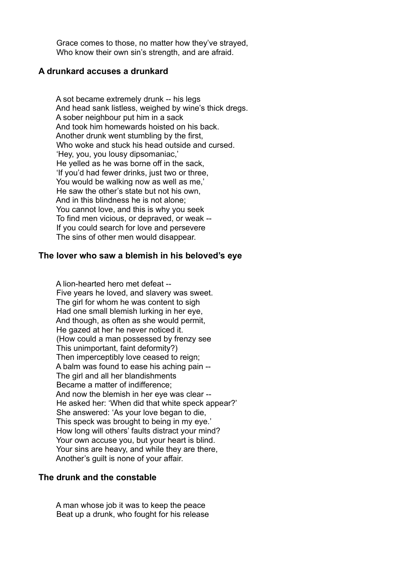Grace comes to those, no matter how they've strayed, Who know their own sin's strength, and are afraid.

# **A drunkard accuses a drunkard**

A sot became extremely drunk -- his legs And head sank listless, weighed by wine's thick dregs. A sober neighbour put him in a sack And took him homewards hoisted on his back. Another drunk went stumbling by the first, Who woke and stuck his head outside and cursed. 'Hey, you, you lousy dipsomaniac,' He yelled as he was borne off in the sack, 'If you'd had fewer drinks, just two or three, You would be walking now as well as me,' He saw the other's state but not his own, And in this blindness he is not alone; You cannot love, and this is why you seek To find men vicious, or depraved, or weak -- If you could search for love and persevere The sins of other men would disappear.

# **The lover who saw a blemish in his beloved's eye**

A lion-hearted hero met defeat -- Five years he loved, and slavery was sweet. The girl for whom he was content to sigh Had one small blemish lurking in her eye, And though, as often as she would permit, He gazed at her he never noticed it. (How could a man possessed by frenzy see This unimportant, faint deformity?) Then imperceptibly love ceased to reign; A balm was found to ease his aching pain -- The girl and all her blandishments Became a matter of indifference; And now the blemish in her eye was clear -- He asked her: 'When did that white speck appear?' She answered: 'As your love began to die, This speck was brought to being in my eye.' How long will others' faults distract your mind? Your own accuse you, but your heart is blind. Your sins are heavy, and while they are there, Another's guilt is none of your affair.

# **The drunk and the constable**

A man whose job it was to keep the peace Beat up a drunk, who fought for his release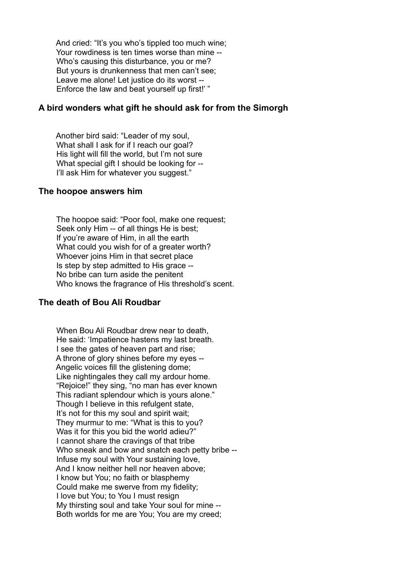And cried: "It's you who's tippled too much wine; Your rowdiness is ten times worse than mine -- Who's causing this disturbance, you or me? But yours is drunkenness that men can't see; Leave me alone! Let justice do its worst -- Enforce the law and beat yourself up first!' "

# **A bird wonders what gift he should ask for from the Simorgh**

Another bird said: "Leader of my soul, What shall I ask for if I reach our goal? His light will fill the world, but I'm not sure What special gift I should be looking for -- I'll ask Him for whatever you suggest."

### **The hoopoe answers him**

The hoopoe said: "Poor fool, make one request; Seek only Him -- of all things He is best; If you're aware of Him, in all the earth What could you wish for of a greater worth? Whoever joins Him in that secret place Is step by step admitted to His grace -- No bribe can turn aside the penitent Who knows the fragrance of His threshold's scent.

# **The death of Bou Ali Roudbar**

 When Bou Ali Roudbar drew near to death, He said: 'Impatience hastens my last breath. I see the gates of heaven part and rise; A throne of glory shines before my eyes -- Angelic voices fill the glistening dome; Like nightingales they call my ardour home. "Rejoice!" they sing, "no man has ever known This radiant splendour which is yours alone." Though I believe in this refulgent state, It's not for this my soul and spirit wait; They murmur to me: "What is this to you? Was it for this you bid the world adieu?" I cannot share the cravings of that tribe Who sneak and bow and snatch each petty bribe -- Infuse my soul with Your sustaining love, And I know neither hell nor heaven above; I know but You; no faith or blasphemy Could make me swerve from my fidelity; I love but You; to You I must resign My thirsting soul and take Your soul for mine -- Both worlds for me are You; You are my creed;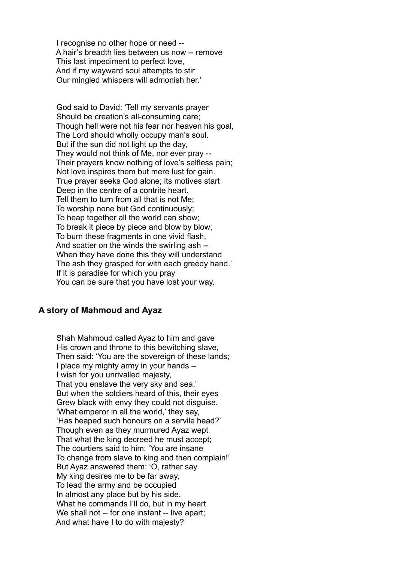I recognise no other hope or need -- A hair's breadth lies between us now -- remove This last impediment to perfect love, And if my wayward soul attempts to stir Our mingled whispers will admonish her.'

 God said to David: 'Tell my servants prayer Should be creation's all-consuming care; Though hell were not his fear nor heaven his goal, The Lord should wholly occupy man's soul. But if the sun did not light up the day, They would not think of Me, nor ever pray -- Their prayers know nothing of love's selfless pain; Not love inspires them but mere lust for gain. True prayer seeks God alone; its motives start Deep in the centre of a contrite heart. Tell them to turn from all that is not Me; To worship none but God continuously; To heap together all the world can show; To break it piece by piece and blow by blow; To burn these fragments in one vivid flash, And scatter on the winds the swirling ash -- When they have done this they will understand The ash they grasped for with each greedy hand.' If it is paradise for which you pray You can be sure that you have lost your way.

# **A story of Mahmoud and Ayaz**

 Shah Mahmoud called Ayaz to him and gave His crown and throne to this bewitching slave, Then said: 'You are the sovereign of these lands; I place my mighty army in your hands -- I wish for you unrivalled majesty, That you enslave the very sky and sea.' But when the soldiers heard of this, their eyes Grew black with envy they could not disguise. 'What emperor in all the world,' they say, 'Has heaped such honours on a servile head?' Though even as they murmured Ayaz wept That what the king decreed he must accept; The courtiers said to him: 'You are insane To change from slave to king and then complain!' But Ayaz answered them: 'O, rather say My king desires me to be far away, To lead the army and be occupied In almost any place but by his side. What he commands I'll do, but in my heart We shall not -- for one instant -- live apart; And what have I to do with majesty?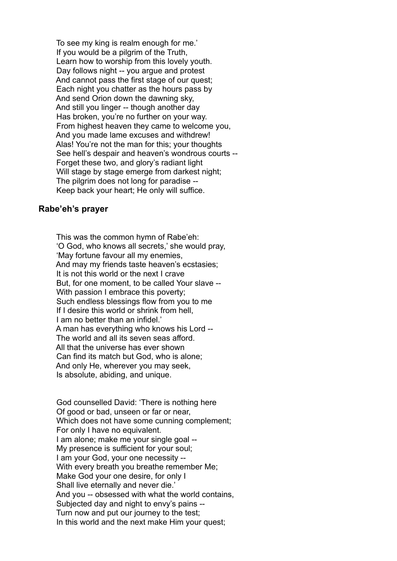To see my king is realm enough for me.' If you would be a pilgrim of the Truth, Learn how to worship from this lovely youth. Day follows night -- you argue and protest And cannot pass the first stage of our quest; Each night you chatter as the hours pass by And send Orion down the dawning sky, And still you linger -- though another day Has broken, you're no further on your way. From highest heaven they came to welcome you, And you made lame excuses and withdrew! Alas! You're not the man for this; your thoughts See hell's despair and heaven's wondrous courts -- Forget these two, and glory's radiant light Will stage by stage emerge from darkest night: The pilgrim does not long for paradise -- Keep back your heart; He only will suffice.

### **Rabe'eh's prayer**

This was the common hymn of Rabe'eh: 'O God, who knows all secrets,' she would pray, 'May fortune favour all my enemies, And may my friends taste heaven's ecstasies; It is not this world or the next I crave But, for one moment, to be called Your slave -- With passion I embrace this poverty; Such endless blessings flow from you to me If I desire this world or shrink from hell, I am no better than an infidel.' A man has everything who knows his Lord -- The world and all its seven seas afford. All that the universe has ever shown Can find its match but God, who is alone; And only He, wherever you may seek, Is absolute, abiding, and unique.

 God counselled David: 'There is nothing here Of good or bad, unseen or far or near, Which does not have some cunning complement; For only I have no equivalent. I am alone; make me your single goal -- My presence is sufficient for your soul; I am your God, your one necessity -- With every breath you breathe remember Me; Make God your one desire, for only I Shall live eternally and never die.' And you -- obsessed with what the world contains, Subjected day and night to envy's pains -- Turn now and put our journey to the test; In this world and the next make Him your quest;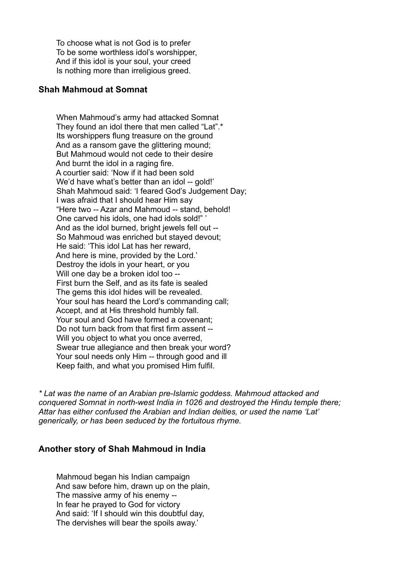To choose what is not God is to prefer To be some worthless idol's worshipper, And if this idol is your soul, your creed Is nothing more than irreligious greed.

# **Shah Mahmoud at Somnat**

 When Mahmoud's army had attacked Somnat They found an idol there that men called "Lat".\* Its worshippers flung treasure on the ground And as a ransom gave the glittering mound; But Mahmoud would not cede to their desire And burnt the idol in a raging fire. A courtier said: 'Now if it had been sold We'd have what's better than an idol -- gold!' Shah Mahmoud said: 'I feared God's Judgement Day; I was afraid that I should hear Him say "Here two -- Azar and Mahmoud -- stand, behold! One carved his idols, one had idols sold!" ' And as the idol burned, bright jewels fell out -- So Mahmoud was enriched but stayed devout; He said: 'This idol Lat has her reward, And here is mine, provided by the Lord.' Destroy the idols in your heart, or you Will one day be a broken idol too -- First burn the Self, and as its fate is sealed The gems this idol hides will be revealed. Your soul has heard the Lord's commanding call; Accept, and at His threshold humbly fall. Your soul and God have formed a covenant; Do not turn back from that first firm assent -- Will you object to what you once averred. Swear true allegiance and then break your word? Your soul needs only Him -- through good and ill Keep faith, and what you promised Him fulfil.

*\* Lat was the name of an Arabian pre-Islamic goddess. Mahmoud attacked and conquered Somnat in north-west India in 1026 and destroyed the Hindu temple there; Attar has either confused the Arabian and Indian deities, or used the name 'Lat' generically, or has been seduced by the fortuitous rhyme.*

# **Another story of Shah Mahmoud in India**

 Mahmoud began his Indian campaign And saw before him, drawn up on the plain, The massive army of his enemy -- In fear he prayed to God for victory And said: 'If I should win this doubtful day, The dervishes will bear the spoils away.'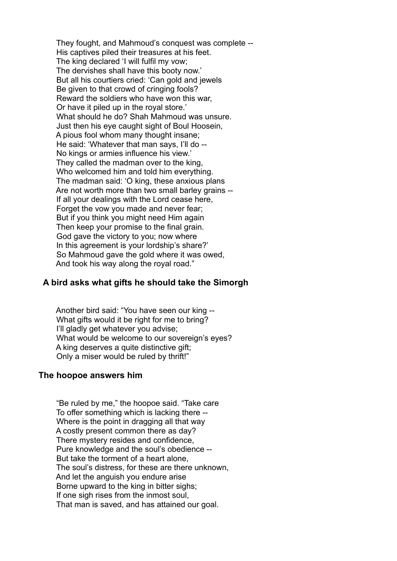They fought, and Mahmoud's conquest was complete -- His captives piled their treasures at his feet. The king declared 'I will fulfil my vow; The dervishes shall have this booty now.' But all his courtiers cried: 'Can gold and jewels Be given to that crowd of cringing fools? Reward the soldiers who have won this war, Or have it piled up in the royal store.' What should he do? Shah Mahmoud was unsure. Just then his eye caught sight of Boul Hoosein, A pious fool whom many thought insane; He said: 'Whatever that man says, I'll do -- No kings or armies influence his view.' They called the madman over to the king, Who welcomed him and told him everything. The madman said: 'O king, these anxious plans Are not worth more than two small barley grains -- If all your dealings with the Lord cease here, Forget the vow you made and never fear; But if you think you might need Him again Then keep your promise to the final grain. God gave the victory to you; now where In this agreement is your lordship's share?' So Mahmoud gave the gold where it was owed, And took his way along the royal road."

#### **A bird asks what gifts he should take the Simorgh**

Another bird said: "You have seen our king -- What gifts would it be right for me to bring? I'll gladly get whatever you advise; What would be welcome to our sovereign's eves? A king deserves a quite distinctive gift; Only a miser would be ruled by thrift!"

#### **The hoopoe answers him**

 "Be ruled by me," the hoopoe said. "Take care To offer something which is lacking there -- Where is the point in dragging all that way A costly present common there as day? There mystery resides and confidence, Pure knowledge and the soul's obedience -- But take the torment of a heart alone, The soul's distress, for these are there unknown, And let the anguish you endure arise Borne upward to the king in bitter sighs; If one sigh rises from the inmost soul, That man is saved, and has attained our goal.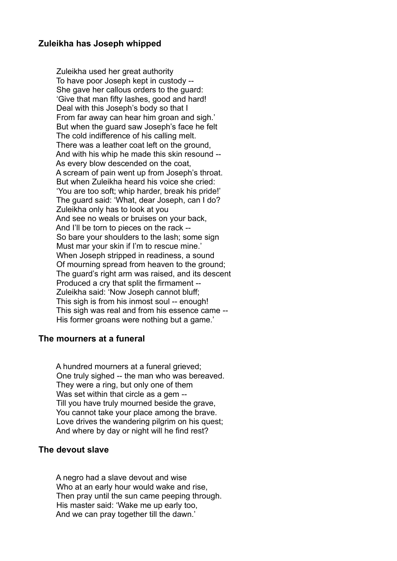# **Zuleikha has Joseph whipped**

 Zuleikha used her great authority To have poor Joseph kept in custody -- She gave her callous orders to the guard: 'Give that man fifty lashes, good and hard! Deal with this Joseph's body so that I From far away can hear him groan and sigh.' But when the guard saw Joseph's face he felt The cold indifference of his calling melt. There was a leather coat left on the ground, And with his whip he made this skin resound -- As every blow descended on the coat, A scream of pain went up from Joseph's throat. But when Zuleikha heard his voice she cried: 'You are too soft; whip harder, break his pride!' The guard said: 'What, dear Joseph, can I do? Zuleikha only has to look at you And see no weals or bruises on your back, And I'll be torn to pieces on the rack -- So bare your shoulders to the lash; some sign Must mar your skin if I'm to rescue mine.' When Joseph stripped in readiness, a sound Of mourning spread from heaven to the ground; The guard's right arm was raised, and its descent Produced a cry that split the firmament -- Zuleikha said: 'Now Joseph cannot bluff; This sigh is from his inmost soul -- enough! This sigh was real and from his essence came -- His former groans were nothing but a game.'

## **The mourners at a funeral**

A hundred mourners at a funeral grieved; One truly sighed -- the man who was bereaved. They were a ring, but only one of them Was set within that circle as a gem --Till you have truly mourned beside the grave, You cannot take your place among the brave. Love drives the wandering pilgrim on his quest; And where by day or night will he find rest?

## **The devout slave**

A negro had a slave devout and wise Who at an early hour would wake and rise, Then pray until the sun came peeping through. His master said: 'Wake me up early too, And we can pray together till the dawn.'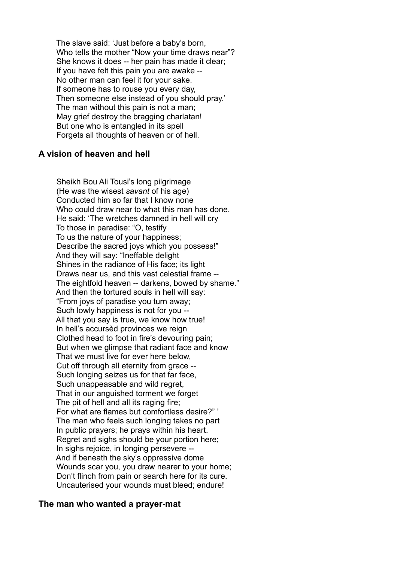The slave said: 'Just before a baby's born, Who tells the mother "Now your time draws near"? She knows it does -- her pain has made it clear; If you have felt this pain you are awake -- No other man can feel it for your sake. If someone has to rouse you every day, Then someone else instead of you should pray.' The man without this pain is not a man; May grief destroy the bragging charlatan! But one who is entangled in its spell Forgets all thoughts of heaven or of hell.

# **A vision of heaven and hell**

 Sheikh Bou Ali Tousi's long pilgrimage (He was the wisest *savant* of his age) Conducted him so far that I know none Who could draw near to what this man has done. He said: 'The wretches damned in hell will cry To those in paradise: "O, testify To us the nature of your happiness; Describe the sacred joys which you possess!" And they will say: "Ineffable delight Shines in the radiance of His face; its light Draws near us, and this vast celestial frame -- The eightfold heaven -- darkens, bowed by shame." And then the tortured souls in hell will say: "From joys of paradise you turn away; Such lowly happiness is not for you -- All that you say is true, we know how true! In hell's accursèd provinces we reign Clothed head to foot in fire's devouring pain; But when we glimpse that radiant face and know That we must live for ever here below, Cut off through all eternity from grace -- Such longing seizes us for that far face, Such unappeasable and wild regret, That in our anguished torment we forget The pit of hell and all its raging fire; For what are flames but comfortless desire?" ' The man who feels such longing takes no part In public prayers; he prays within his heart. Regret and sighs should be your portion here; In sighs rejoice, in longing persevere -- And if beneath the sky's oppressive dome Wounds scar you, you draw nearer to your home; Don't flinch from pain or search here for its cure. Uncauterised your wounds must bleed; endure!

#### **The man who wanted a prayer-mat**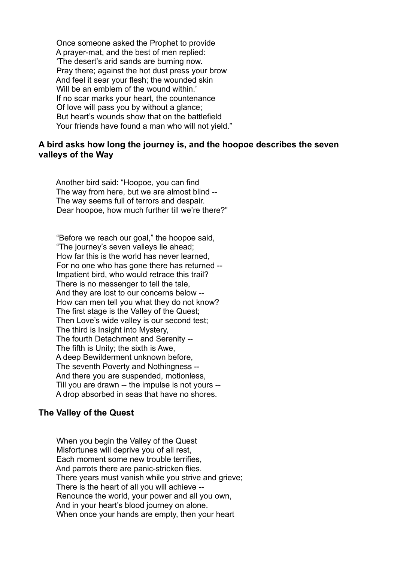Once someone asked the Prophet to provide A prayer-mat, and the best of men replied: 'The desert's arid sands are burning now. Pray there; against the hot dust press your brow And feel it sear your flesh; the wounded skin Will be an emblem of the wound within.' If no scar marks your heart, the countenance Of love will pass you by without a glance; But heart's wounds show that on the battlefield Your friends have found a man who will not yield."

# **A bird asks how long the journey is, and the hoopoe describes the seven valleys of the Way**

Another bird said: "Hoopoe, you can find The way from here, but we are almost blind -- The way seems full of terrors and despair. Dear hoopoe, how much further till we're there?"

 "Before we reach our goal," the hoopoe said, "The journey's seven valleys lie ahead; How far this is the world has never learned, For no one who has gone there has returned -- Impatient bird, who would retrace this trail? There is no messenger to tell the tale, And they are lost to our concerns below -- How can men tell you what they do not know? The first stage is the Valley of the Quest; Then Love's wide valley is our second test; The third is Insight into Mystery, The fourth Detachment and Serenity -- The fifth is Unity; the sixth is Awe, A deep Bewilderment unknown before, The seventh Poverty and Nothingness -- And there you are suspended, motionless, Till you are drawn -- the impulse is not yours -- A drop absorbed in seas that have no shores.

# **The Valley of the Quest**

 When you begin the Valley of the Quest Misfortunes will deprive you of all rest, Each moment some new trouble terrifies, And parrots there are panic-stricken flies. There years must vanish while you strive and grieve; There is the heart of all you will achieve -- Renounce the world, your power and all you own, And in your heart's blood journey on alone. When once your hands are empty, then your heart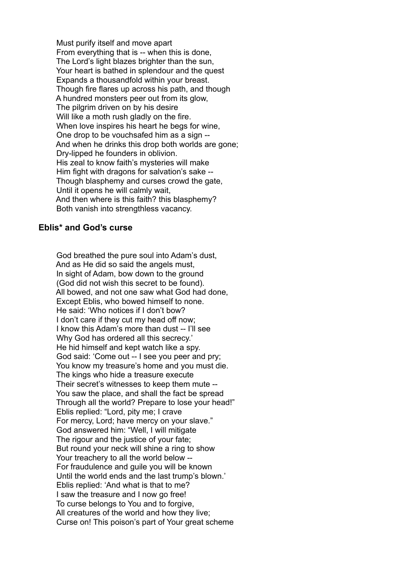Must purify itself and move apart From everything that is -- when this is done, The Lord's light blazes brighter than the sun, Your heart is bathed in splendour and the quest Expands a thousandfold within your breast. Though fire flares up across his path, and though A hundred monsters peer out from its glow, The pilgrim driven on by his desire Will like a moth rush gladly on the fire. When love inspires his heart he begs for wine, One drop to be vouchsafed him as a sign -- And when he drinks this drop both worlds are gone; Dry-lipped he founders in oblivion. His zeal to know faith's mysteries will make Him fight with dragons for salvation's sake -- Though blasphemy and curses crowd the gate, Until it opens he will calmly wait, And then where is this faith? this blasphemy? Both vanish into strengthless vacancy.

# **Eblis\* and God's curse**

 God breathed the pure soul into Adam's dust, And as He did so said the angels must, In sight of Adam, bow down to the ground (God did not wish this secret to be found). All bowed, and not one saw what God had done, Except Eblis, who bowed himself to none. He said: 'Who notices if I don't bow? I don't care if they cut my head off now; I know this Adam's more than dust -- I'll see Why God has ordered all this secrecy.' He hid himself and kept watch like a spy. God said: 'Come out -- I see you peer and pry; You know my treasure's home and you must die. The kings who hide a treasure execute Their secret's witnesses to keep them mute -- You saw the place, and shall the fact be spread Through all the world? Prepare to lose your head!" Eblis replied: "Lord, pity me; I crave For mercy, Lord; have mercy on your slave." God answered him: "Well, I will mitigate The rigour and the justice of your fate; But round your neck will shine a ring to show Your treachery to all the world below -- For fraudulence and guile you will be known Until the world ends and the last trump's blown.' Eblis replied: 'And what is that to me? I saw the treasure and I now go free! To curse belongs to You and to forgive, All creatures of the world and how they live; Curse on! This poison's part of Your great scheme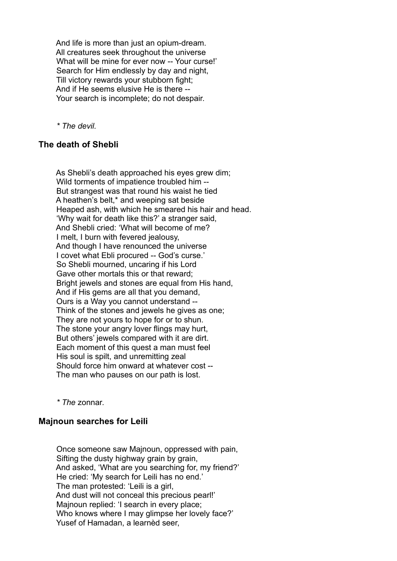And life is more than just an opium-dream. All creatures seek throughout the universe What will be mine for ever now -- Your curse!' Search for Him endlessly by day and night, Till victory rewards your stubborn fight; And if He seems elusive He is there -- Your search is incomplete; do not despair.

*\* The devil.*

# **The death of Shebli**

As Shebli's death approached his eyes grew dim; Wild torments of impatience troubled him -- But strangest was that round his waist he tied A heathen's belt,\* and weeping sat beside Heaped ash, with which he smeared his hair and head. 'Why wait for death like this?' a stranger said, And Shebli cried: 'What will become of me? I melt, I burn with fevered jealousy, And though I have renounced the universe I covet what Ebli procured -- God's curse.' So Shebli mourned, uncaring if his Lord Gave other mortals this or that reward; Bright jewels and stones are equal from His hand, And if His gems are all that you demand, Ours is a Way you cannot understand -- Think of the stones and jewels he gives as one; They are not yours to hope for or to shun. The stone your angry lover flings may hurt, But others' jewels compared with it are dirt. Each moment of this quest a man must feel His soul is spilt, and unremitting zeal Should force him onward at whatever cost -- The man who pauses on our path is lost.

*\* The* zonnar*.*

## **Majnoun searches for Leili**

 Once someone saw Majnoun, oppressed with pain, Sifting the dusty highway grain by grain, And asked, 'What are you searching for, my friend?' He cried: 'My search for Leili has no end.' The man protested: 'Leili is a girl, And dust will not conceal this precious pearl!' Majnoun replied: 'I search in every place; Who knows where I may glimpse her lovely face?' Yusef of Hamadan, a learnèd seer,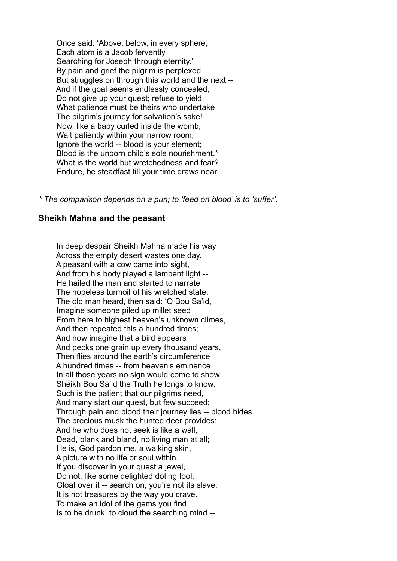Once said: 'Above, below, in every sphere, Each atom is a Jacob fervently Searching for Joseph through eternity.' By pain and grief the pilgrim is perplexed But struggles on through this world and the next -- And if the goal seems endlessly concealed, Do not give up your quest; refuse to yield. What patience must be theirs who undertake The pilgrim's journey for salvation's sake! Now, like a baby curled inside the womb, Wait patiently within your narrow room; Ignore the world -- blood is your element; Blood is the unborn child's sole nourishment.\* What is the world but wretchedness and fear? Endure, be steadfast till your time draws near.

*\* The comparison depends on a pun; to 'feed on blood' is to 'suffer'.*

#### **Sheikh Mahna and the peasant**

 In deep despair Sheikh Mahna made his way Across the empty desert wastes one day. A peasant with a cow came into sight, And from his body played a lambent light -- He hailed the man and started to narrate The hopeless turmoil of his wretched state. The old man heard, then said: 'O Bou Sa'id, Imagine someone piled up millet seed From here to highest heaven's unknown climes, And then repeated this a hundred times; And now imagine that a bird appears And pecks one grain up every thousand years. Then flies around the earth's circumference A hundred times -- from heaven's eminence In all those years no sign would come to show Sheikh Bou Sa'id the Truth he longs to know.' Such is the patient that our pilgrims need, And many start our quest, but few succeed; Through pain and blood their journey lies -- blood hides The precious musk the hunted deer provides; And he who does not seek is like a wall, Dead, blank and bland, no living man at all; He is, God pardon me, a walking skin, A picture with no life or soul within. If you discover in your quest a jewel, Do not, like some delighted doting fool, Gloat over it -- search on, you're not its slave; It is not treasures by the way you crave. To make an idol of the gems you find Is to be drunk, to cloud the searching mind --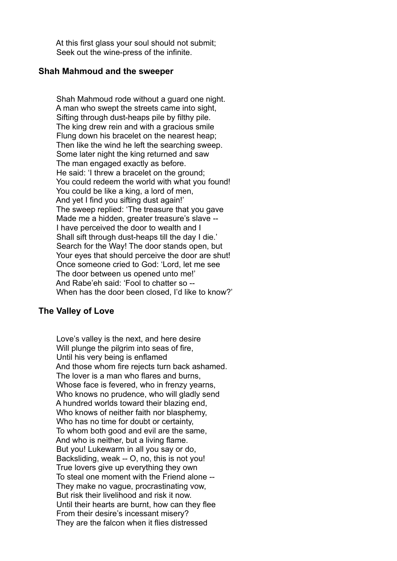At this first glass your soul should not submit; Seek out the wine-press of the infinite.

#### **Shah Mahmoud and the sweeper**

 Shah Mahmoud rode without a guard one night. A man who swept the streets came into sight, Sifting through dust-heaps pile by filthy pile. The king drew rein and with a gracious smile Flung down his bracelet on the nearest heap; Then like the wind he left the searching sweep. Some later night the king returned and saw The man engaged exactly as before. He said: 'I threw a bracelet on the ground; You could redeem the world with what you found! You could be like a king, a lord of men, And yet I find you sifting dust again!' The sweep replied: 'The treasure that you gave Made me a hidden, greater treasure's slave -- I have perceived the door to wealth and I Shall sift through dust-heaps till the day I die.' Search for the Way! The door stands open, but Your eyes that should perceive the door are shut! Once someone cried to God: 'Lord, let me see The door between us opened unto me!' And Rabe'eh said: 'Fool to chatter so -- When has the door been closed, I'd like to know?'

#### **The Valley of Love**

 Love's valley is the next, and here desire Will plunge the pilgrim into seas of fire. Until his very being is enflamed And those whom fire rejects turn back ashamed. The lover is a man who flares and burns, Whose face is fevered, who in frenzy yearns, Who knows no prudence, who will gladly send A hundred worlds toward their blazing end, Who knows of neither faith nor blasphemy, Who has no time for doubt or certainty, To whom both good and evil are the same, And who is neither, but a living flame. But you! Lukewarm in all you say or do, Backsliding, weak -- O, no, this is not you! True lovers give up everything they own To steal one moment with the Friend alone -- They make no vague, procrastinating vow, But risk their livelihood and risk it now. Until their hearts are burnt, how can they flee From their desire's incessant misery? They are the falcon when it flies distressed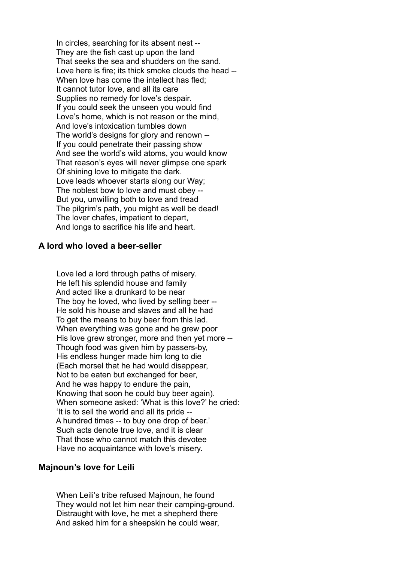In circles, searching for its absent nest -- They are the fish cast up upon the land That seeks the sea and shudders on the sand. Love here is fire; its thick smoke clouds the head -- When love has come the intellect has fled: It cannot tutor love, and all its care Supplies no remedy for love's despair. If you could seek the unseen you would find Love's home, which is not reason or the mind, And love's intoxication tumbles down The world's designs for glory and renown -- If you could penetrate their passing show And see the world's wild atoms, you would know That reason's eyes will never glimpse one spark Of shining love to mitigate the dark. Love leads whoever starts along our Way; The noblest bow to love and must obey -- But you, unwilling both to love and tread The pilgrim's path, you might as well be dead! The lover chafes, impatient to depart, And longs to sacrifice his life and heart.

## **A lord who loved a beer-seller**

 Love led a lord through paths of misery. He left his splendid house and family And acted like a drunkard to be near The boy he loved, who lived by selling beer -- He sold his house and slaves and all he had To get the means to buy beer from this lad. When everything was gone and he grew poor His love grew stronger, more and then yet more -- Though food was given him by passers-by, His endless hunger made him long to die (Each morsel that he had would disappear, Not to be eaten but exchanged for beer, And he was happy to endure the pain, Knowing that soon he could buy beer again). When someone asked: 'What is this love?' he cried: 'It is to sell the world and all its pride -- A hundred times -- to buy one drop of beer.' Such acts denote true love, and it is clear That those who cannot match this devotee Have no acquaintance with love's misery.

## **Majnoun's love for Leili**

 When Leili's tribe refused Majnoun, he found They would not let him near their camping-ground. Distraught with love, he met a shepherd there And asked him for a sheepskin he could wear,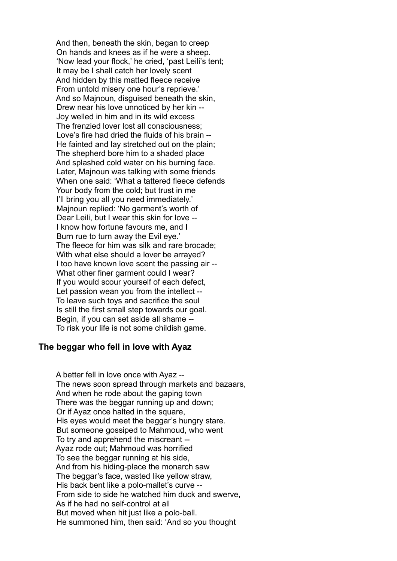And then, beneath the skin, began to creep On hands and knees as if he were a sheep. 'Now lead your flock,' he cried, 'past Leili's tent; It may be I shall catch her lovely scent And hidden by this matted fleece receive From untold misery one hour's reprieve.' And so Majnoun, disguised beneath the skin, Drew near his love unnoticed by her kin -- Joy welled in him and in its wild excess The frenzied lover lost all consciousness; Love's fire had dried the fluids of his brain -- He fainted and lay stretched out on the plain; The shepherd bore him to a shaded place And splashed cold water on his burning face. Later, Majnoun was talking with some friends When one said: 'What a tattered fleece defends Your body from the cold; but trust in me I'll bring you all you need immediately.' Majnoun replied: 'No garment's worth of Dear Leili, but I wear this skin for love -- I know how fortune favours me, and I Burn rue to turn away the Evil eye.' The fleece for him was silk and rare brocade; With what else should a lover be arrayed? I too have known love scent the passing air -- What other finer garment could I wear? If you would scour yourself of each defect, Let passion wean you from the intellect -- To leave such toys and sacrifice the soul Is still the first small step towards our goal. Begin, if you can set aside all shame -- To risk your life is not some childish game.

#### **The beggar who fell in love with Ayaz**

A better fell in love once with Ayaz -- The news soon spread through markets and bazaars, And when he rode about the gaping town There was the beggar running up and down; Or if Ayaz once halted in the square, His eyes would meet the beggar's hungry stare. But someone gossiped to Mahmoud, who went To try and apprehend the miscreant -- Ayaz rode out; Mahmoud was horrified To see the beggar running at his side, And from his hiding-place the monarch saw The beggar's face, wasted like yellow straw, His back bent like a polo-mallet's curve -- From side to side he watched him duck and swerve, As if he had no self-control at all But moved when hit just like a polo-ball. He summoned him, then said: 'And so you thought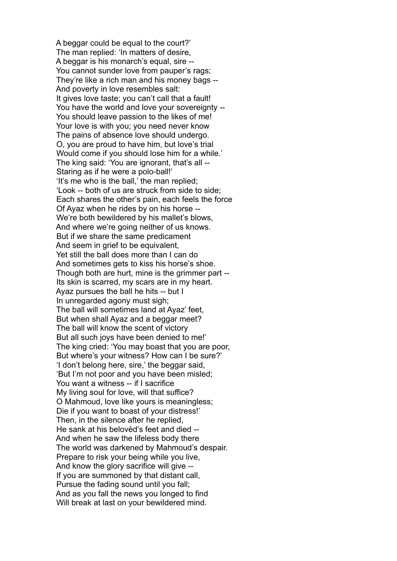A beggar could be equal to the court?' The man replied: 'In matters of desire, A beggar is his monarch's equal, sire -- You cannot sunder love from pauper's rags; They're like a rich man and his money bags -- And poverty in love resembles salt: It gives love taste; you can't call that a fault! You have the world and love your sovereignty -- You should leave passion to the likes of me! Your love is with you; you need never know The pains of absence love should undergo. O, you are proud to have him, but love's trial Would come if you should lose him for a while.' The king said: 'You are ignorant, that's all -- Staring as if he were a polo-ball!' 'It's me who is the ball,' the man replied; 'Look -- both of us are struck from side to side; Each shares the other's pain, each feels the force Of Ayaz when he rides by on his horse -- We're both bewildered by his mallet's blows, And where we're going neither of us knows. But if we share the same predicament And seem in grief to be equivalent, Yet still the ball does more than I can do And sometimes gets to kiss his horse's shoe. Though both are hurt, mine is the grimmer part -- Its skin is scarred, my scars are in my heart. Ayaz pursues the ball he hits -- but I In unregarded agony must sigh; The ball will sometimes land at Ayaz' feet, But when shall Ayaz and a beggar meet? The ball will know the scent of victory But all such joys have been denied to me!' The king cried: 'You may boast that you are poor, But where's your witness? How can I be sure?' 'I don't belong here, sire,' the beggar said, 'But I'm not poor and you have been misled; You want a witness -- if I sacrifice My living soul for love, will that suffice? O Mahmoud, love like yours is meaningless; Die if you want to boast of your distress!' Then, in the silence after he replied, He sank at his belovèd's feet and died -- And when he saw the lifeless body there The world was darkened by Mahmoud's despair. Prepare to risk your being while you live, And know the glory sacrifice will give -- If you are summoned by that distant call, Pursue the fading sound until you fall; And as you fall the news you longed to find Will break at last on your bewildered mind.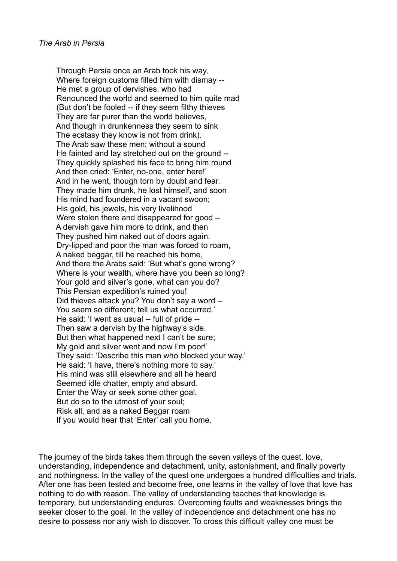Through Persia once an Arab took his way, Where foreign customs filled him with dismay -- He met a group of dervishes, who had Renounced the world and seemed to him quite mad (But don't be fooled -- if they seem filthy thieves They are far purer than the world believes, And though in drunkenness they seem to sink The ecstasy they know is not from drink). The Arab saw these men; without a sound He fainted and lay stretched out on the ground -- They quickly splashed his face to bring him round And then cried: 'Enter, no-one, enter here!' And in he went, though torn by doubt and fear. They made him drunk, he lost himself, and soon His mind had foundered in a vacant swoon; His gold, his jewels, his very livelihood Were stolen there and disappeared for good -- A dervish gave him more to drink, and then They pushed him naked out of doors again. Dry-lipped and poor the man was forced to roam, A naked beggar, till he reached his home, And there the Arabs said: 'But what's gone wrong? Where is your wealth, where have you been so long? Your gold and silver's gone, what can you do? This Persian expedition's ruined you! Did thieves attack you? You don't say a word -- You seem so different; tell us what occurred.' He said: 'I went as usual -- full of pride -- Then saw a dervish by the highway's side. But then what happened next I can't be sure; My gold and silver went and now I'm poor!' They said: 'Describe this man who blocked your way.' He said: 'I have, there's nothing more to say.' His mind was still elsewhere and all he heard Seemed idle chatter, empty and absurd. Enter the Way or seek some other goal, But do so to the utmost of your soul; Risk all, and as a naked Beggar roam If you would hear that 'Enter' call you home.

The journey of the birds takes them through the seven valleys of the quest, love, understanding, independence and detachment, unity, astonishment, and finally poverty and nothingness. In the valley of the quest one undergoes a hundred difficulties and trials. After one has been tested and become free, one learns in the valley of love that love has nothing to do with reason. The valley of understanding teaches that knowledge is temporary, but understanding endures. Overcoming faults and weaknesses brings the seeker closer to the goal. In the valley of independence and detachment one has no desire to possess nor any wish to discover. To cross this difficult valley one must be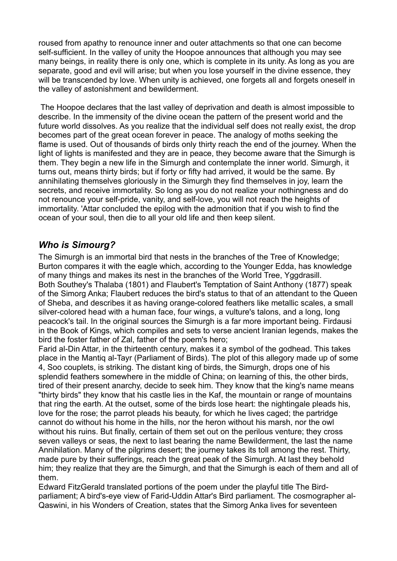roused from apathy to renounce inner and outer attachments so that one can become self-sufficient. In the valley of unity the Hoopoe announces that although you may see many beings, in reality there is only one, which is complete in its unity. As long as you are separate, good and evil will arise; but when you lose yourself in the divine essence, they will be transcended by love. When unity is achieved, one forgets all and forgets oneself in the valley of astonishment and bewilderment.

The Hoopoe declares that the last valley of deprivation and death is almost impossible to describe. In the immensity of the divine ocean the pattern of the present world and the future world dissolves. As you realize that the individual self does not really exist, the drop becomes part of the great ocean forever in peace. The analogy of moths seeking the flame is used. Out of thousands of birds only thirty reach the end of the journey. When the light of lights is manifested and they are in peace, they become aware that the Simurgh is them. They begin a new life in the Simurgh and contemplate the inner world. Simurgh, it turns out, means thirty birds; but if forty or fifty had arrived, it would be the same. By annihilating themselves gloriously in the Simurgh they find themselves in joy, learn the secrets, and receive immortality. So long as you do not realize your nothingness and do not renounce your self-pride, vanity, and self-love, you will not reach the heights of immortality. 'Attar concluded the epilog with the admonition that if you wish to find the ocean of your soul, then die to all your old life and then keep silent.

# *Who is Simourg?*

The Simurgh is an immortal bird that nests in the branches of the Tree of Knowledge; Burton compares it with the eagle which, according to the Younger Edda, has knowledge of many things and makes its nest in the branches of the World Tree, Yggdrasill. Both Southey's Thalaba (1801) and Flaubert's Temptation of Saint Anthony (1877) speak of the Simorg Anka; Flaubert reduces the bird's status to that of an attendant to the Queen of Sheba, and describes it as having orange-colored feathers like metallic scales, a small silver-colored head with a human face, four wings, a vulture's talons, and a long, long peacock's tail. In the original sources the Simurgh is a far more important being. Firdausi in the Book of Kings, which compiles and sets to verse ancient Iranian legends, makes the bird the foster father of Zal, father of the poem's hero;

Farid al-Din Attar, in the thirteenth century, makes it a symbol of the godhead. This takes place in the Mantiq al-Tayr (Parliament of Birds). The plot of this allegory made up of some 4, Soo couplets, is striking. The distant king of birds, the Simurgh, drops one of his splendid feathers somewhere in the middle of China; on learning of this, the other birds, tired of their present anarchy, decide to seek him. They know that the king's name means "thirty birds" they know that his castle lies in the Kaf, the mountain or range of mountains that ring the earth. At the outset, some of the birds lose heart: the nightingale pleads his, love for the rose; the parrot pleads his beauty, for which he lives caged; the partridge cannot do without his home in the hills, nor the heron without his marsh, nor the owl without his ruins. But finally, certain of them set out on the perilous venture; they cross seven valleys or seas, the next to last bearing the name Bewilderment, the last the name Annihilation. Many of the pilgrims desert; the journey takes its toll among the rest. Thirty, made pure by their sufferings, reach the great peak of the Simurgh. At last they behold him; they realize that they are the 5imurgh, and that the Simurgh is each of them and all of them.

Edward FitzGerald translated portions of the poem under the playful title The Birdparliament; A bird's-eye view of Farid-Uddin Attar's Bird parliament. The cosmographer al-Qaswini, in his Wonders of Creation, states that the Simorg Anka lives for seventeen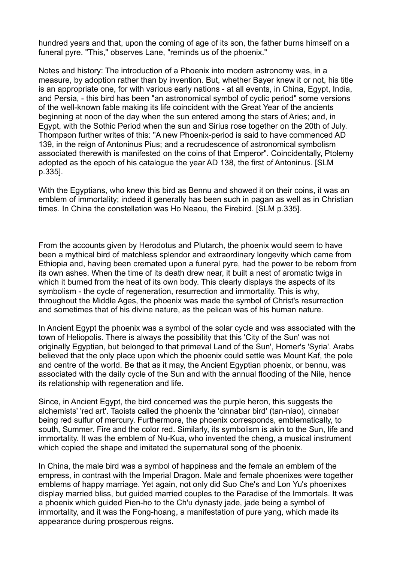hundred years and that, upon the coming of age of its son, the father burns himself on a funeral pyre. "This," observes Lane, "reminds us of the phoenix."

Notes and history: The introduction of a Phoenix into modern astronomy was, in a measure, by adoption rather than by invention. But, whether Bayer knew it or not, his title is an appropriate one, for with various early nations - at all events, in China, Egypt, India, and Persia, - this bird has been "an astronomical symbol of cyclic period" some versions of the well-known fable making its life coincident with the Great Year of the ancients beginning at noon of the day when the sun entered among the stars of Aries; and, in Egypt, with the Sothic Period when the sun and Sirius rose together on the 20th of July. Thompson further writes of this: "A new Phoenix-period is said to have commenced AD 139, in the reign of Antoninus Pius; and a recrudescence of astronomical symbolism associated therewith is manifested on the coins of that Emperor". Coincidentally, Ptolemy adopted as the epoch of his catalogue the year AD 138, the first of Antoninus. [SLM p.335].

With the Egyptians, who knew this bird as Bennu and showed it on their coins, it was an emblem of immortality; indeed it generally has been such in pagan as well as in Christian times. In China the constellation was Ho Neaou, the Firebird. [SLM p.335].

From the accounts given by Herodotus and Plutarch, the phoenix would seem to have been a mythical bird of matchless splendor and extraordinary longevity which came from Ethiopia and, having been cremated upon a funeral pyre, had the power to be reborn from its own ashes. When the time of its death drew near, it built a nest of aromatic twigs in which it burned from the heat of its own body. This clearly displays the aspects of its symbolism - the cycle of regeneration, resurrection and immortality. This is why, throughout the Middle Ages, the phoenix was made the symbol of Christ's resurrection and sometimes that of his divine nature, as the pelican was of his human nature.

In Ancient Egypt the phoenix was a symbol of the solar cycle and was associated with the town of Heliopolis. There is always the possibility that this 'City of the Sun' was not originally Egyptian, but belonged to that primeval Land of the Sun', Homer's 'Syria'. Arabs believed that the only place upon which the phoenix could settle was Mount Kaf, the pole and centre of the world. Be that as it may, the Ancient Egyptian phoenix, or bennu, was associated with the daily cycle of the Sun and with the annual flooding of the Nile, hence its relationship with regeneration and life.

Since, in Ancient Egypt, the bird concerned was the purple heron, this suggests the alchemists' 'red art'. Taoists called the phoenix the 'cinnabar bird' (tan-niao), cinnabar being red sulfur of mercury. Furthermore, the phoenix corresponds, emblematically, to south, Summer. Fire and the color red. Similarly, its symbolism is akin to the Sun, life and immortality. It was the emblem of Nu-Kua, who invented the cheng, a musical instrument which copied the shape and imitated the supernatural song of the phoenix.

In China, the male bird was a symbol of happiness and the female an emblem of the empress, in contrast with the Imperial Dragon. Male and female phoenixes were together emblems of happy marriage. Yet again, not only did Suo Che's and Lon Yu's phoenixes display married bliss, but guided married couples to the Paradise of the Immortals. It was a phoenix which guided Pien-ho to the Ch'u dynasty jade, jade being a symbol of immortality, and it was the Fong-hoang, a manifestation of pure yang, which made its appearance during prosperous reigns.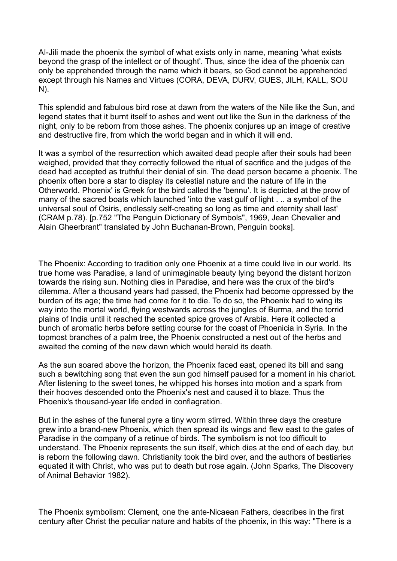AI-Jili made the phoenix the symbol of what exists only in name, meaning 'what exists beyond the grasp of the intellect or of thought'. Thus, since the idea of the phoenix can only be apprehended through the name which it bears, so God cannot be apprehended except through his Names and Virtues (CORA, DEVA, DURV, GUES, JILH, KALL, SOU N).

This splendid and fabulous bird rose at dawn from the waters of the Nile like the Sun, and legend states that it burnt itself to ashes and went out like the Sun in the darkness of the night, only to be reborn from those ashes. The phoenix conjures up an image of creative and destructive fire, from which the world began and in which it will end.

It was a symbol of the resurrection which awaited dead people after their souls had been weighed, provided that they correctly followed the ritual of sacrifice and the judges of the dead had accepted as truthful their denial of sin. The dead person became a phoenix. The phoenix often bore a star to display its celestial nature and the nature of life in the Otherworld. Phoenix' is Greek for the bird called the 'bennu'. It is depicted at the prow of many of the sacred boats which launched 'into the vast gulf of light . .. a symbol of the universal soul of Osiris, endlessly self-creating so long as time and eternity shall last' (CRAM p.78). [p.752 "The Penguin Dictionary of Symbols", 1969, Jean Chevalier and Alain Gheerbrant" translated by John Buchanan-Brown, Penguin books].

The Phoenix: According to tradition only one Phoenix at a time could live in our world. Its true home was Paradise, a land of unimaginable beauty lying beyond the distant horizon towards the rising sun. Nothing dies in Paradise, and here was the crux of the bird's dilemma. After a thousand years had passed, the Phoenix had become oppressed by the burden of its age; the time had come for it to die. To do so, the Phoenix had to wing its way into the mortal world, flying westwards across the jungles of Burma, and the torrid plains of India until it reached the scented spice groves of Arabia. Here it collected a bunch of aromatic herbs before setting course for the coast of Phoenicia in Syria. In the topmost branches of a palm tree, the Phoenix constructed a nest out of the herbs and awaited the coming of the new dawn which would herald its death.

As the sun soared above the horizon, the Phoenix faced east, opened its bill and sang such a bewitching song that even the sun god himself paused for a moment in his chariot. After listening to the sweet tones, he whipped his horses into motion and a spark from their hooves descended onto the Phoenix's nest and caused it to blaze. Thus the Phoenix's thousand-year life ended in conflagration.

But in the ashes of the funeral pyre a tiny worm stirred. Within three days the creature grew into a brand-new Phoenix, which then spread its wings and flew east to the gates of Paradise in the company of a retinue of birds. The symbolism is not too difficult to understand. The Phoenix represents the sun itself, which dies at the end of each day, but is reborn the following dawn. Christianity took the bird over, and the authors of bestiaries equated it with Christ, who was put to death but rose again. (John Sparks, The Discovery of Animal Behavior 1982).

The Phoenix symbolism: Clement, one the ante-Nicaean Fathers, describes in the first century after Christ the peculiar nature and habits of the phoenix, in this way: "There is a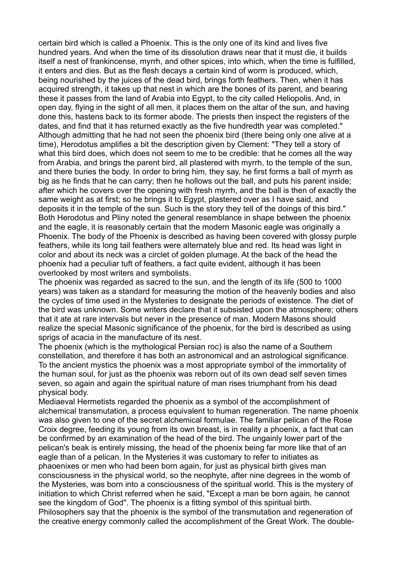certain bird which is called a Phoenix. This is the only one of its kind and lives five hundred years. And when the time of its dissolution draws near that it must die, it builds itself a nest of frankincense, myrrh, and other spices, into which, when the time is fulfilled, it enters and dies. But as the flesh decays a certain kind of worm is produced, which, being nourished by the juices of the dead bird, brings forth feathers. Then, when it has acquired strength, it takes up that nest in which are the bones of its parent, and bearing these it passes from the land of Arabia into Egypt, to the city called Heliopolis. And, in open day, flying in the sight of all men, it places them on the altar of the sun, and having done this, hastens back to its former abode. The priests then inspect the registers of the dates, and find that it has returned exactly as the five hundredth year was completed." Although admitting that he had not seen the phoenix bird (there being only one alive at a time), Herodotus amplifies a bit the description given by Clement: "They tell a story of what this bird does, which does not seem to me to be credible: that he comes all the way from Arabia, and brings the parent bird, all plastered with myrrh, to the temple of the sun, and there buries the body. In order to bring him, they say, he first forms a ball of myrrh as big as he finds that he can carry; then he hollows out the ball, and puts his parent inside; after which he covers over the opening with fresh myrrh, and the ball is then of exactly the same weight as at first; so he brings it to Egypt, plastered over as I have said, and deposits it in the temple of the sun. Such is the story they tell of the doings of this bird." Both Herodotus and Pliny noted the general resemblance in shape between the phoenix and the eagle, it is reasonably certain that the modern Masonic eagle was originally a Phoenix. The body of the Phoenix is described as having been covered with glossy purple feathers, while its long tail feathers were alternately blue and red. Its head was light in color and about its neck was a circlet of golden plumage. At the back of the head the phoenix had a peculiar tuft of feathers, a fact quite evident, although it has been overlooked by most writers and symbolists.

The phoenix was regarded as sacred to the sun, and the length of its life (500 to 1000 years) was taken as a standard for measuring the motion of the heavenly bodies and also the cycles of time used in the Mysteries to designate the periods of existence. The diet of the bird was unknown. Some writers declare that it subsisted upon the atmosphere; others that it ate at rare intervals but never in the presence of man. Modern Masons should realize the special Masonic significance of the phoenix, for the bird is described as using sprigs of acacia in the manufacture of its nest.

The phoenix (which is the mythological Persian roc) is also the name of a Southern constellation, and therefore it has both an astronomical and an astrological significance. To the ancient mystics the phoenix was a most appropriate symbol of the immortality of the human soul, for just as the phoenix was reborn out of its own dead self seven times seven, so again and again the spiritual nature of man rises triumphant from his dead physical body.

Mediaeval Hermetists regarded the phoenix as a symbol of the accomplishment of alchemical transmutation, a process equivalent to human regeneration. The name phoenix was also given to one of the secret alchemical formulae. The familiar pelican of the Rose Croix degree, feeding its young from its own breast, is in reality a phoenix, a fact that can be confirmed by an examination of the head of the bird. The ungainly lower part of the pelican's beak is entirely missing, the head of the phoenix being far more like that of an eagle than of a pelican. In the Mysteries it was customary to refer to initiates as phaoenixes or men who had been born again, for just as physical birth gives man consciousness in the physical world, so the neophyte, after nine degrees in the womb of the Mysteries, was born into a consciousness of the spiritual world. This is the mystery of initiation to which Christ referred when he said, "Except a man be born again, he cannot see the kingdom of God". The phoenix is a fitting symbol of this spiritual birth. Philosophers say that the phoenix is the symbol of the transmutation and regeneration of the creative energy commonly called the accomplishment of the Great Work. The double